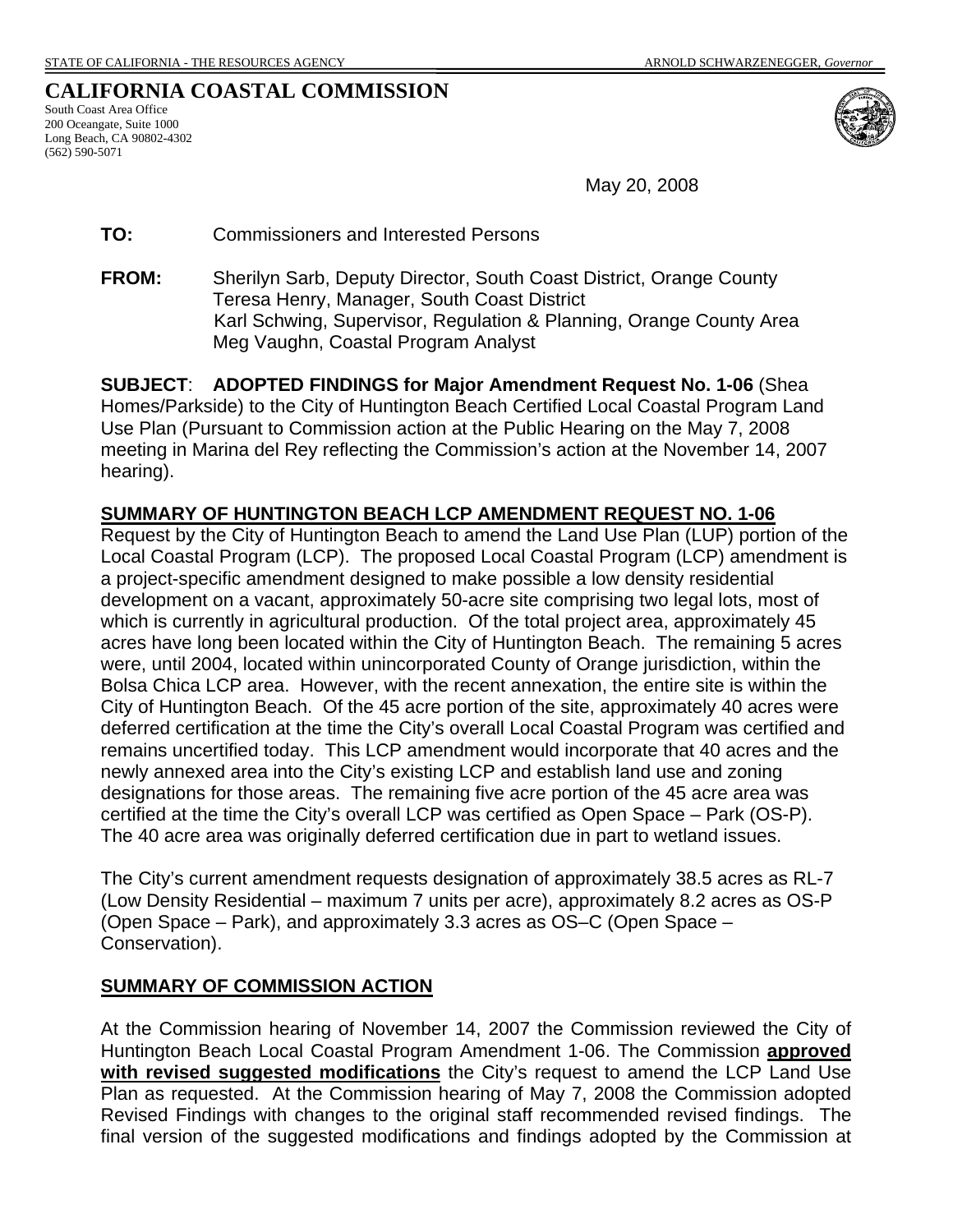# **CALIFORNIA COASTAL COMMISSION**

South Coast Area Office 200 Oceangate, Suite 1000 Long Beach, CA 90802-4302 (562) 590-5071



May 20, 2008

**TO:** Commissioners and Interested Persons

**FROM:** Sherilyn Sarb, Deputy Director, South Coast District, Orange County Teresa Henry, Manager, South Coast District Karl Schwing, Supervisor, Regulation & Planning, Orange County Area Meg Vaughn, Coastal Program Analyst

**SUBJECT**: **ADOPTED FINDINGS for Major Amendment Request No. 1-06** (Shea Homes/Parkside) to the City of Huntington Beach Certified Local Coastal Program Land Use Plan (Pursuant to Commission action at the Public Hearing on the May 7, 2008 meeting in Marina del Rey reflecting the Commission's action at the November 14, 2007 hearing).

### **SUMMARY OF HUNTINGTON BEACH LCP AMENDMENT REQUEST NO. 1-06**

Request by the City of Huntington Beach to amend the Land Use Plan (LUP) portion of the Local Coastal Program (LCP). The proposed Local Coastal Program (LCP) amendment is a project-specific amendment designed to make possible a low density residential development on a vacant, approximately 50-acre site comprising two legal lots, most of which is currently in agricultural production. Of the total project area, approximately 45 acres have long been located within the City of Huntington Beach. The remaining 5 acres were, until 2004, located within unincorporated County of Orange jurisdiction, within the Bolsa Chica LCP area. However, with the recent annexation, the entire site is within the City of Huntington Beach. Of the 45 acre portion of the site, approximately 40 acres were deferred certification at the time the City's overall Local Coastal Program was certified and remains uncertified today. This LCP amendment would incorporate that 40 acres and the newly annexed area into the City's existing LCP and establish land use and zoning designations for those areas. The remaining five acre portion of the 45 acre area was certified at the time the City's overall LCP was certified as Open Space – Park (OS-P). The 40 acre area was originally deferred certification due in part to wetland issues.

The City's current amendment requests designation of approximately 38.5 acres as RL-7 (Low Density Residential – maximum 7 units per acre), approximately 8.2 acres as OS-P (Open Space – Park), and approximately 3.3 acres as OS–C (Open Space – Conservation).

### **SUMMARY OF COMMISSION ACTION**

At the Commission hearing of November 14, 2007 the Commission reviewed the City of Huntington Beach Local Coastal Program Amendment 1-06. The Commission **approved with revised suggested modifications** the City's request to amend the LCP Land Use Plan as requested. At the Commission hearing of May 7, 2008 the Commission adopted Revised Findings with changes to the original staff recommended revised findings. The final version of the suggested modifications and findings adopted by the Commission at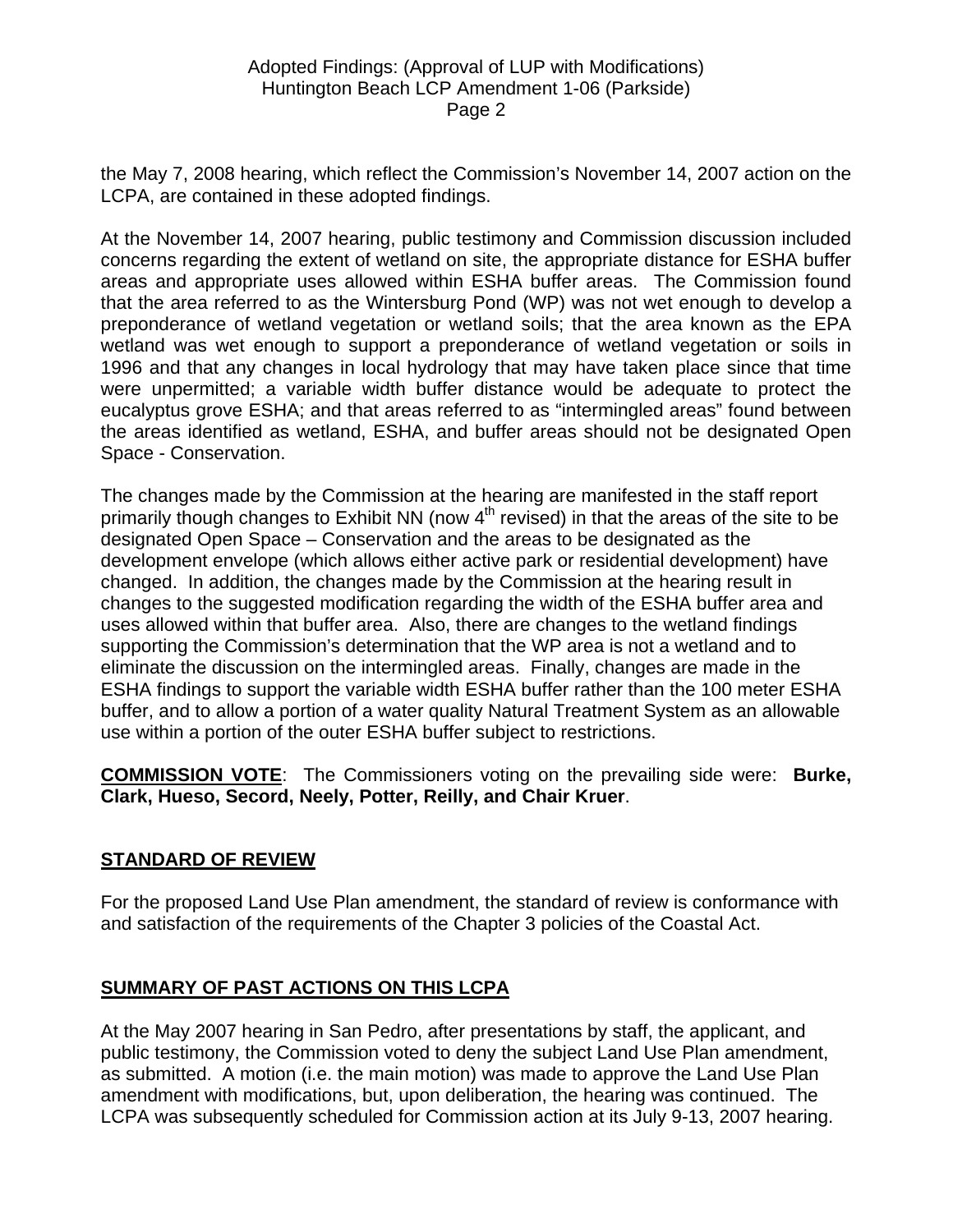the May 7, 2008 hearing, which reflect the Commission's November 14, 2007 action on the LCPA, are contained in these adopted findings.

At the November 14, 2007 hearing, public testimony and Commission discussion included concerns regarding the extent of wetland on site, the appropriate distance for ESHA buffer areas and appropriate uses allowed within ESHA buffer areas. The Commission found that the area referred to as the Wintersburg Pond (WP) was not wet enough to develop a preponderance of wetland vegetation or wetland soils; that the area known as the EPA wetland was wet enough to support a preponderance of wetland vegetation or soils in 1996 and that any changes in local hydrology that may have taken place since that time were unpermitted; a variable width buffer distance would be adequate to protect the eucalyptus grove ESHA; and that areas referred to as "intermingled areas" found between the areas identified as wetland, ESHA, and buffer areas should not be designated Open Space - Conservation.

The changes made by the Commission at the hearing are manifested in the staff report primarily though changes to Exhibit NN (now  $4<sup>th</sup>$  revised) in that the areas of the site to be designated Open Space – Conservation and the areas to be designated as the development envelope (which allows either active park or residential development) have changed. In addition, the changes made by the Commission at the hearing result in changes to the suggested modification regarding the width of the ESHA buffer area and uses allowed within that buffer area. Also, there are changes to the wetland findings supporting the Commission's determination that the WP area is not a wetland and to eliminate the discussion on the intermingled areas. Finally, changes are made in the ESHA findings to support the variable width ESHA buffer rather than the 100 meter ESHA buffer, and to allow a portion of a water quality Natural Treatment System as an allowable use within a portion of the outer ESHA buffer subject to restrictions.

**COMMISSION VOTE**: The Commissioners voting on the prevailing side were: **Burke, Clark, Hueso, Secord, Neely, Potter, Reilly, and Chair Kruer**.

# **STANDARD OF REVIEW**

For the proposed Land Use Plan amendment, the standard of review is conformance with and satisfaction of the requirements of the Chapter 3 policies of the Coastal Act.

# **SUMMARY OF PAST ACTIONS ON THIS LCPA**

At the May 2007 hearing in San Pedro, after presentations by staff, the applicant, and public testimony, the Commission voted to deny the subject Land Use Plan amendment, as submitted. A motion (i.e. the main motion) was made to approve the Land Use Plan amendment with modifications, but, upon deliberation, the hearing was continued. The LCPA was subsequently scheduled for Commission action at its July 9-13, 2007 hearing.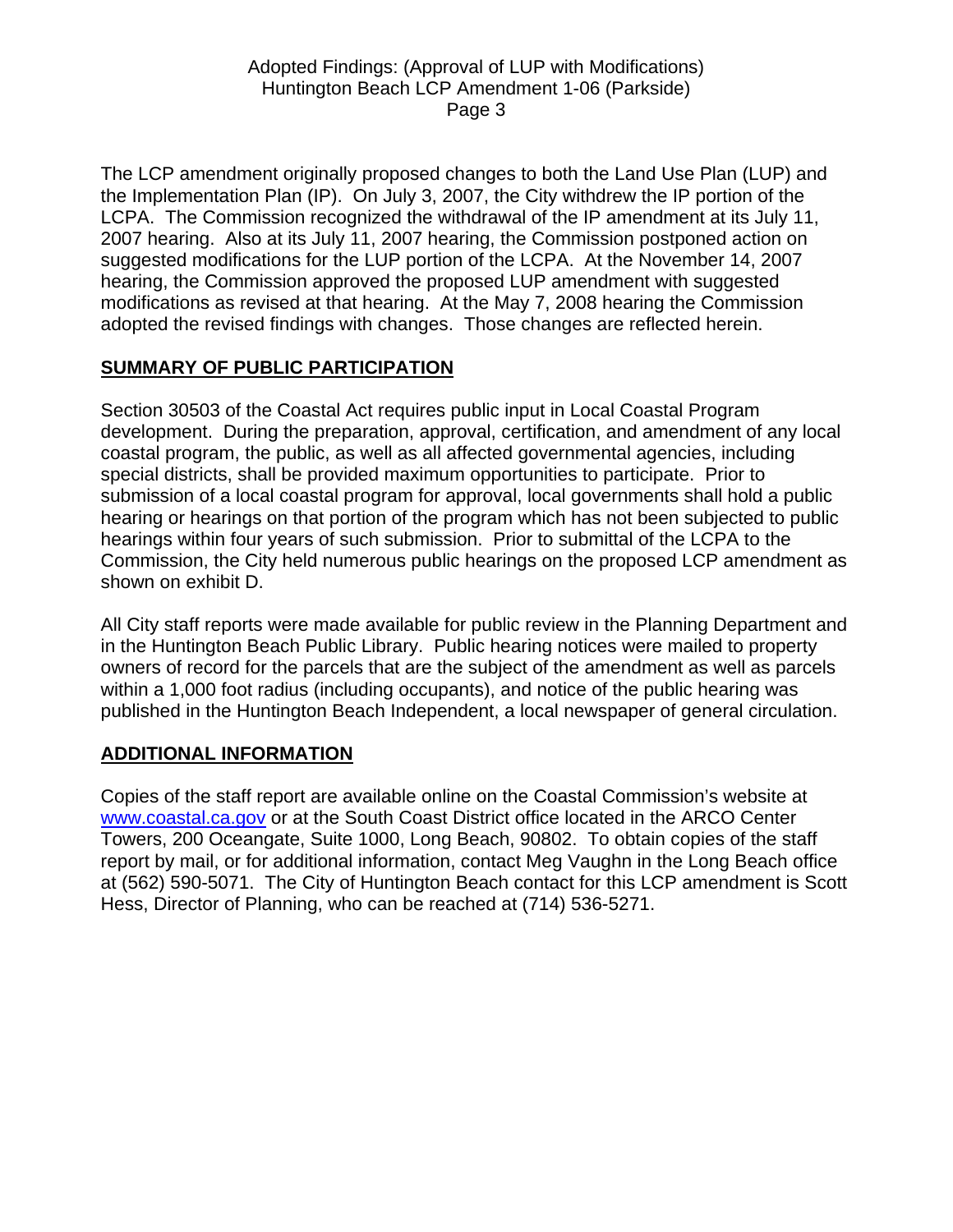The LCP amendment originally proposed changes to both the Land Use Plan (LUP) and the Implementation Plan (IP). On July 3, 2007, the City withdrew the IP portion of the LCPA. The Commission recognized the withdrawal of the IP amendment at its July 11, 2007 hearing. Also at its July 11, 2007 hearing, the Commission postponed action on suggested modifications for the LUP portion of the LCPA. At the November 14, 2007 hearing, the Commission approved the proposed LUP amendment with suggested modifications as revised at that hearing. At the May 7, 2008 hearing the Commission adopted the revised findings with changes. Those changes are reflected herein.

# **SUMMARY OF PUBLIC PARTICIPATION**

Section 30503 of the Coastal Act requires public input in Local Coastal Program development. During the preparation, approval, certification, and amendment of any local coastal program, the public, as well as all affected governmental agencies, including special districts, shall be provided maximum opportunities to participate. Prior to submission of a local coastal program for approval, local governments shall hold a public hearing or hearings on that portion of the program which has not been subjected to public hearings within four years of such submission. Prior to submittal of the LCPA to the Commission, the City held numerous public hearings on the proposed LCP amendment as shown on exhibit D.

All City staff reports were made available for public review in the Planning Department and in the Huntington Beach Public Library. Public hearing notices were mailed to property owners of record for the parcels that are the subject of the amendment as well as parcels within a 1,000 foot radius (including occupants), and notice of the public hearing was published in the Huntington Beach Independent, a local newspaper of general circulation.

# **ADDITIONAL INFORMATION**

Copies of the staff report are available online on the Coastal Commission's website at [www.coastal.ca.gov](http://www.coastal.ca.gov/) or at the South Coast District office located in the ARCO Center Towers, 200 Oceangate, Suite 1000, Long Beach, 90802. To obtain copies of the staff report by mail, or for additional information, contact Meg Vaughn in the Long Beach office at (562) 590-5071. The City of Huntington Beach contact for this LCP amendment is Scott Hess, Director of Planning, who can be reached at (714) 536-5271.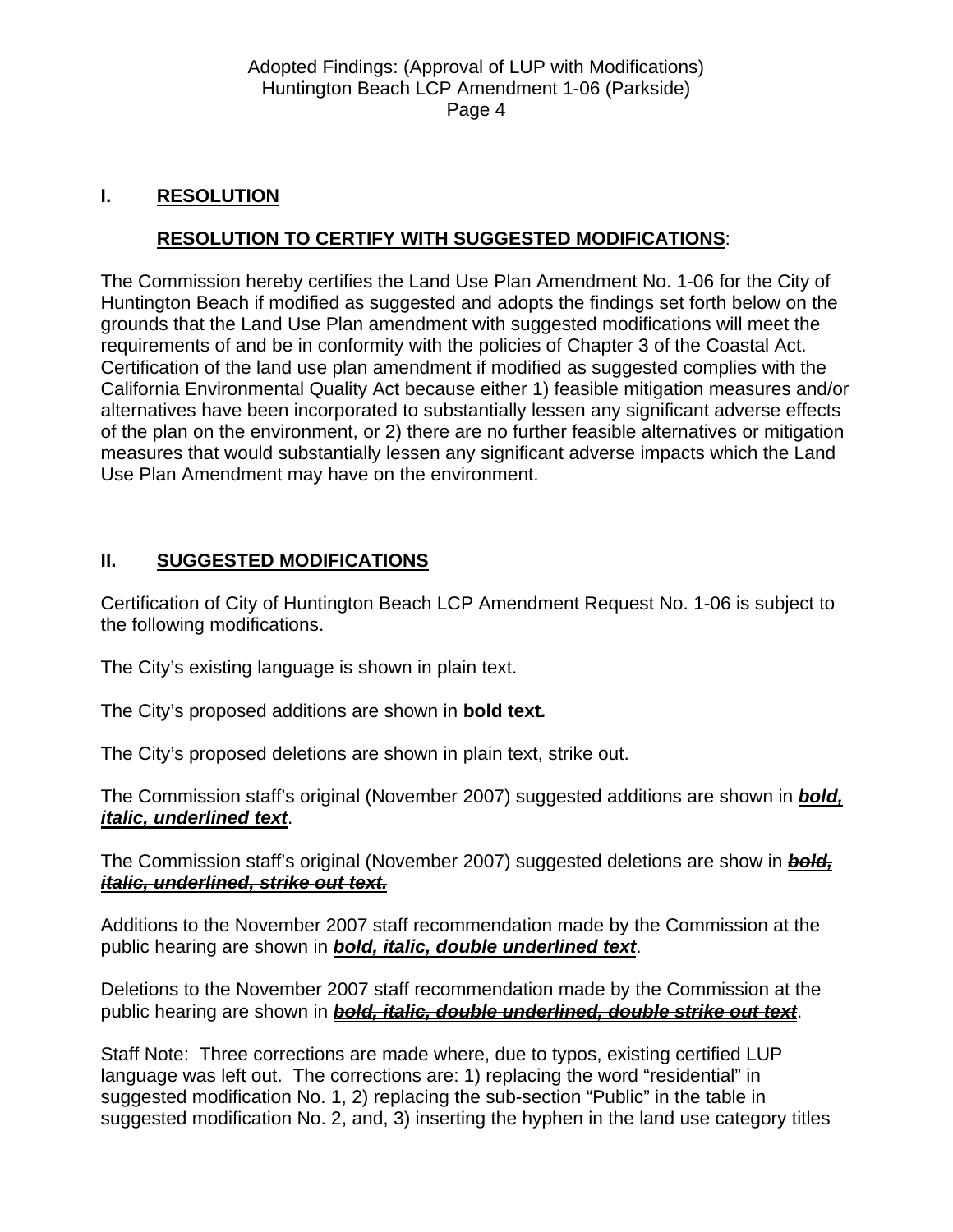# **I. RESOLUTION**

# **RESOLUTION TO CERTIFY WITH SUGGESTED MODIFICATIONS**:

The Commission hereby certifies the Land Use Plan Amendment No. 1-06 for the City of Huntington Beach if modified as suggested and adopts the findings set forth below on the grounds that the Land Use Plan amendment with suggested modifications will meet the requirements of and be in conformity with the policies of Chapter 3 of the Coastal Act. Certification of the land use plan amendment if modified as suggested complies with the California Environmental Quality Act because either 1) feasible mitigation measures and/or alternatives have been incorporated to substantially lessen any significant adverse effects of the plan on the environment, or 2) there are no further feasible alternatives or mitigation measures that would substantially lessen any significant adverse impacts which the Land Use Plan Amendment may have on the environment.

# **II. SUGGESTED MODIFICATIONS**

Certification of City of Huntington Beach LCP Amendment Request No. 1-06 is subject to the following modifications.

The City's existing language is shown in plain text.

The City's proposed additions are shown in **bold text***.*

The City's proposed deletions are shown in plain text, strike out.

The Commission staff's original (November 2007) suggested additions are shown in *bold, italic, underlined text*.

The Commission staff's original (November 2007) suggested deletions are show in *bold, italic, underlined, strike out text.*

Additions to the November 2007 staff recommendation made by the Commission at the public hearing are shown in *bold, italic, double underlined text*.

Deletions to the November 2007 staff recommendation made by the Commission at the public hearing are shown in *bold, italic, double underlined, double strike out text*.

Staff Note: Three corrections are made where, due to typos, existing certified LUP language was left out. The corrections are: 1) replacing the word "residential" in suggested modification No. 1, 2) replacing the sub-section "Public" in the table in suggested modification No. 2, and, 3) inserting the hyphen in the land use category titles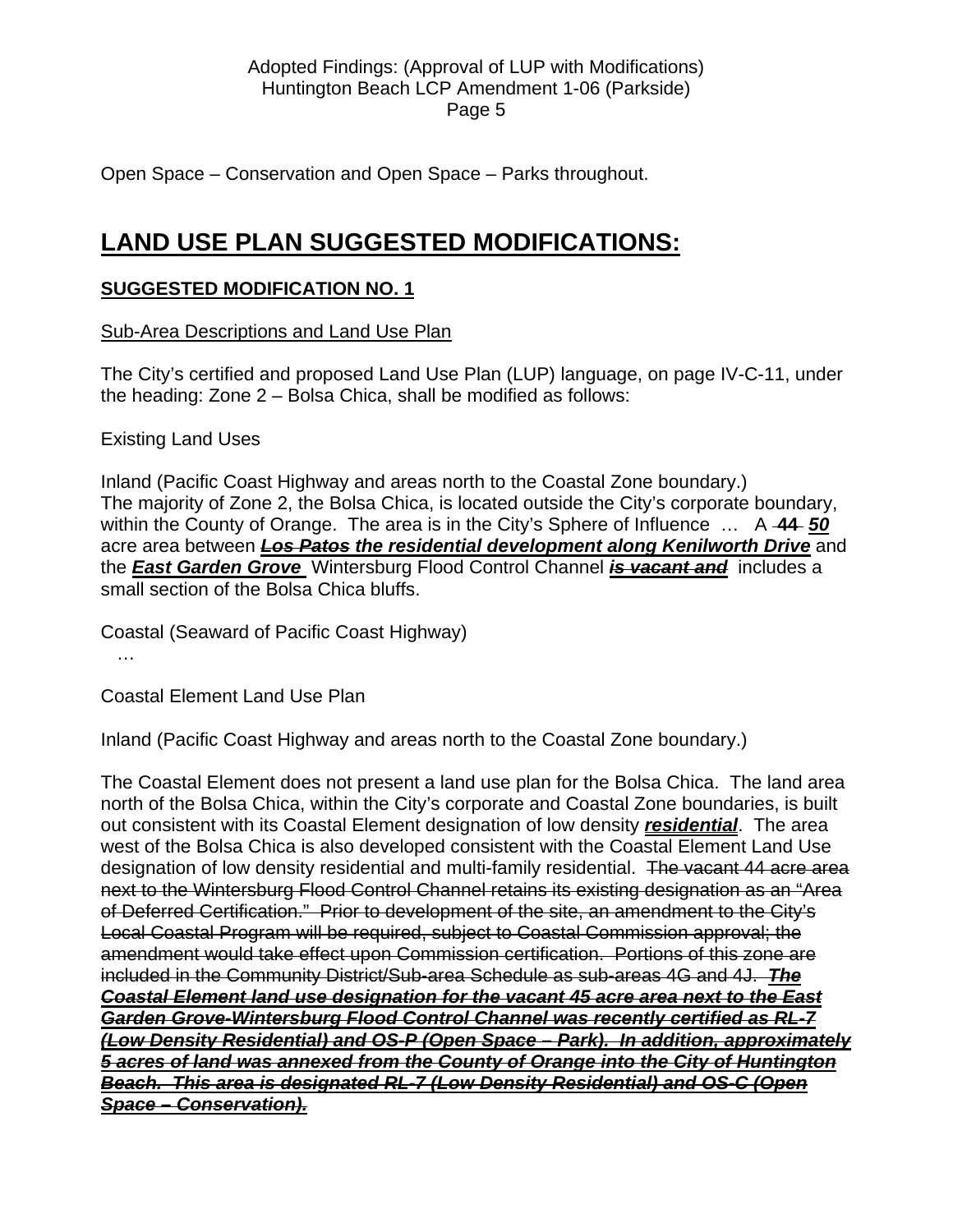Open Space – Conservation and Open Space – Parks throughout.

# **LAND USE PLAN SUGGESTED MODIFICATIONS:**

# **SUGGESTED MODIFICATION NO. 1**

Sub-Area Descriptions and Land Use Plan

The City's certified and proposed Land Use Plan (LUP) language, on page IV-C-11, under the heading: Zone 2 – Bolsa Chica, shall be modified as follows:

Existing Land Uses

Inland (Pacific Coast Highway and areas north to the Coastal Zone boundary.) The majority of Zone 2, the Bolsa Chica, is located outside the City's corporate boundary, within the County of Orange. The area is in the City's Sphere of Influence … A **44** *50* acre area between *Los Patos the residential development along Kenilworth Drive* and the *East Garden Grove* Wintersburg Flood Control Channel *is vacant and* includes a small section of the Bolsa Chica bluffs.

Coastal (Seaward of Pacific Coast Highway)

…

Coastal Element Land Use Plan

Inland (Pacific Coast Highway and areas north to the Coastal Zone boundary.)

The Coastal Element does not present a land use plan for the Bolsa Chica. The land area north of the Bolsa Chica, within the City's corporate and Coastal Zone boundaries, is built out consistent with its Coastal Element designation of low density *residential*. The area west of the Bolsa Chica is also developed consistent with the Coastal Element Land Use designation of low density residential and multi-family residential. The vacant 44 acre area next to the Wintersburg Flood Control Channel retains its existing designation as an "Area of Deferred Certification." Prior to development of the site, an amendment to the City's Local Coastal Program will be required, subject to Coastal Commission approval; the amendment would take effect upon Commission certification. Portions of this zone are included in the Community District/Sub-area Schedule as sub-areas 4G and 4J.*The Coastal Element land use designation for the vacant 45 acre area next to the East Garden Grove-Wintersburg Flood Control Channel was recently certified as RL-7 (Low Density Residential) and OS-P (Open Space – Park). In addition, approximately 5 acres of land was annexed from the County of Orange into the City of Huntington Beach. This area is designated RL-7 (Low Density Residential) and OS-C (Open Space – Conservation).*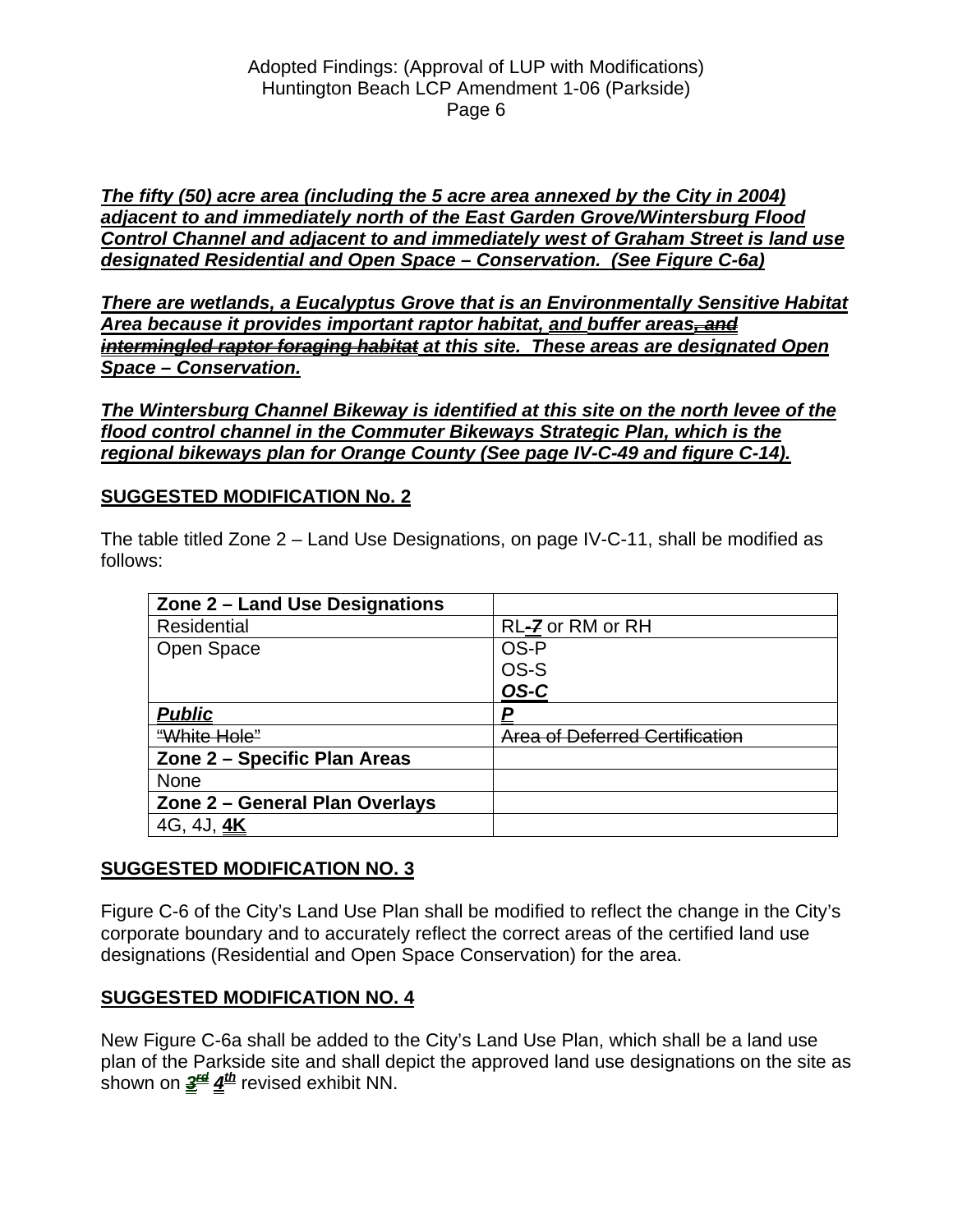*The fifty (50) acre area (including the 5 acre area annexed by the City in 2004) adjacent to and immediately north of the East Garden Grove/Wintersburg Flood Control Channel and adjacent to and immediately west of Graham Street is land use designated Residential and Open Space – Conservation. (See Figure C-6a)*

*There are wetlands, a Eucalyptus Grove that is an Environmentally Sensitive Habitat Area because it provides important raptor habitat, and buffer areas, and intermingled raptor foraging habitat at this site. These areas are designated Open Space – Conservation.*

*The Wintersburg Channel Bikeway is identified at this site on the north levee of the flood control channel in the Commuter Bikeways Strategic Plan, which is the regional bikeways plan for Orange County (See page IV-C-49 and figure C-14).*

### **SUGGESTED MODIFICATION No. 2**

The table titled Zone 2 – Land Use Designations, on page IV-C-11, shall be modified as follows:

| Zone 2 - Land Use Designations |                                       |
|--------------------------------|---------------------------------------|
| Residential                    | RL-7 or RM or RH                      |
| Open Space                     | OS-P                                  |
|                                | OS-S                                  |
|                                | OS-C                                  |
| <u>Public</u>                  | P                                     |
| "White Hole"                   | <b>Area of Deferred Certification</b> |
| Zone 2 - Specific Plan Areas   |                                       |
| <b>None</b>                    |                                       |
| Zone 2 - General Plan Overlays |                                       |
| 4G, 4J, <u>4K</u>              |                                       |

### **SUGGESTED MODIFICATION NO. 3**

Figure C-6 of the City's Land Use Plan shall be modified to reflect the change in the City's corporate boundary and to accurately reflect the correct areas of the certified land use designations (Residential and Open Space Conservation) for the area.

### **SUGGESTED MODIFICATION NO. 4**

New Figure C-6a shall be added to the City's Land Use Plan, which shall be a land use plan of the Parkside site and shall depict the approved land use designations on the site as shown on  $\frac{3^{4d}}{4^{4h}}$  revised exhibit NN.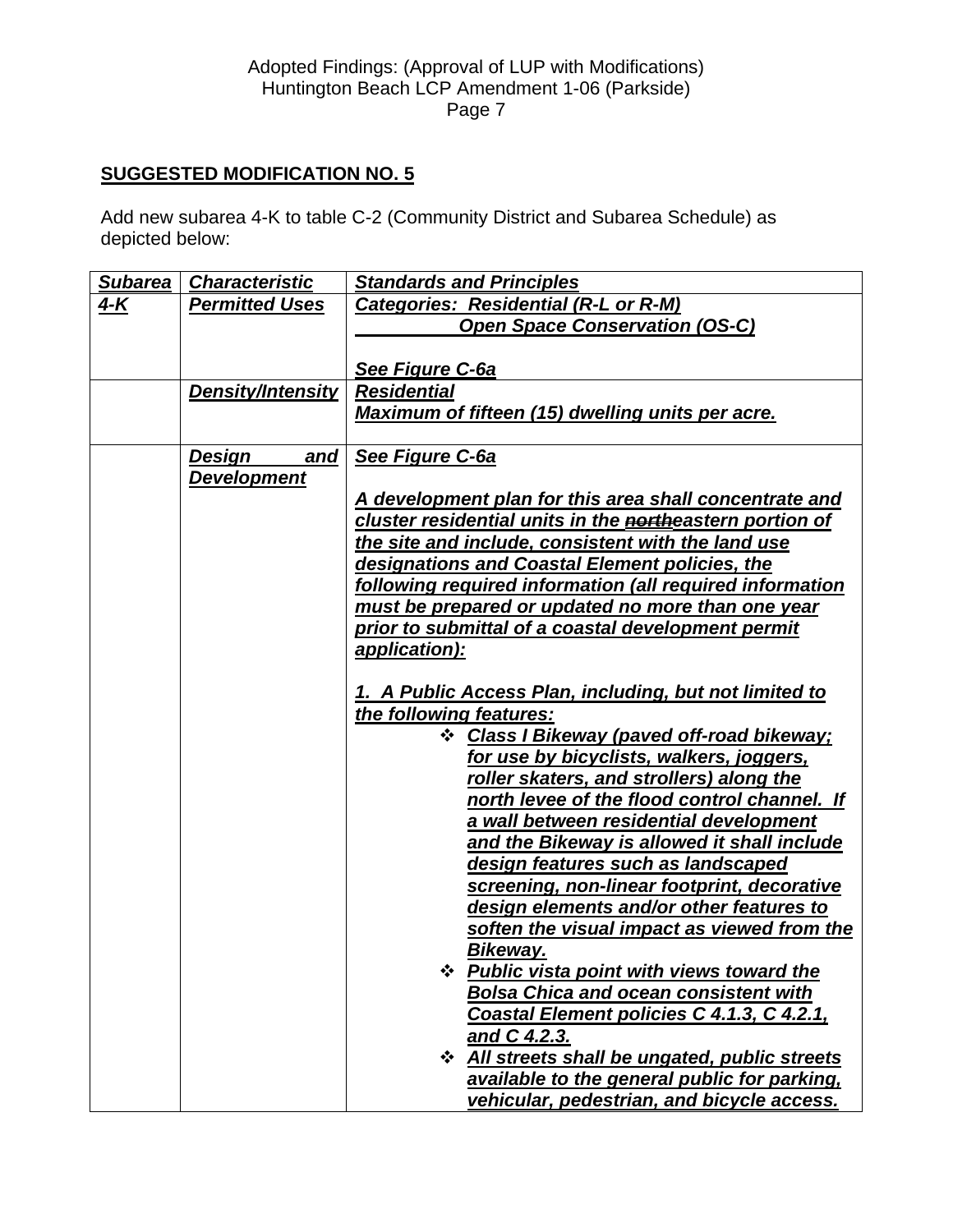# **SUGGESTED MODIFICATION NO. 5**

Add new subarea 4-K to table C-2 (Community District and Subarea Schedule) as depicted below:

| Subarea | <b>Characteristic</b> | <b>Standards and Principles</b>                                          |
|---------|-----------------------|--------------------------------------------------------------------------|
| $4 - K$ | <b>Permitted Uses</b> | Categories: Residential (R-L or R-M)                                     |
|         |                       | <b>Open Space Conservation (OS-C)</b>                                    |
|         |                       |                                                                          |
|         |                       | See Figure C-6a                                                          |
|         | Density/Intensity     | <b>Residential</b>                                                       |
|         |                       | <b>Maximum of fifteen (15) dwelling units per acre.</b>                  |
|         |                       |                                                                          |
|         | Design<br><u>and</u>  | See Figure C-6a                                                          |
|         | <b>Development</b>    |                                                                          |
|         |                       | A development plan for this area shall concentrate and                   |
|         |                       | cluster residential units in the <b>northeastern portion of</b>          |
|         |                       | the site and include, consistent with the land use                       |
|         |                       | designations and Coastal Element policies, the                           |
|         |                       | following required information (all required information                 |
|         |                       | must be prepared or updated no more than one year                        |
|         |                       | prior to submittal of a coastal development permit                       |
|         |                       | application):                                                            |
|         |                       |                                                                          |
|         |                       | 1. A Public Access Plan, including, but not limited to                   |
|         |                       | the following features:<br>Class I Bikeway (paved off-road bikeway;<br>❖ |
|         |                       | for use by bicyclists, walkers, joggers,                                 |
|         |                       | roller skaters, and strollers) along the                                 |
|         |                       | north levee of the flood control channel. If                             |
|         |                       | a wall between residential development                                   |
|         |                       | and the Bikeway is allowed it shall include                              |
|         |                       | design features such as landscaped                                       |
|         |                       | screening, non-linear footprint, decorative                              |
|         |                       | design elements and/or other features to                                 |
|         |                       | soften the visual impact as viewed from the                              |
|         |                       | Bikeway.                                                                 |
|         |                       | <b>Public vista point with views toward the</b>                          |
|         |                       | <b>Bolsa Chica and ocean consistent with</b>                             |
|         |                       | Coastal Element policies C 4.1.3, C 4.2.1,                               |
|         |                       | and C 4.2.3.                                                             |
|         |                       | ❖ All streets shall be ungated, public streets                           |
|         |                       | available to the general public for parking,                             |
|         |                       | vehicular, pedestrian, and bicycle access.                               |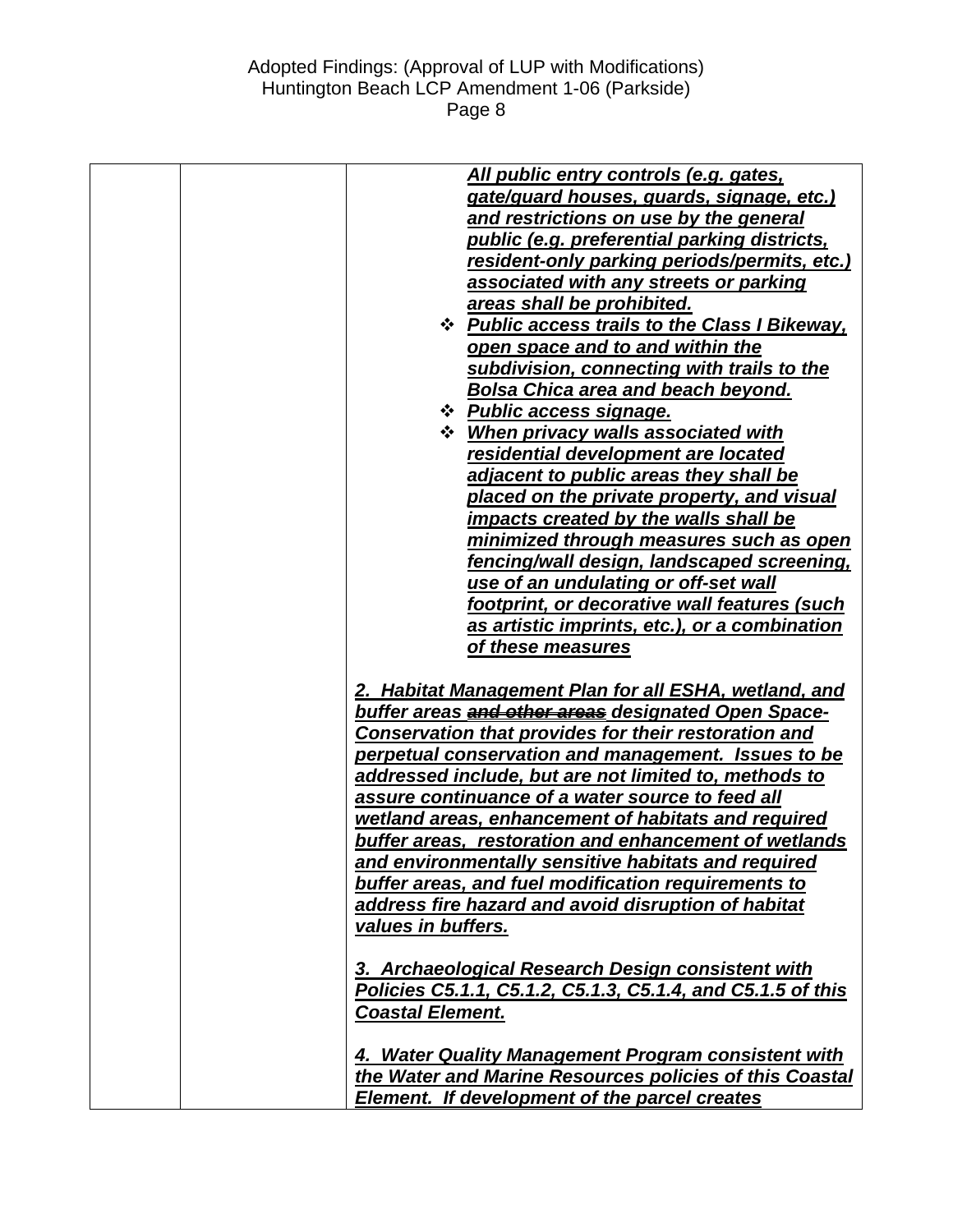| All public entry controls (e.g. gates,<br>gate/guard houses, guards, signage, etc.)<br>and restrictions on use by the general<br>public (e.g. preferential parking districts,<br>resident-only parking periods/permits, etc.)<br>associated with any streets or parking<br>areas shall be prohibited.<br><b>☆ Public access trails to the Class I Bikeway,</b> |
|----------------------------------------------------------------------------------------------------------------------------------------------------------------------------------------------------------------------------------------------------------------------------------------------------------------------------------------------------------------|
| open space and to and within the                                                                                                                                                                                                                                                                                                                               |
| subdivision, connecting with trails to the<br><b>Bolsa Chica area and beach beyond.</b>                                                                                                                                                                                                                                                                        |
| * Public access signage.                                                                                                                                                                                                                                                                                                                                       |
| <b>☆</b> When privacy walls associated with                                                                                                                                                                                                                                                                                                                    |
| residential development are located                                                                                                                                                                                                                                                                                                                            |
| adjacent to public areas they shall be                                                                                                                                                                                                                                                                                                                         |
| placed on the private property, and visual                                                                                                                                                                                                                                                                                                                     |
| impacts created by the walls shall be                                                                                                                                                                                                                                                                                                                          |
| minimized through measures such as open                                                                                                                                                                                                                                                                                                                        |
| fencing/wall design, landscaped screening,                                                                                                                                                                                                                                                                                                                     |
| use of an undulating or off-set wall                                                                                                                                                                                                                                                                                                                           |
| footprint, or decorative wall features (such                                                                                                                                                                                                                                                                                                                   |
| as artistic imprints, etc.), or a combination                                                                                                                                                                                                                                                                                                                  |
| of these measures                                                                                                                                                                                                                                                                                                                                              |
| 2. Habitat Management Plan for all ESHA, wetland, and                                                                                                                                                                                                                                                                                                          |
| buffer areas and other areas designated Open Space-                                                                                                                                                                                                                                                                                                            |
| <b>Conservation that provides for their restoration and</b>                                                                                                                                                                                                                                                                                                    |
| perpetual conservation and management. Issues to be                                                                                                                                                                                                                                                                                                            |
| addressed include, but are not limited to, methods to                                                                                                                                                                                                                                                                                                          |
| assure continuance of a water source to feed all                                                                                                                                                                                                                                                                                                               |
| wetland areas, enhancement of habitats and required                                                                                                                                                                                                                                                                                                            |
| buffer areas, restoration and enhancement of wetlands                                                                                                                                                                                                                                                                                                          |
| and environmentally sensitive habitats and required                                                                                                                                                                                                                                                                                                            |
| buffer areas, and fuel modification requirements to                                                                                                                                                                                                                                                                                                            |
| address fire hazard and avoid disruption of habitat                                                                                                                                                                                                                                                                                                            |
| values in buffers.                                                                                                                                                                                                                                                                                                                                             |
| 3. Archaeological Research Design consistent with                                                                                                                                                                                                                                                                                                              |
| Policies C5.1.1, C5.1.2, C5.1.3, C5.1.4, and C5.1.5 of this                                                                                                                                                                                                                                                                                                    |
| <b>Coastal Element.</b>                                                                                                                                                                                                                                                                                                                                        |
| 4. Water <b>Quality Management Program consistent with</b>                                                                                                                                                                                                                                                                                                     |
| the Water and Marine Resources policies of this Coastal                                                                                                                                                                                                                                                                                                        |
| Element. If development of the parcel creates                                                                                                                                                                                                                                                                                                                  |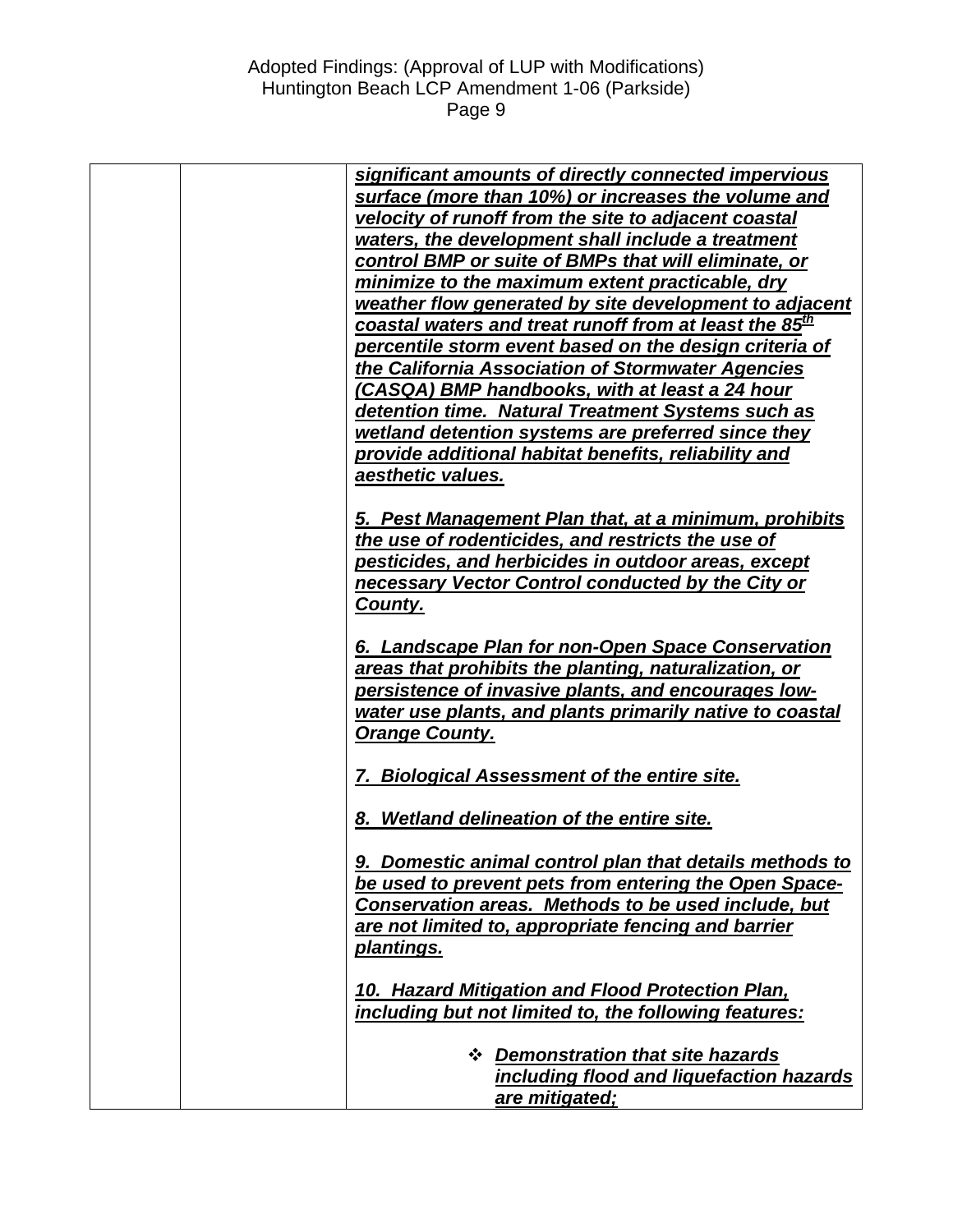| significant amounts of directly connected impervious                       |
|----------------------------------------------------------------------------|
| surface (more than 10%) or increases the volume and                        |
| velocity of runoff from the site to adjacent coastal                       |
| waters, the development shall include a treatment                          |
| control BMP or suite of BMPs that will eliminate, or                       |
| minimize to the maximum extent practicable, dry                            |
| weather flow generated by site development to adjacent                     |
| <u>coastal waters and treat runoff from at l</u> east the 85 <sup>th</sup> |
| percentile storm event based on the design criteria of                     |
| the California Association of Stormwater Agencies                          |
| (CASQA) BMP handbooks, with at least a 24 hour                             |
| detention time. Natural Treatment Systems such as                          |
| wetland detention systems are preferred since they                         |
| provide additional habitat benefits, reliability and                       |
| aesthetic values.                                                          |
| 5. Pest Management Plan that, at a minimum, prohibits                      |
| the use of rodenticides, and restricts the use of                          |
| pesticides, and herbicides in outdoor areas, except                        |
| necessary Vector Control conducted by the City or                          |
| County.                                                                    |
|                                                                            |
| 6. Landscape Plan for non-Open Space Conservation                          |
| areas that prohibits the planting, naturalization, or                      |
| persistence of invasive plants, and encourages low-                        |
| water use plants, and plants primarily native to coastal                   |
| <b>Orange County.</b>                                                      |
|                                                                            |
| 7. Biological Assessment of the entire site.                               |
|                                                                            |
| 8. Wetland delineation of the entire site.                                 |
| 9. Domestic animal control plan that details methods to                    |
| be used to prevent pets from entering the Open Space-                      |
| Conservation areas. Methods to be used include, but                        |
| are not limited to, appropriate fencing and barrier                        |
| plantings.                                                                 |
|                                                                            |
| 10. Hazard Mitigation and Flood Protection Plan,                           |
| including but not limited to, the following features:                      |
|                                                                            |
| <b>❖ Demonstration that site hazards</b>                                   |
| including flood and liquefaction hazards                                   |
| are mitigated;                                                             |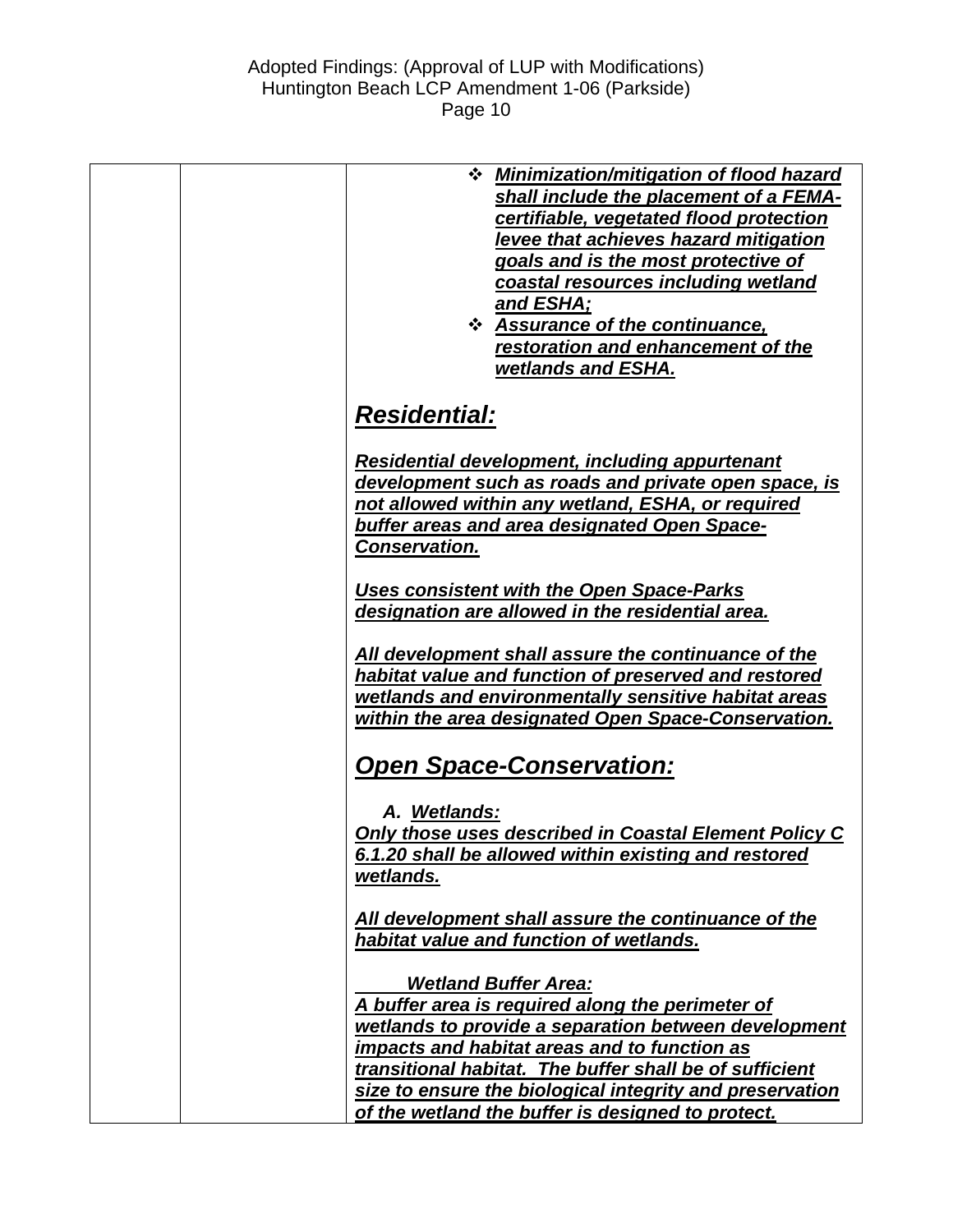|  | <b>☆</b> Minimization/mitigation of flood hazard<br>shall include the placement of a FEMA-<br>certifiable, vegetated flood protection<br>levee that achieves hazard mitigation<br>goals and is the most protective of<br>coastal resources including wetland<br>and ESHA;<br><b>❖ Assurance of the continuance,</b><br>restoration and enhancement of the<br>wetlands and ESHA. |
|--|---------------------------------------------------------------------------------------------------------------------------------------------------------------------------------------------------------------------------------------------------------------------------------------------------------------------------------------------------------------------------------|
|  | <b>Residential:</b>                                                                                                                                                                                                                                                                                                                                                             |
|  | Residential development, including appurtenant<br>development such as roads and private open space, is<br>not allowed within any wetland, ESHA, or required<br>buffer areas and area designated Open Space-<br><b>Conservation.</b>                                                                                                                                             |
|  | Uses consistent with the Open Space-Parks<br>designation are allowed in the residential area.                                                                                                                                                                                                                                                                                   |
|  | All development shall assure the continuance of the<br>habitat value and function of preserved and restored<br>wetlands and environmentally sensitive habitat areas<br>within the area designated Open Space-Conservation.                                                                                                                                                      |
|  | <b>Open Space-Conservation:</b>                                                                                                                                                                                                                                                                                                                                                 |
|  | A. Wetlands:<br><b>Only those uses described in Coastal Element Policy C</b><br>6.1.20 shall be allowed within existing and restored<br>wetlands.                                                                                                                                                                                                                               |
|  | All development shall assure the continuance of the<br>habitat value and function of wetlands.                                                                                                                                                                                                                                                                                  |
|  | <b>Wetland Buffer Area:</b><br>A buffer area is required along the perimeter of<br>wetlands to provide a separation between development<br>impacts and habitat areas and to function as<br>transitional habitat. The buffer shall be of sufficient<br>size to ensure the biological integrity and preservation<br>of the wetland the buffer is designed to protect.             |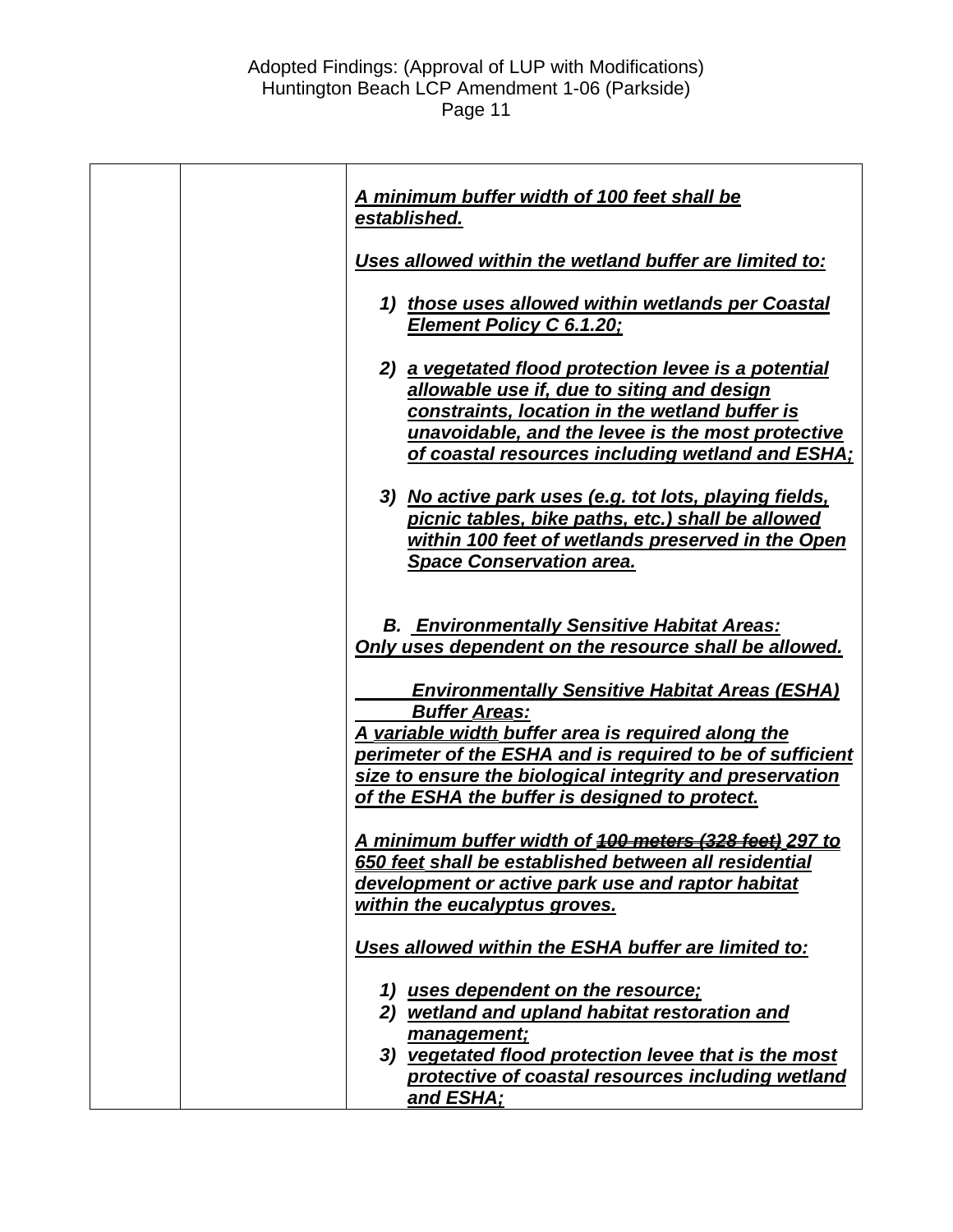| A minimum buffer width of 100 feet shall be<br>established.                                                                                                                                                                                                                                                    |
|----------------------------------------------------------------------------------------------------------------------------------------------------------------------------------------------------------------------------------------------------------------------------------------------------------------|
| Uses allowed within the wetland buffer are limited to:                                                                                                                                                                                                                                                         |
| 1) those uses allowed within wetlands per Coastal<br><b>Element Policy C 6.1.20;</b>                                                                                                                                                                                                                           |
| 2) a vegetated flood protection levee is a potential<br>allowable use if, due to siting and design<br>constraints, location in the wetland buffer is<br>unavoidable, and the levee is the most protective<br>of coastal resources including wetland and ESHA;                                                  |
| 3) No active park uses (e.g. tot lots, playing fields,<br>picnic tables, bike paths, etc.) shall be allowed<br>within 100 feet of wetlands preserved in the Open<br><b>Space Conservation area.</b>                                                                                                            |
| <b>B. Environmentally Sensitive Habitat Areas:</b><br>Only uses dependent on the resource shall be allowed.                                                                                                                                                                                                    |
| <b>Environmentally Sensitive Habitat Areas (ESHA)</b><br><b>Buffer Areas:</b><br>A variable width buffer area is required along the<br>perimeter of the ESHA and is required to be of sufficient<br>size to ensure the biological integrity and preservation<br>of the ESHA the buffer is designed to protect. |
| <u>A minimum buffer width of 400 meters (328 feet) 297 to</u><br>650 feet shall be established between all residential<br>development or active park use and raptor habitat<br>within the eucalyptus groves.                                                                                                   |
| Uses allowed within the ESHA buffer are limited to:                                                                                                                                                                                                                                                            |
| 1) uses dependent on the resource;<br>2) wetland and upland habitat restoration and<br>management;<br>3) vegetated flood protection levee that is the most<br>protective of coastal resources including wetland<br>and ESHA;                                                                                   |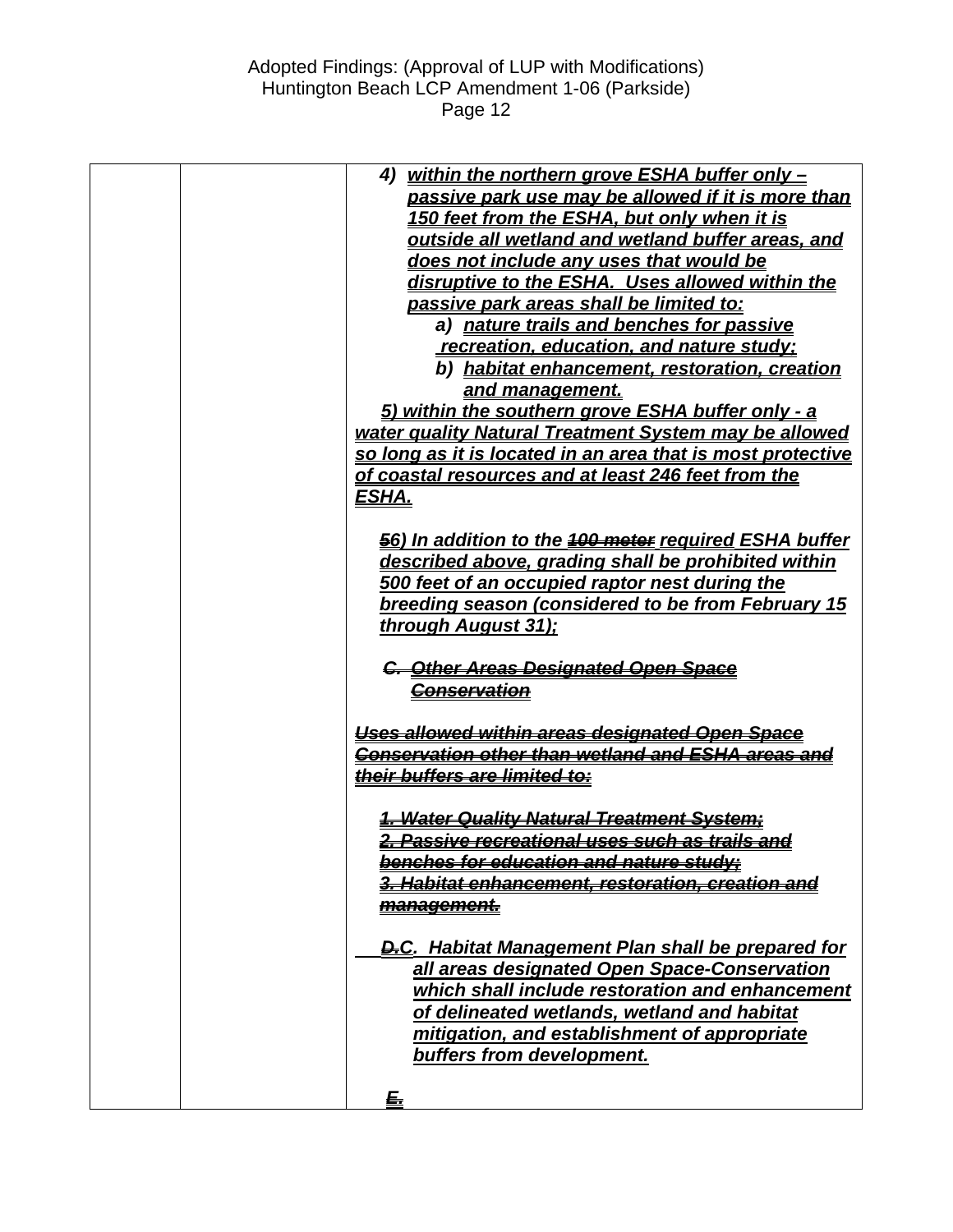| 4) within the northern grove ESHA buffer only -                                                                |
|----------------------------------------------------------------------------------------------------------------|
| passive park use may be allowed if it is more than                                                             |
| 150 feet from the ESHA, but only when it is                                                                    |
| outside all wetland and wetland buffer areas, and                                                              |
| does not include any uses that would be                                                                        |
| disruptive to the ESHA. Uses allowed within the                                                                |
| passive park areas shall be limited to:                                                                        |
| a) nature trails and benches for passive                                                                       |
| recreation, education, and nature study:                                                                       |
| b) habitat enhancement, restoration, creation                                                                  |
| and management.                                                                                                |
| 5) within the southern grove ESHA buffer only - a                                                              |
| water quality Natural Treatment System may be allowed                                                          |
| so long as it is located in an area that is most protective                                                    |
| of coastal resources and at least 246 feet from the                                                            |
| <u>ESHA.</u>                                                                                                   |
|                                                                                                                |
| 56) In addition to the 100 motor required ESHA buffer                                                          |
| described above, grading shall be prohibited within                                                            |
| 500 feet of an occupied raptor nest during the                                                                 |
| breeding season (considered to be from February 15                                                             |
| through August 31);                                                                                            |
|                                                                                                                |
| C. Other Areas Designated Open Space                                                                           |
| <u><del>Conservation</del></u>                                                                                 |
|                                                                                                                |
| Uses allowed within areas designated Open Space                                                                |
| Conservation other than wetland and ESHA areas and                                                             |
| <u>their buffers are limited to:</u>                                                                           |
|                                                                                                                |
| 1. Water Quality Natural Treatment System;                                                                     |
| <del>2. Passive recreational uses such as trails and</del>                                                     |
| <u>benches for education and nature study:</u><br><del>3. Habitat enhancement, restoration, creation and</del> |
|                                                                                                                |
| <u>management.</u>                                                                                             |
| <b>D.C.</b> Habitat Management Plan shall be prepared for                                                      |
| all areas designated Open Space-Conservation                                                                   |
| which shall include restoration and enhancement                                                                |
| of delineated wetlands, wetland and habitat                                                                    |
| mitigation, and establishment of appropriate                                                                   |
| buffers from development.                                                                                      |
|                                                                                                                |
| <u>£</u>                                                                                                       |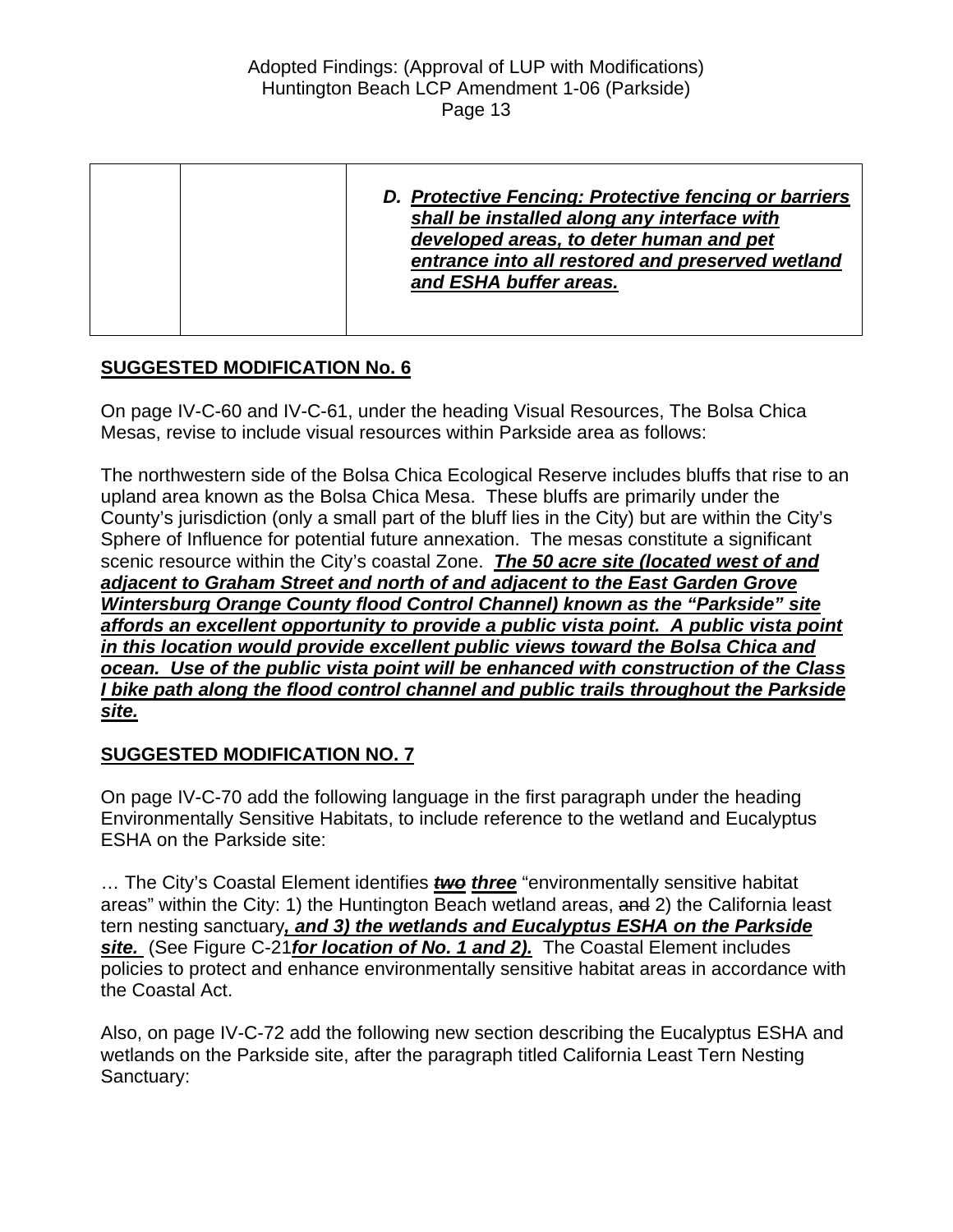# **SUGGESTED MODIFICATION No. 6**

On page IV-C-60 and IV-C-61, under the heading Visual Resources, The Bolsa Chica Mesas, revise to include visual resources within Parkside area as follows:

The northwestern side of the Bolsa Chica Ecological Reserve includes bluffs that rise to an upland area known as the Bolsa Chica Mesa. These bluffs are primarily under the County's jurisdiction (only a small part of the bluff lies in the City) but are within the City's Sphere of Influence for potential future annexation. The mesas constitute a significant scenic resource within the City's coastal Zone. *The 50 acre site (located west of and adjacent to Graham Street and north of and adjacent to the East Garden Grove Wintersburg Orange County flood Control Channel) known as the "Parkside" site affords an excellent opportunity to provide a public vista point. A public vista point in this location would provide excellent public views toward the Bolsa Chica and ocean. Use of the public vista point will be enhanced with construction of the Class I bike path along the flood control channel and public trails throughout the Parkside site.*

# **SUGGESTED MODIFICATION NO. 7**

On page IV-C-70 add the following language in the first paragraph under the heading Environmentally Sensitive Habitats, to include reference to the wetland and Eucalyptus ESHA on the Parkside site:

… The City's Coastal Element identifies *two three* "environmentally sensitive habitat areas" within the City: 1) the Huntington Beach wetland areas, and 2) the California least tern nesting sanctuary*, and 3) the wetlands and Eucalyptus ESHA on the Parkside site.* (See Figure C-21*for location of No. 1 and 2).* The Coastal Element includes policies to protect and enhance environmentally sensitive habitat areas in accordance with the Coastal Act.

Also, on page IV-C-72 add the following new section describing the Eucalyptus ESHA and wetlands on the Parkside site, after the paragraph titled California Least Tern Nesting Sanctuary: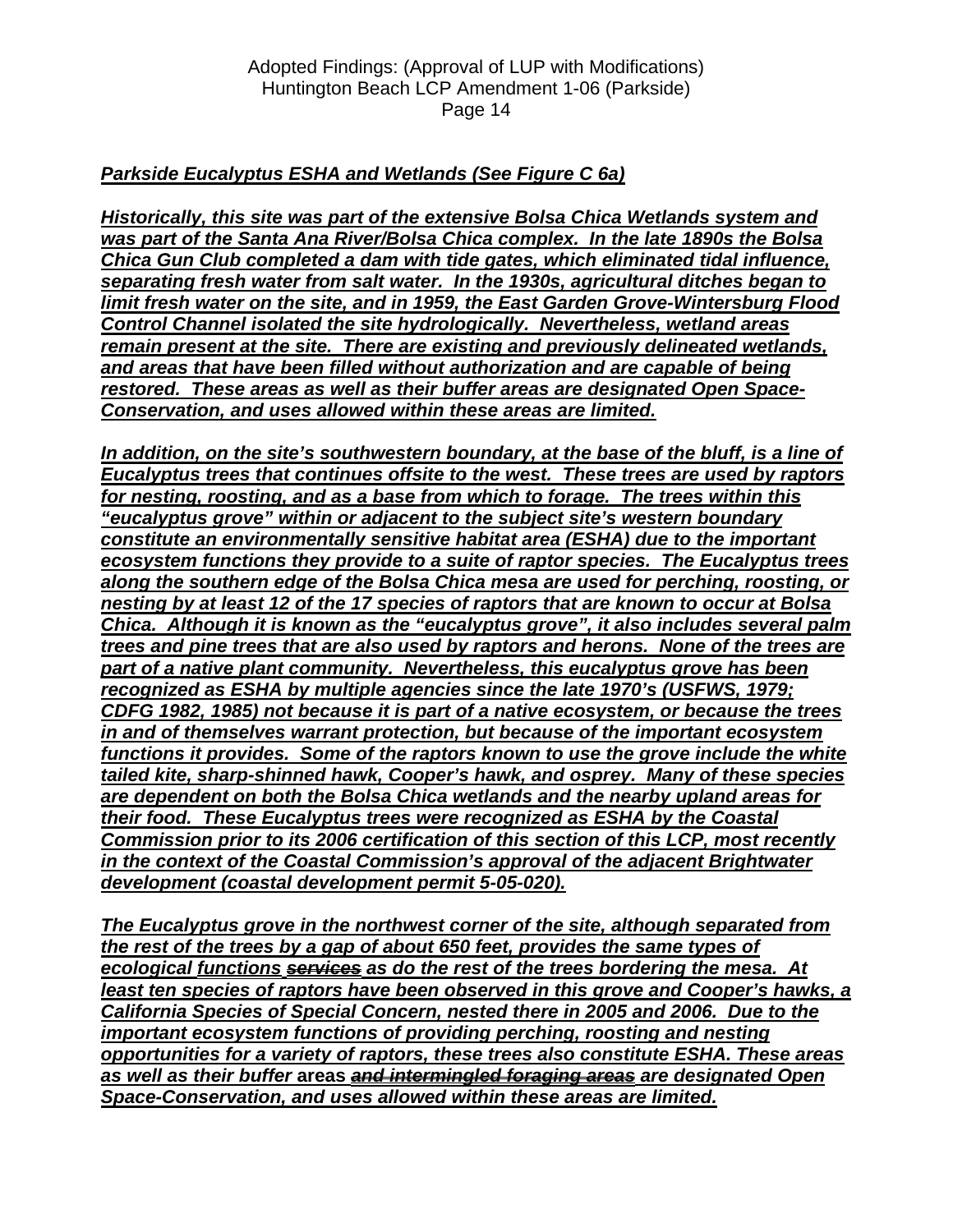# *Parkside Eucalyptus ESHA and Wetlands (See Figure C 6a)*

*Historically, this site was part of the extensive Bolsa Chica Wetlands system and was part of the Santa Ana River/Bolsa Chica complex. In the late 1890s the Bolsa Chica Gun Club completed a dam with tide gates, which eliminated tidal influence, separating fresh water from salt water. In the 1930s, agricultural ditches began to limit fresh water on the site, and in 1959, the East Garden Grove-Wintersburg Flood Control Channel isolated the site hydrologically. Nevertheless, wetland areas remain present at the site. There are existing and previously delineated wetlands, and areas that have been filled without authorization and are capable of being restored. These areas as well as their buffer areas are designated Open Space-Conservation, and uses allowed within these areas are limited.*

*In addition, on the site's southwestern boundary, at the base of the bluff, is a line of Eucalyptus trees that continues offsite to the west. These trees are used by raptors for nesting, roosting, and as a base from which to forage. The trees within this "eucalyptus grove" within or adjacent to the subject site's western boundary constitute an environmentally sensitive habitat area (ESHA) due to the important ecosystem functions they provide to a suite of raptor species. The Eucalyptus trees along the southern edge of the Bolsa Chica mesa are used for perching, roosting, or nesting by at least 12 of the 17 species of raptors that are known to occur at Bolsa Chica. Although it is known as the "eucalyptus grove", it also includes several palm trees and pine trees that are also used by raptors and herons. None of the trees are part of a native plant community. Nevertheless, this eucalyptus grove has been recognized as ESHA by multiple agencies since the late 1970's (USFWS, 1979; CDFG 1982, 1985) not because it is part of a native ecosystem, or because the trees in and of themselves warrant protection, but because of the important ecosystem functions it provides. Some of the raptors known to use the grove include the white tailed kite, sharp-shinned hawk, Cooper's hawk, and osprey. Many of these species are dependent on both the Bolsa Chica wetlands and the nearby upland areas for their food. These Eucalyptus trees were recognized as ESHA by the Coastal Commission prior to its 2006 certification of this section of this LCP, most recently in the context of the Coastal Commission's approval of the adjacent Brightwater development (coastal development permit 5-05-020).*

*The Eucalyptus grove in the northwest corner of the site, although separated from the rest of the trees by a gap of about 650 feet, provides the same types of ecological functions services as do the rest of the trees bordering the mesa. At*  least ten species of raptors have been observed in this grove and Cooper's hawks, a *California Species of Special Concern, nested there in 2005 and 2006. Due to the important ecosystem functions of providing perching, roosting and nesting opportunities for a variety of raptors, these trees also constitute ESHA. These areas as well as their buffer* **areas** *and intermingled foraging areas are designated Open Space-Conservation, and uses allowed within these areas are limited.*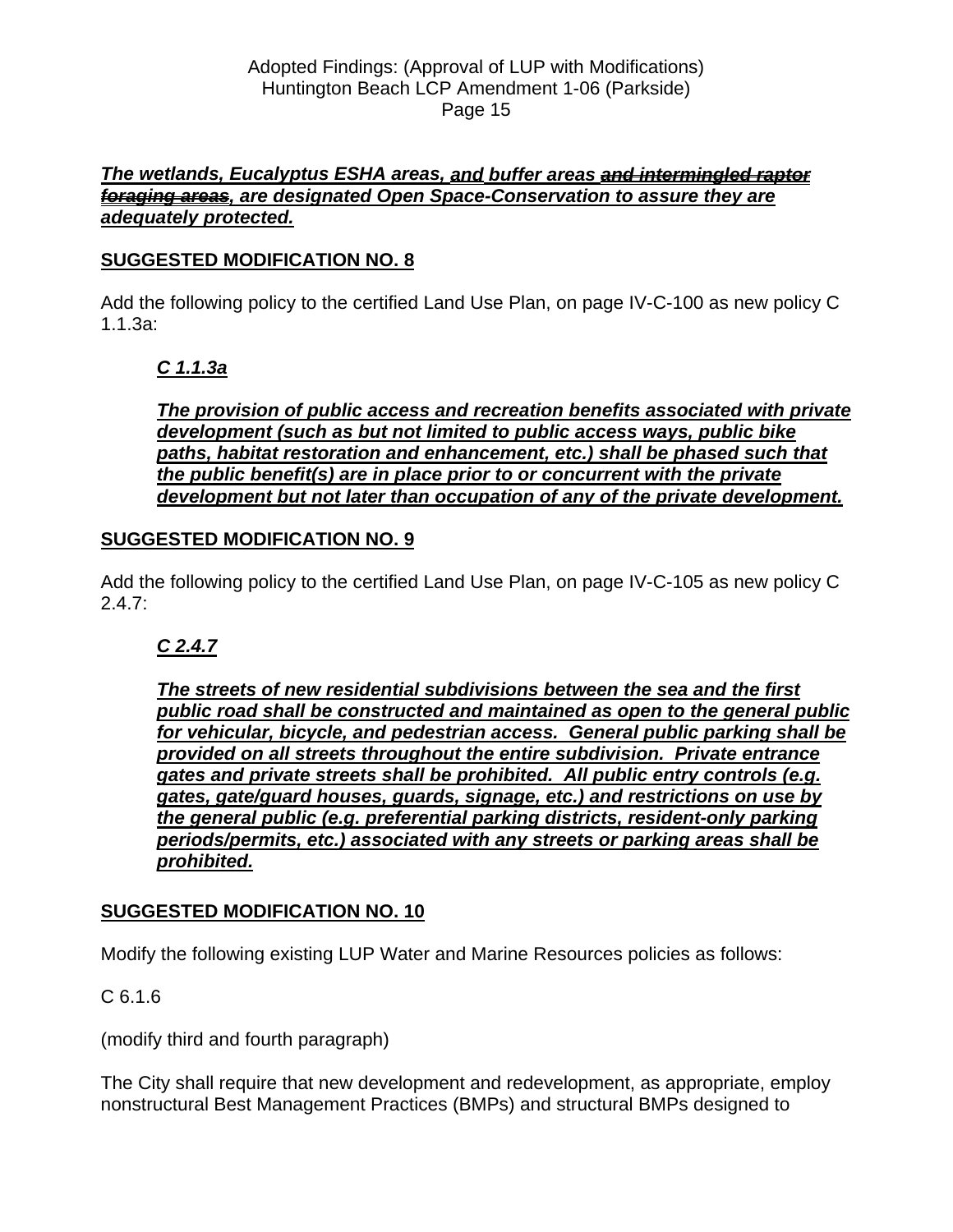### *The wetlands, Eucalyptus ESHA areas, and buffer areas and intermingled raptor foraging areas, are designated Open Space-Conservation to assure they are adequately protected.*

# **SUGGESTED MODIFICATION NO. 8**

Add the following policy to the certified Land Use Plan, on page IV-C-100 as new policy C 1.1.3a:

# *C 1.1.3a*

*The provision of public access and recreation benefits associated with private development (such as but not limited to public access ways, public bike paths, habitat restoration and enhancement, etc.) shall be phased such that the public benefit(s) are in place prior to or concurrent with the private development but not later than occupation of any of the private development.*

# **SUGGESTED MODIFICATION NO. 9**

Add the following policy to the certified Land Use Plan, on page IV-C-105 as new policy C  $2.4.7:$ 

# *C 2.4.7*

*The streets of new residential subdivisions between the sea and the first public road shall be constructed and maintained as open to the general public for vehicular, bicycle, and pedestrian access. General public parking shall be provided on all streets throughout the entire subdivision. Private entrance gates and private streets shall be prohibited. All public entry controls (e.g. gates, gate/guard houses, guards, signage, etc.) and restrictions on use by the general public (e.g. preferential parking districts, resident-only parking periods/permits, etc.) associated with any streets or parking areas shall be prohibited.* 

# **SUGGESTED MODIFICATION NO. 10**

Modify the following existing LUP Water and Marine Resources policies as follows:

# C 6.1.6

(modify third and fourth paragraph)

The City shall require that new development and redevelopment, as appropriate, employ nonstructural Best Management Practices (BMPs) and structural BMPs designed to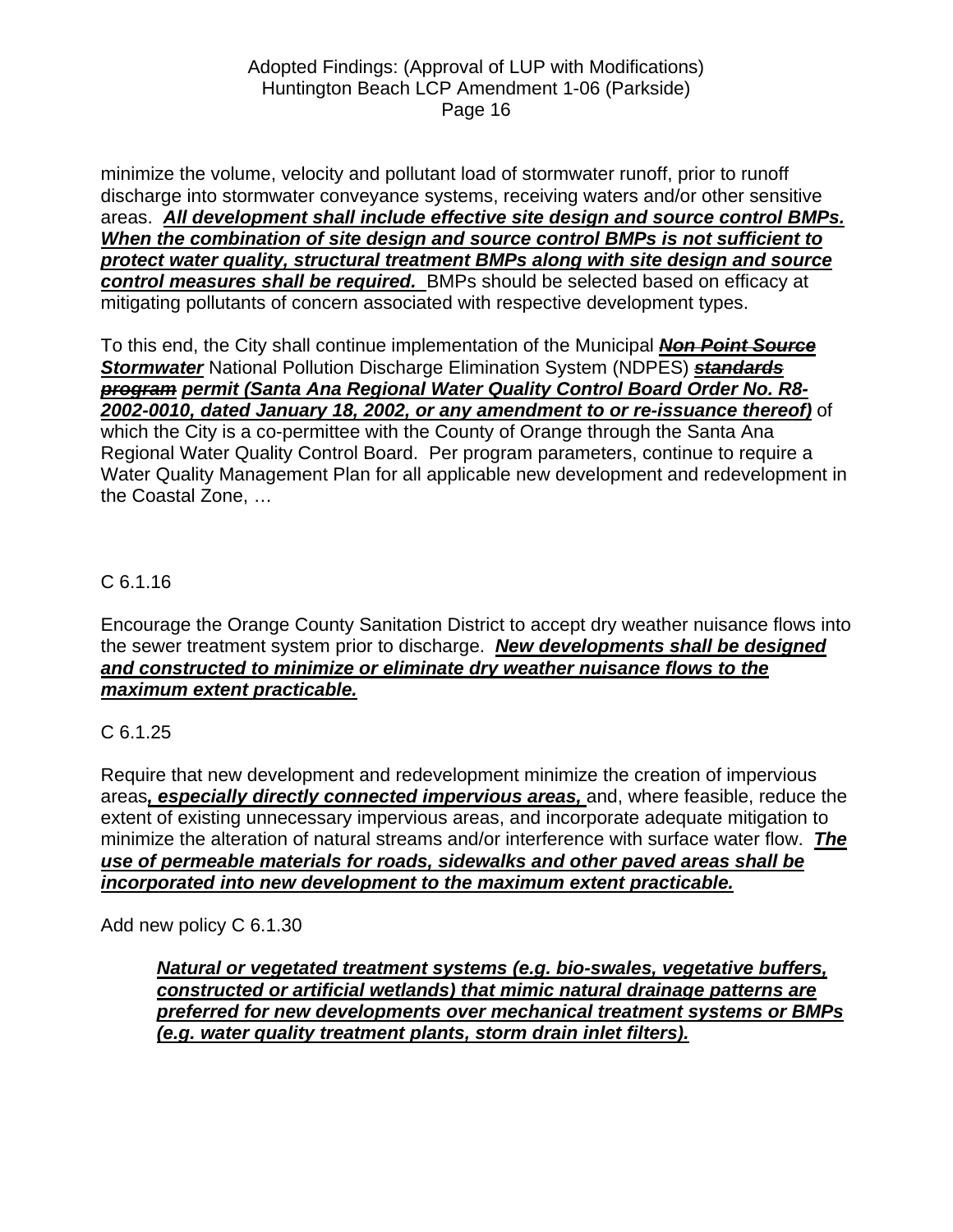minimize the volume, velocity and pollutant load of stormwater runoff, prior to runoff discharge into stormwater conveyance systems, receiving waters and/or other sensitive areas. *All development shall include effective site design and source control BMPs. When the combination of site design and source control BMPs is not sufficient to protect water quality, structural treatment BMPs along with site design and source control measures shall be required.* BMPs should be selected based on efficacy at mitigating pollutants of concern associated with respective development types.

To this end, the City shall continue implementation of the Municipal *Non Point Source Stormwater* National Pollution Discharge Elimination System (NDPES) *standards program permit (Santa Ana Regional Water Quality Control Board Order No. R8- 2002-0010, dated January 18, 2002, or any amendment to or re-issuance thereof)* of which the City is a co-permittee with the County of Orange through the Santa Ana Regional Water Quality Control Board. Per program parameters, continue to require a Water Quality Management Plan for all applicable new development and redevelopment in the Coastal Zone, …

# C 6.1.16

Encourage the Orange County Sanitation District to accept dry weather nuisance flows into the sewer treatment system prior to discharge. *New developments shall be designed and constructed to minimize or eliminate dry weather nuisance flows to the maximum extent practicable.*

# C 6.1.25

Require that new development and redevelopment minimize the creation of impervious areas*, especially directly connected impervious areas,* and, where feasible, reduce the extent of existing unnecessary impervious areas, and incorporate adequate mitigation to minimize the alteration of natural streams and/or interference with surface water flow. *The use of permeable materials for roads, sidewalks and other paved areas shall be incorporated into new development to the maximum extent practicable.*

Add new policy C 6.1.30

*Natural or vegetated treatment systems (e.g. bio-swales, vegetative buffers, constructed or artificial wetlands) that mimic natural drainage patterns are preferred for new developments over mechanical treatment systems or BMPs (e.g. water quality treatment plants, storm drain inlet filters).*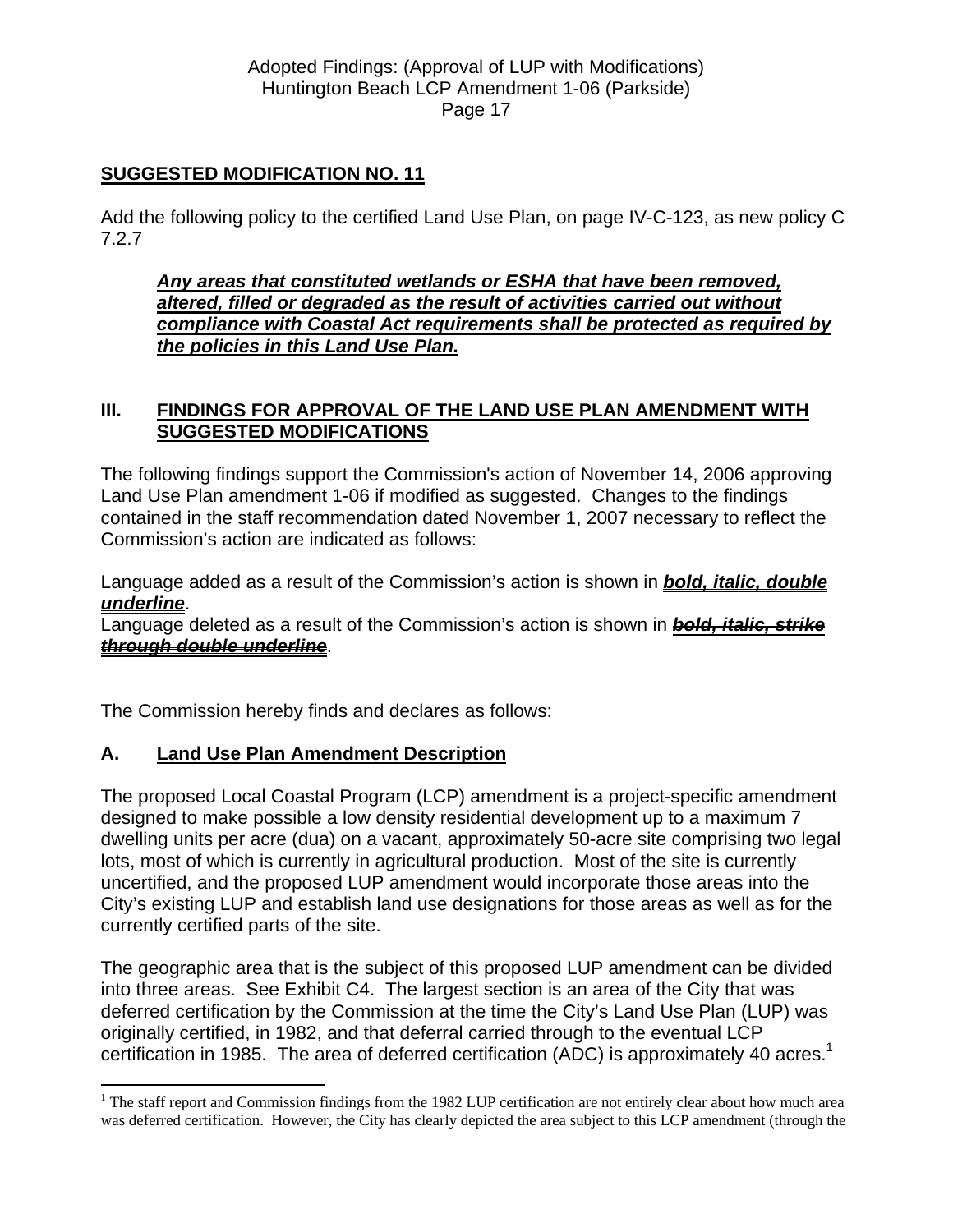### **SUGGESTED MODIFICATION NO. 11**

Add the following policy to the certified Land Use Plan, on page IV-C-123, as new policy C 7.2.7

*Any areas that constituted wetlands or ESHA that have been removed, altered, filled or degraded as the result of activities carried out without compliance with Coastal Act requirements shall be protected as required by the policies in this Land Use Plan.* 

### **III. FINDINGS FOR APPROVAL OF THE LAND USE PLAN AMENDMENT WITH SUGGESTED MODIFICATIONS**

The following findings support the Commission's action of November 14, 2006 approving Land Use Plan amendment 1-06 if modified as suggested. Changes to the findings contained in the staff recommendation dated November 1, 2007 necessary to reflect the Commission's action are indicated as follows:

Language added as a result of the Commission's action is shown in *bold, italic, double underline*.

Language deleted as a result of the Commission's action is shown in *bold, italic, strike through double underline*.

The Commission hereby finds and declares as follows:

### **A. Land Use Plan Amendment Description**

 $\overline{a}$ 

The proposed Local Coastal Program (LCP) amendment is a project-specific amendment designed to make possible a low density residential development up to a maximum 7 dwelling units per acre (dua) on a vacant, approximately 50-acre site comprising two legal lots, most of which is currently in agricultural production. Most of the site is currently uncertified, and the proposed LUP amendment would incorporate those areas into the City's existing LUP and establish land use designations for those areas as well as for the currently certified parts of the site.

The geographic area that is the subject of this proposed LUP amendment can be divided into three areas. See Exhibit C4. The largest section is an area of the City that was deferred certification by the Commission at the time the City's Land Use Plan (LUP) was originally certified, in 1982, and that deferral carried through to the eventual LCP certification in 1985. The area of deferred certification (ADC) is approximately 40 acres.<sup>1</sup>

<span id="page-16-0"></span> $1$  The staff report and Commission findings from the 1982 LUP certification are not entirely clear about how much area was deferred certification. However, the City has clearly depicted the area subject to this LCP amendment (through the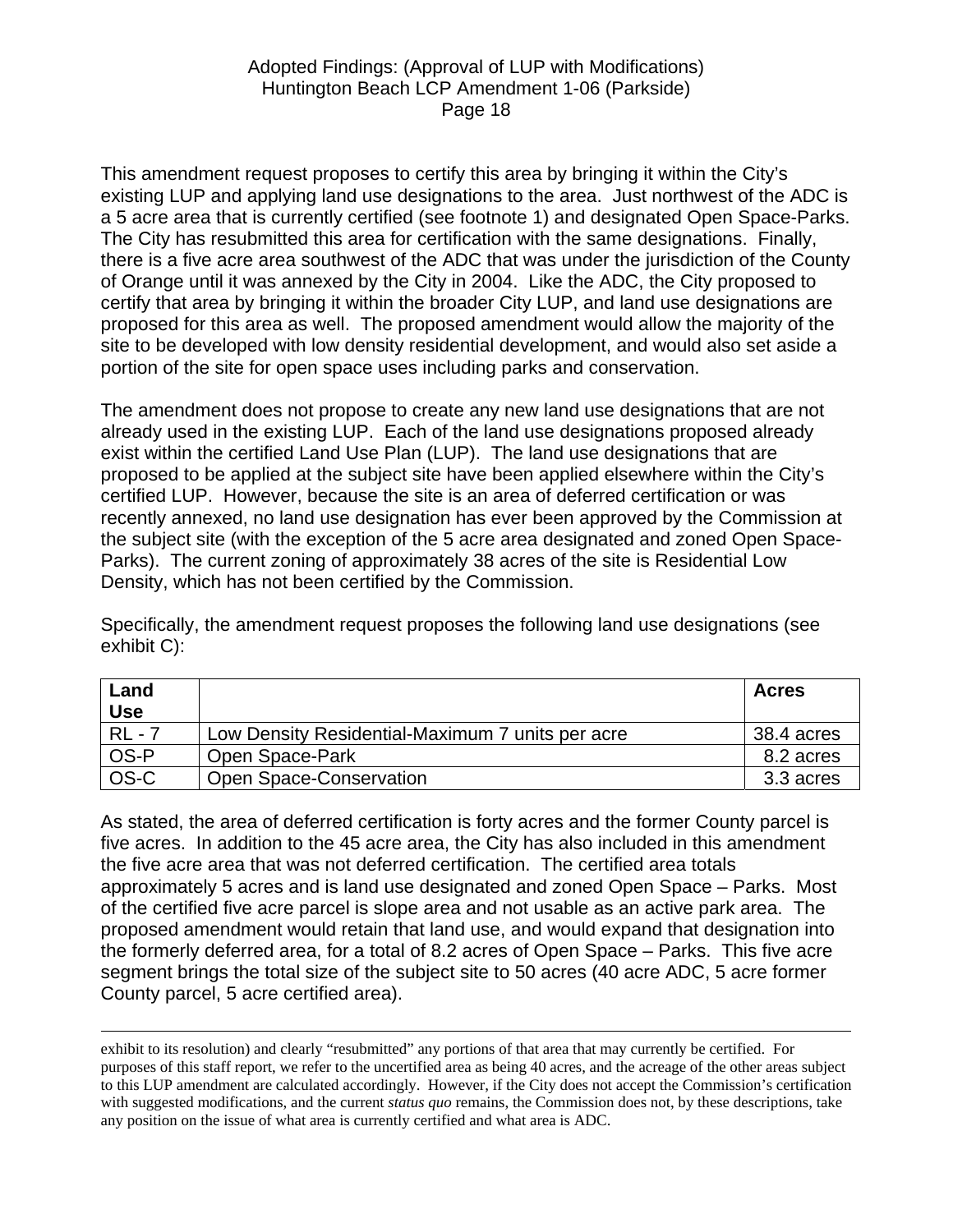This amendment request proposes to certify this area by bringing it within the City's existing LUP and applying land use designations to the area. Just northwest of the ADC is a 5 acre area that is currently certified (see footnote 1) and designated Open Space-Parks. The City has resubmitted this area for certification with the same designations. Finally, there is a five acre area southwest of the ADC that was under the jurisdiction of the County of Orange until it was annexed by the City in 2004. Like the ADC, the City proposed to certify that area by bringing it within the broader City LUP, and land use designations are proposed for this area as well. The proposed amendment would allow the majority of the site to be developed with low density residential development, and would also set aside a portion of the site for open space uses including parks and conservation.

The amendment does not propose to create any new land use designations that are not already used in the existing LUP. Each of the land use designations proposed already exist within the certified Land Use Plan (LUP). The land use designations that are proposed to be applied at the subject site have been applied elsewhere within the City's certified LUP. However, because the site is an area of deferred certification or was recently annexed, no land use designation has ever been approved by the Commission at the subject site (with the exception of the 5 acre area designated and zoned Open Space-Parks). The current zoning of approximately 38 acres of the site is Residential Low Density, which has not been certified by the Commission.

Specifically, the amendment request proposes the following land use designations (see exhibit C):

| Land<br><b>Use</b> |                                                  | <b>Acres</b> |
|--------------------|--------------------------------------------------|--------------|
| $RL - 7$           | Low Density Residential-Maximum 7 units per acre | 38.4 acres   |
| OS-P               | Open Space-Park                                  | 8.2 acres    |
| OS-C               | Open Space-Conservation                          | 3.3 acres    |

As stated, the area of deferred certification is forty acres and the former County parcel is five acres. In addition to the 45 acre area, the City has also included in this amendment the five acre area that was not deferred certification. The certified area totals approximately 5 acres and is land use designated and zoned Open Space – Parks. Most of the certified five acre parcel is slope area and not usable as an active park area. The proposed amendment would retain that land use, and would expand that designation into the formerly deferred area, for a total of 8.2 acres of Open Space – Parks. This five acre segment brings the total size of the subject site to 50 acres (40 acre ADC, 5 acre former County parcel, 5 acre certified area).

 exhibit to its resolution) and clearly "resubmitted" any portions of that area that may currently be certified. For purposes of this staff report, we refer to the uncertified area as being 40 acres, and the acreage of the other areas subject to this LUP amendment are calculated accordingly. However, if the City does not accept the Commission's certification with suggested modifications, and the current *status quo* remains, the Commission does not, by these descriptions, take any position on the issue of what area is currently certified and what area is ADC.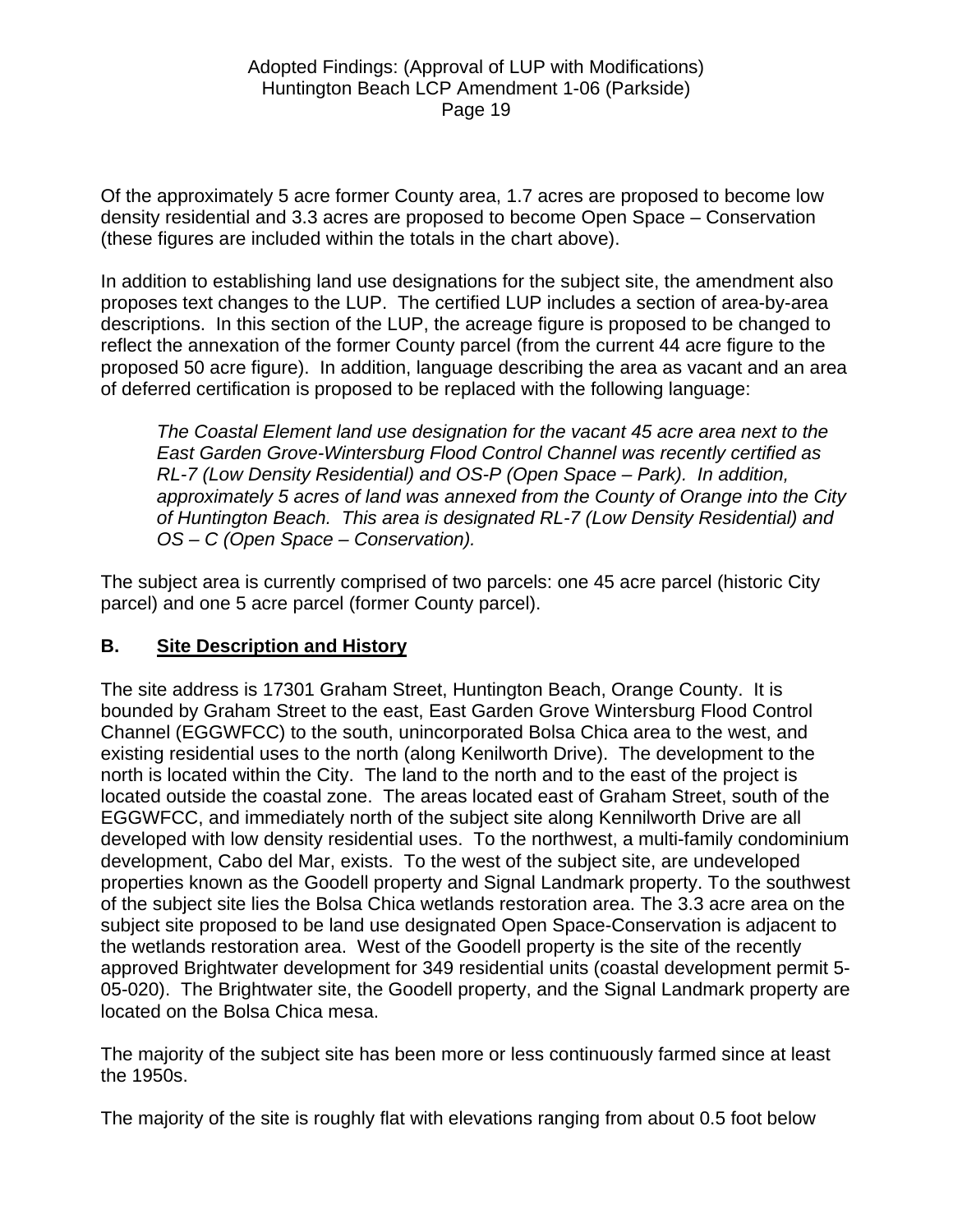Of the approximately 5 acre former County area, 1.7 acres are proposed to become low density residential and 3.3 acres are proposed to become Open Space – Conservation (these figures are included within the totals in the chart above).

In addition to establishing land use designations for the subject site, the amendment also proposes text changes to the LUP. The certified LUP includes a section of area-by-area descriptions. In this section of the LUP, the acreage figure is proposed to be changed to reflect the annexation of the former County parcel (from the current 44 acre figure to the proposed 50 acre figure). In addition, language describing the area as vacant and an area of deferred certification is proposed to be replaced with the following language:

*The Coastal Element land use designation for the vacant 45 acre area next to the East Garden Grove-Wintersburg Flood Control Channel was recently certified as RL-7 (Low Density Residential) and OS-P (Open Space – Park). In addition, approximately 5 acres of land was annexed from the County of Orange into the City of Huntington Beach. This area is designated RL-7 (Low Density Residential) and OS – C (Open Space – Conservation).* 

The subject area is currently comprised of two parcels: one 45 acre parcel (historic City parcel) and one 5 acre parcel (former County parcel).

# **B. Site Description and History**

The site address is 17301 Graham Street, Huntington Beach, Orange County. It is bounded by Graham Street to the east, East Garden Grove Wintersburg Flood Control Channel (EGGWFCC) to the south, unincorporated Bolsa Chica area to the west, and existing residential uses to the north (along Kenilworth Drive). The development to the north is located within the City. The land to the north and to the east of the project is located outside the coastal zone. The areas located east of Graham Street, south of the EGGWFCC, and immediately north of the subject site along Kennilworth Drive are all developed with low density residential uses. To the northwest, a multi-family condominium development, Cabo del Mar, exists. To the west of the subject site, are undeveloped properties known as the Goodell property and Signal Landmark property. To the southwest of the subject site lies the Bolsa Chica wetlands restoration area. The 3.3 acre area on the subject site proposed to be land use designated Open Space-Conservation is adjacent to the wetlands restoration area. West of the Goodell property is the site of the recently approved Brightwater development for 349 residential units (coastal development permit 5- 05-020). The Brightwater site, the Goodell property, and the Signal Landmark property are located on the Bolsa Chica mesa.

The majority of the subject site has been more or less continuously farmed since at least the 1950s.

The majority of the site is roughly flat with elevations ranging from about 0.5 foot below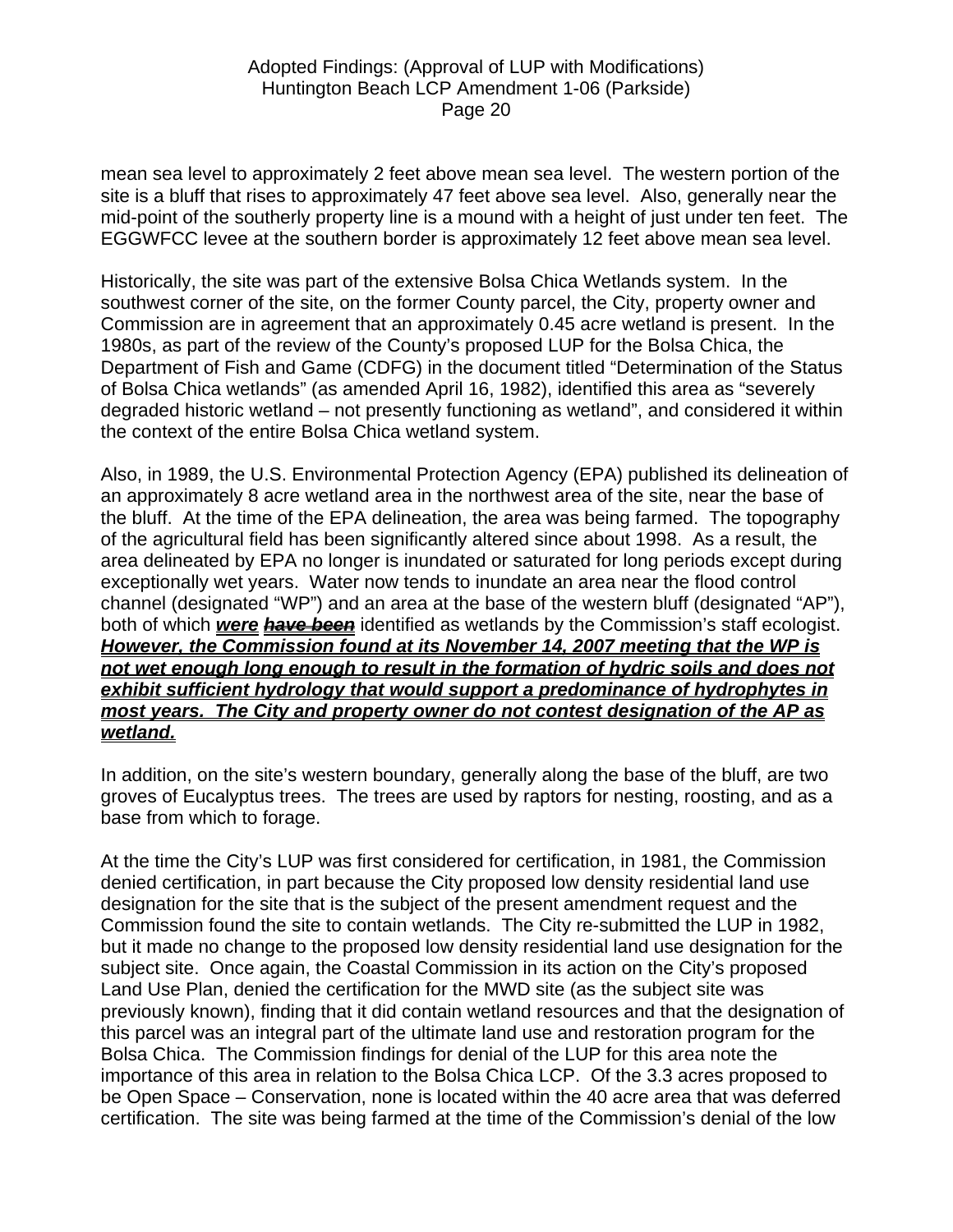mean sea level to approximately 2 feet above mean sea level. The western portion of the site is a bluff that rises to approximately 47 feet above sea level. Also, generally near the mid-point of the southerly property line is a mound with a height of just under ten feet. The EGGWFCC levee at the southern border is approximately 12 feet above mean sea level.

Historically, the site was part of the extensive Bolsa Chica Wetlands system. In the southwest corner of the site, on the former County parcel, the City, property owner and Commission are in agreement that an approximately 0.45 acre wetland is present. In the 1980s, as part of the review of the County's proposed LUP for the Bolsa Chica, the Department of Fish and Game (CDFG) in the document titled "Determination of the Status of Bolsa Chica wetlands" (as amended April 16, 1982), identified this area as "severely degraded historic wetland – not presently functioning as wetland", and considered it within the context of the entire Bolsa Chica wetland system.

Also, in 1989, the U.S. Environmental Protection Agency (EPA) published its delineation of an approximately 8 acre wetland area in the northwest area of the site, near the base of the bluff. At the time of the EPA delineation, the area was being farmed. The topography of the agricultural field has been significantly altered since about 1998. As a result, the area delineated by EPA no longer is inundated or saturated for long periods except during exceptionally wet years. Water now tends to inundate an area near the flood control channel (designated "WP") and an area at the base of the western bluff (designated "AP"), both of which *were have been* identified as wetlands by the Commission's staff ecologist. *However, the Commission found at its November 14, 2007 meeting that the WP is not wet enough long enough to result in the formation of hydric soils and does not exhibit sufficient hydrology that would support a predominance of hydrophytes in most years. The City and property owner do not contest designation of the AP as wetland.* 

In addition, on the site's western boundary, generally along the base of the bluff, are two groves of Eucalyptus trees. The trees are used by raptors for nesting, roosting, and as a base from which to forage.

At the time the City's LUP was first considered for certification, in 1981, the Commission denied certification, in part because the City proposed low density residential land use designation for the site that is the subject of the present amendment request and the Commission found the site to contain wetlands. The City re-submitted the LUP in 1982, but it made no change to the proposed low density residential land use designation for the subject site. Once again, the Coastal Commission in its action on the City's proposed Land Use Plan, denied the certification for the MWD site (as the subject site was previously known), finding that it did contain wetland resources and that the designation of this parcel was an integral part of the ultimate land use and restoration program for the Bolsa Chica. The Commission findings for denial of the LUP for this area note the importance of this area in relation to the Bolsa Chica LCP. Of the 3.3 acres proposed to be Open Space – Conservation, none is located within the 40 acre area that was deferred certification. The site was being farmed at the time of the Commission's denial of the low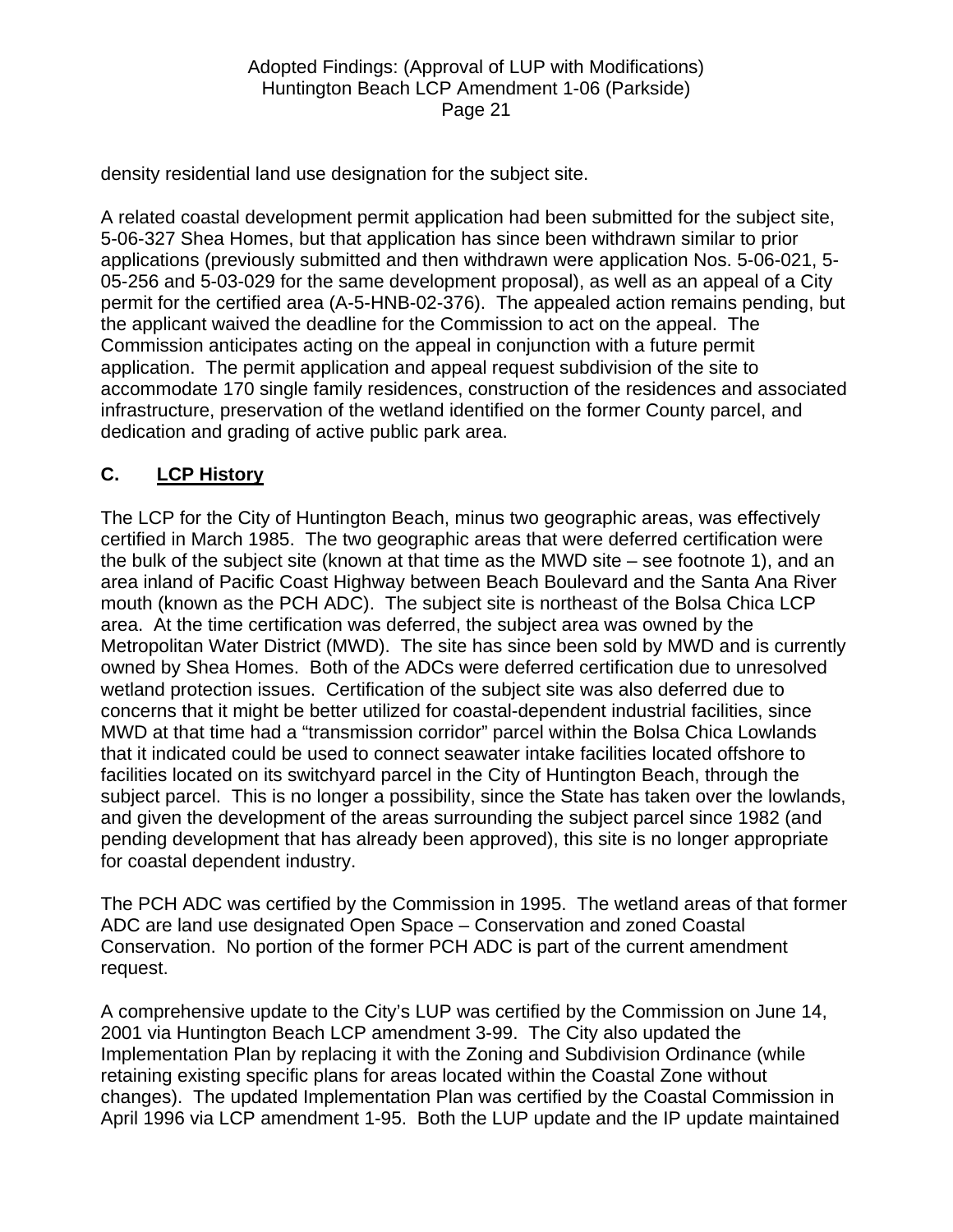density residential land use designation for the subject site.

A related coastal development permit application had been submitted for the subject site, 5-06-327 Shea Homes, but that application has since been withdrawn similar to prior applications (previously submitted and then withdrawn were application Nos. 5-06-021, 5- 05-256 and 5-03-029 for the same development proposal), as well as an appeal of a City permit for the certified area (A-5-HNB-02-376). The appealed action remains pending, but the applicant waived the deadline for the Commission to act on the appeal. The Commission anticipates acting on the appeal in conjunction with a future permit application. The permit application and appeal request subdivision of the site to accommodate 170 single family residences, construction of the residences and associated infrastructure, preservation of the wetland identified on the former County parcel, and dedication and grading of active public park area.

# **C. LCP History**

The LCP for the City of Huntington Beach, minus two geographic areas, was effectively certified in March 1985. The two geographic areas that were deferred certification were the bulk of the subject site (known at that time as the MWD site – see footnote 1), and an area inland of Pacific Coast Highway between Beach Boulevard and the Santa Ana River mouth (known as the PCH ADC). The subject site is northeast of the Bolsa Chica LCP area. At the time certification was deferred, the subject area was owned by the Metropolitan Water District (MWD). The site has since been sold by MWD and is currently owned by Shea Homes. Both of the ADCs were deferred certification due to unresolved wetland protection issues. Certification of the subject site was also deferred due to concerns that it might be better utilized for coastal-dependent industrial facilities, since MWD at that time had a "transmission corridor" parcel within the Bolsa Chica Lowlands that it indicated could be used to connect seawater intake facilities located offshore to facilities located on its switchyard parcel in the City of Huntington Beach, through the subject parcel. This is no longer a possibility, since the State has taken over the lowlands, and given the development of the areas surrounding the subject parcel since 1982 (and pending development that has already been approved), this site is no longer appropriate for coastal dependent industry.

The PCH ADC was certified by the Commission in 1995. The wetland areas of that former ADC are land use designated Open Space – Conservation and zoned Coastal Conservation. No portion of the former PCH ADC is part of the current amendment request.

A comprehensive update to the City's LUP was certified by the Commission on June 14, 2001 via Huntington Beach LCP amendment 3-99. The City also updated the Implementation Plan by replacing it with the Zoning and Subdivision Ordinance (while retaining existing specific plans for areas located within the Coastal Zone without changes). The updated Implementation Plan was certified by the Coastal Commission in April 1996 via LCP amendment 1-95. Both the LUP update and the IP update maintained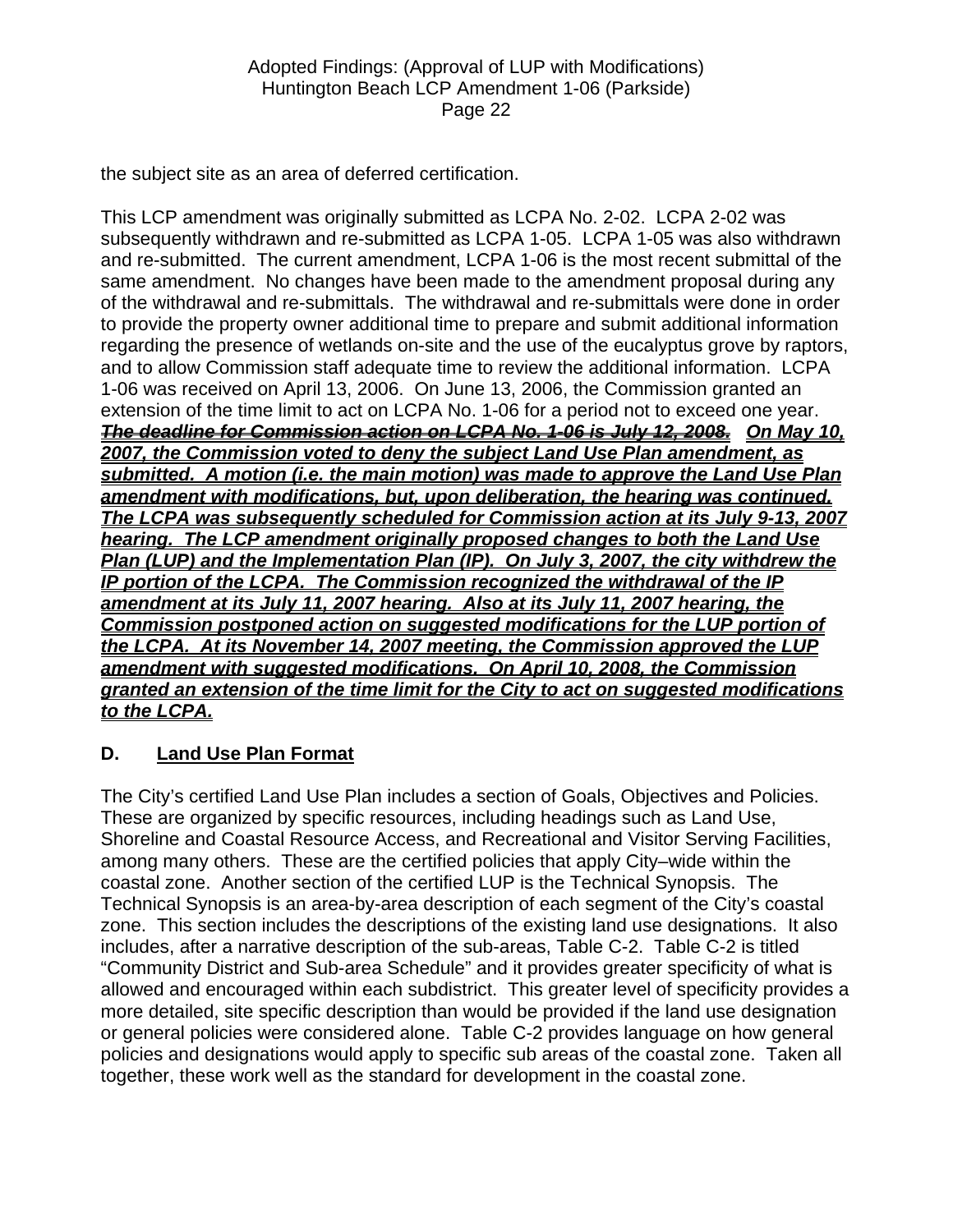the subject site as an area of deferred certification.

This LCP amendment was originally submitted as LCPA No. 2-02. LCPA 2-02 was subsequently withdrawn and re-submitted as LCPA 1-05. LCPA 1-05 was also withdrawn and re-submitted. The current amendment, LCPA 1-06 is the most recent submittal of the same amendment. No changes have been made to the amendment proposal during any of the withdrawal and re-submittals. The withdrawal and re-submittals were done in order to provide the property owner additional time to prepare and submit additional information regarding the presence of wetlands on-site and the use of the eucalyptus grove by raptors, and to allow Commission staff adequate time to review the additional information. LCPA 1-06 was received on April 13, 2006. On June 13, 2006, the Commission granted an extension of the time limit to act on LCPA No. 1-06 for a period not to exceed one year. *The deadline for Commission action on LCPA No. 1-06 is July 12, 2008. On May 10, 2007, the Commission voted to deny the subject Land Use Plan amendment, as submitted. A motion (i.e. the main motion) was made to approve the Land Use Plan amendment with modifications, but, upon deliberation, the hearing was continued. The LCPA was subsequently scheduled for Commission action at its July 9-13, 2007 hearing. The LCP amendment originally proposed changes to both the Land Use Plan (LUP) and the Implementation Plan (IP). On July 3, 2007, the city withdrew the IP portion of the LCPA. The Commission recognized the withdrawal of the IP amendment at its July 11, 2007 hearing. Also at its July 11, 2007 hearing, the Commission postponed action on suggested modifications for the LUP portion of the LCPA. At its November 14, 2007 meeting, the Commission approved the LUP amendment with suggested modifications. On April 10, 2008, the Commission granted an extension of the time limit for the City to act on suggested modifications to the LCPA.* 

### **D. Land Use Plan Format**

The City's certified Land Use Plan includes a section of Goals, Objectives and Policies. These are organized by specific resources, including headings such as Land Use, Shoreline and Coastal Resource Access, and Recreational and Visitor Serving Facilities, among many others. These are the certified policies that apply City–wide within the coastal zone. Another section of the certified LUP is the Technical Synopsis. The Technical Synopsis is an area-by-area description of each segment of the City's coastal zone. This section includes the descriptions of the existing land use designations. It also includes, after a narrative description of the sub-areas, Table C-2. Table C-2 is titled "Community District and Sub-area Schedule" and it provides greater specificity of what is allowed and encouraged within each subdistrict. This greater level of specificity provides a more detailed, site specific description than would be provided if the land use designation or general policies were considered alone. Table C-2 provides language on how general policies and designations would apply to specific sub areas of the coastal zone. Taken all together, these work well as the standard for development in the coastal zone.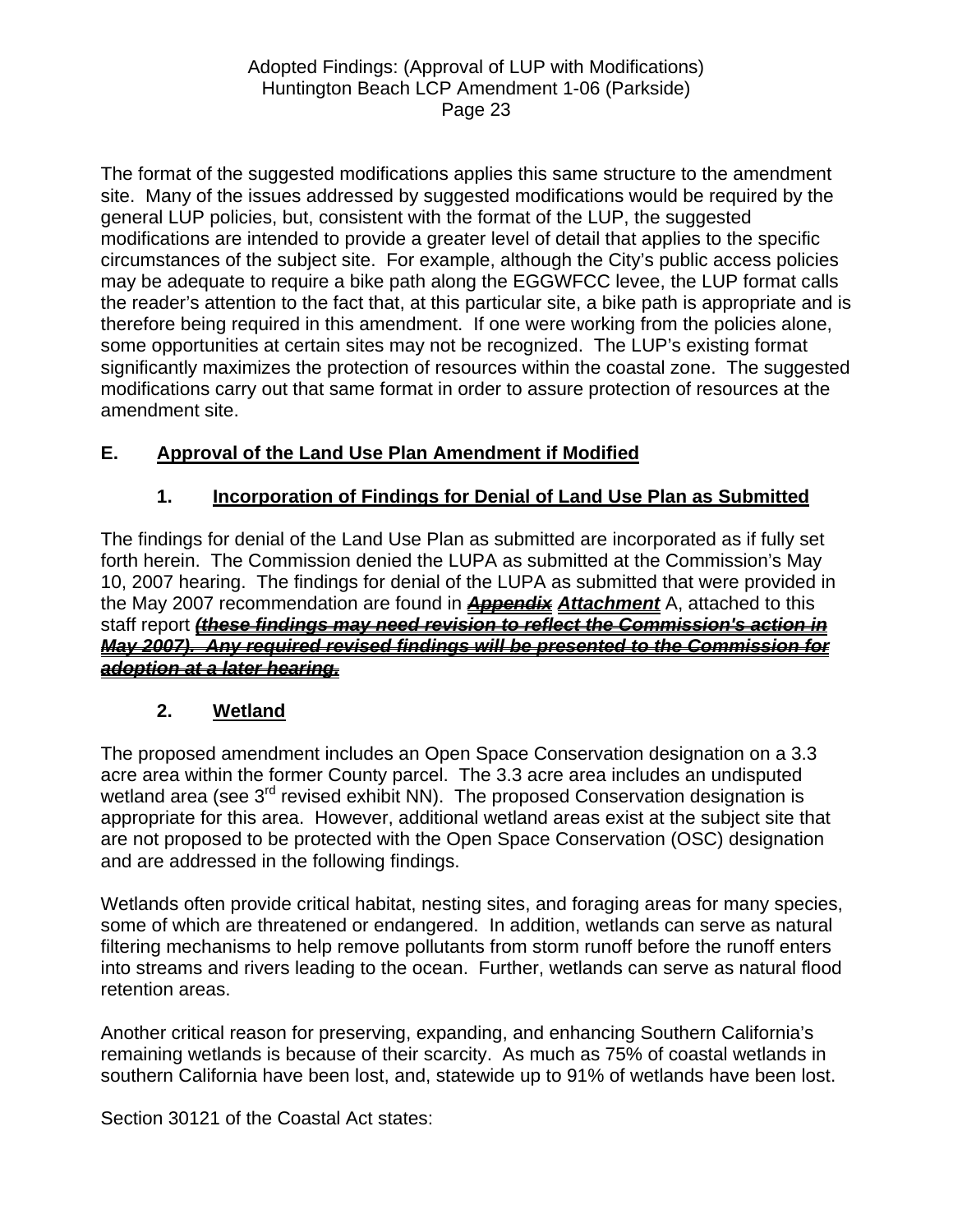The format of the suggested modifications applies this same structure to the amendment site. Many of the issues addressed by suggested modifications would be required by the general LUP policies, but, consistent with the format of the LUP, the suggested modifications are intended to provide a greater level of detail that applies to the specific circumstances of the subject site. For example, although the City's public access policies may be adequate to require a bike path along the EGGWFCC levee, the LUP format calls the reader's attention to the fact that, at this particular site, a bike path is appropriate and is therefore being required in this amendment. If one were working from the policies alone, some opportunities at certain sites may not be recognized. The LUP's existing format significantly maximizes the protection of resources within the coastal zone. The suggested modifications carry out that same format in order to assure protection of resources at the amendment site.

# **E. Approval of the Land Use Plan Amendment if Modified**

# **1. Incorporation of Findings for Denial of Land Use Plan as Submitted**

The findings for denial of the Land Use Plan as submitted are incorporated as if fully set forth herein. The Commission denied the LUPA as submitted at the Commission's May 10, 2007 hearing. The findings for denial of the LUPA as submitted that were provided in the May 2007 recommendation are found in *Appendix Attachment* A, attached to this staff report *(these findings may need revision to reflect the Commission's action in May 2007). Any required revised findings will be presented to the Commission for adoption at a later hearing.*

# **2. Wetland**

The proposed amendment includes an Open Space Conservation designation on a 3.3 acre area within the former County parcel. The 3.3 acre area includes an undisputed wetland area (see 3<sup>rd</sup> revised exhibit NN). The proposed Conservation designation is appropriate for this area. However, additional wetland areas exist at the subject site that are not proposed to be protected with the Open Space Conservation (OSC) designation and are addressed in the following findings.

Wetlands often provide critical habitat, nesting sites, and foraging areas for many species, some of which are threatened or endangered. In addition, wetlands can serve as natural filtering mechanisms to help remove pollutants from storm runoff before the runoff enters into streams and rivers leading to the ocean. Further, wetlands can serve as natural flood retention areas.

Another critical reason for preserving, expanding, and enhancing Southern California's remaining wetlands is because of their scarcity. As much as 75% of coastal wetlands in southern California have been lost, and, statewide up to 91% of wetlands have been lost.

Section 30121 of the Coastal Act states: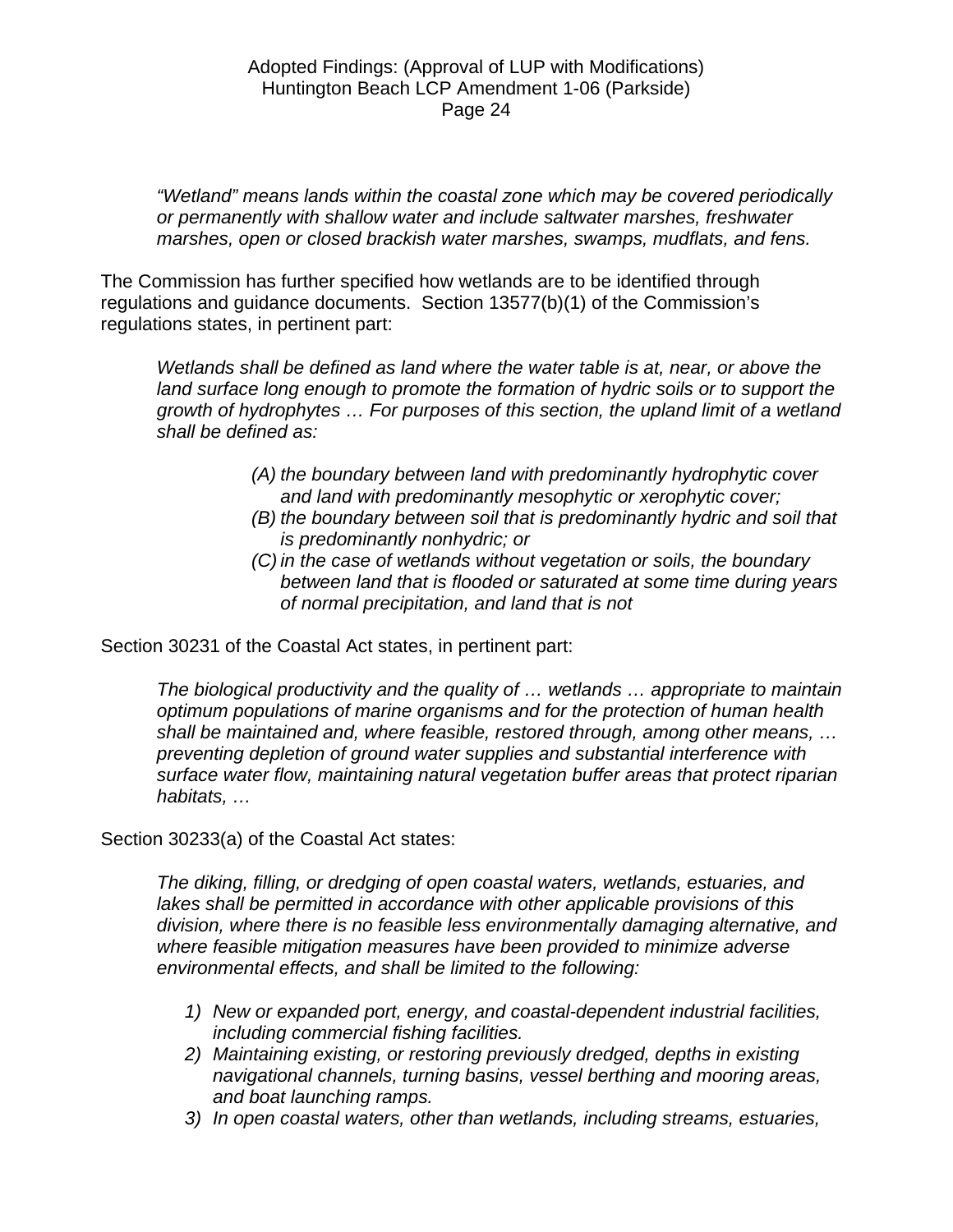*"Wetland" means lands within the coastal zone which may be covered periodically or permanently with shallow water and include saltwater marshes, freshwater marshes, open or closed brackish water marshes, swamps, mudflats, and fens.* 

The Commission has further specified how wetlands are to be identified through regulations and guidance documents. Section 13577(b)(1) of the Commission's regulations states, in pertinent part:

*Wetlands shall be defined as land where the water table is at, near, or above the*  land surface long enough to promote the formation of hydric soils or to support the *growth of hydrophytes … For purposes of this section, the upland limit of a wetland shall be defined as:* 

- *(A) the boundary between land with predominantly hydrophytic cover and land with predominantly mesophytic or xerophytic cover;*
- *(B) the boundary between soil that is predominantly hydric and soil that is predominantly nonhydric; or*
- *(C) in the case of wetlands without vegetation or soils, the boundary between land that is flooded or saturated at some time during years of normal precipitation, and land that is not*

Section 30231 of the Coastal Act states, in pertinent part:

*The biological productivity and the quality of … wetlands … appropriate to maintain optimum populations of marine organisms and for the protection of human health shall be maintained and, where feasible, restored through, among other means, … preventing depletion of ground water supplies and substantial interference with surface water flow, maintaining natural vegetation buffer areas that protect riparian habitats, …* 

Section 30233(a) of the Coastal Act states:

*The diking, filling, or dredging of open coastal waters, wetlands, estuaries, and lakes shall be permitted in accordance with other applicable provisions of this division, where there is no feasible less environmentally damaging alternative, and where feasible mitigation measures have been provided to minimize adverse environmental effects, and shall be limited to the following:* 

- *1) New or expanded port, energy, and coastal-dependent industrial facilities, including commercial fishing facilities.*
- *2) Maintaining existing, or restoring previously dredged, depths in existing navigational channels, turning basins, vessel berthing and mooring areas, and boat launching ramps.*
- *3) In open coastal waters, other than wetlands, including streams, estuaries,*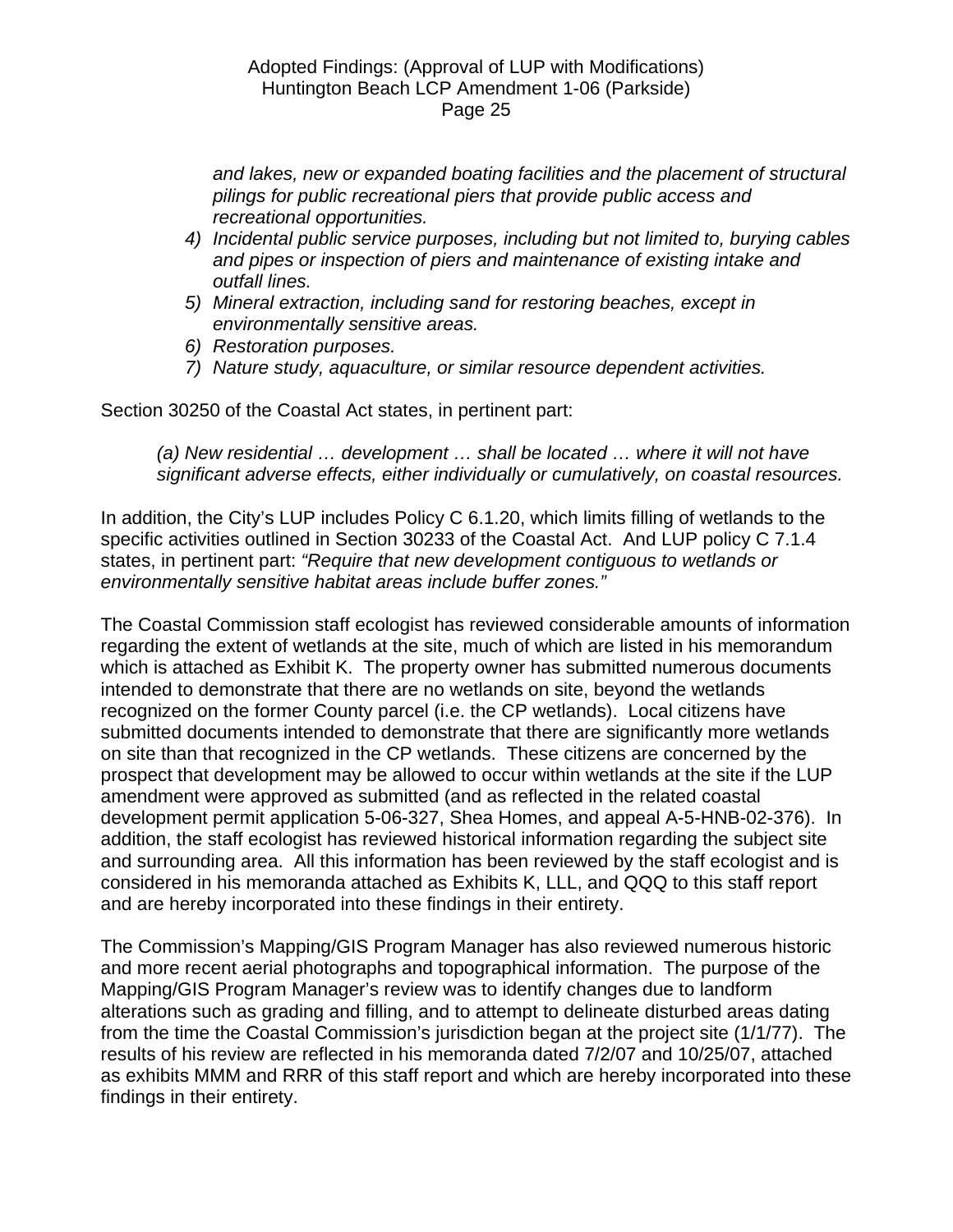*and lakes, new or expanded boating facilities and the placement of structural pilings for public recreational piers that provide public access and recreational opportunities.* 

- *4) Incidental public service purposes, including but not limited to, burying cables and pipes or inspection of piers and maintenance of existing intake and outfall lines.*
- *5) Mineral extraction, including sand for restoring beaches, except in environmentally sensitive areas.*
- *6) Restoration purposes.*
- *7) Nature study, aquaculture, or similar resource dependent activities.*

Section 30250 of the Coastal Act states, in pertinent part:

*(a) New residential … development … shall be located … where it will not have significant adverse effects, either individually or cumulatively, on coastal resources.* 

In addition, the City's LUP includes Policy C 6.1.20, which limits filling of wetlands to the specific activities outlined in Section 30233 of the Coastal Act. And LUP policy C 7.1.4 states, in pertinent part: *"Require that new development contiguous to wetlands or environmentally sensitive habitat areas include buffer zones."*

The Coastal Commission staff ecologist has reviewed considerable amounts of information regarding the extent of wetlands at the site, much of which are listed in his memorandum which is attached as Exhibit K. The property owner has submitted numerous documents intended to demonstrate that there are no wetlands on site, beyond the wetlands recognized on the former County parcel (i.e. the CP wetlands). Local citizens have submitted documents intended to demonstrate that there are significantly more wetlands on site than that recognized in the CP wetlands. These citizens are concerned by the prospect that development may be allowed to occur within wetlands at the site if the LUP amendment were approved as submitted (and as reflected in the related coastal development permit application 5-06-327, Shea Homes, and appeal A-5-HNB-02-376). In addition, the staff ecologist has reviewed historical information regarding the subject site and surrounding area. All this information has been reviewed by the staff ecologist and is considered in his memoranda attached as Exhibits K, LLL, and QQQ to this staff report and are hereby incorporated into these findings in their entirety.

The Commission's Mapping/GIS Program Manager has also reviewed numerous historic and more recent aerial photographs and topographical information. The purpose of the Mapping/GIS Program Manager's review was to identify changes due to landform alterations such as grading and filling, and to attempt to delineate disturbed areas dating from the time the Coastal Commission's jurisdiction began at the project site (1/1/77). The results of his review are reflected in his memoranda dated 7/2/07 and 10/25/07, attached as exhibits MMM and RRR of this staff report and which are hereby incorporated into these findings in their entirety.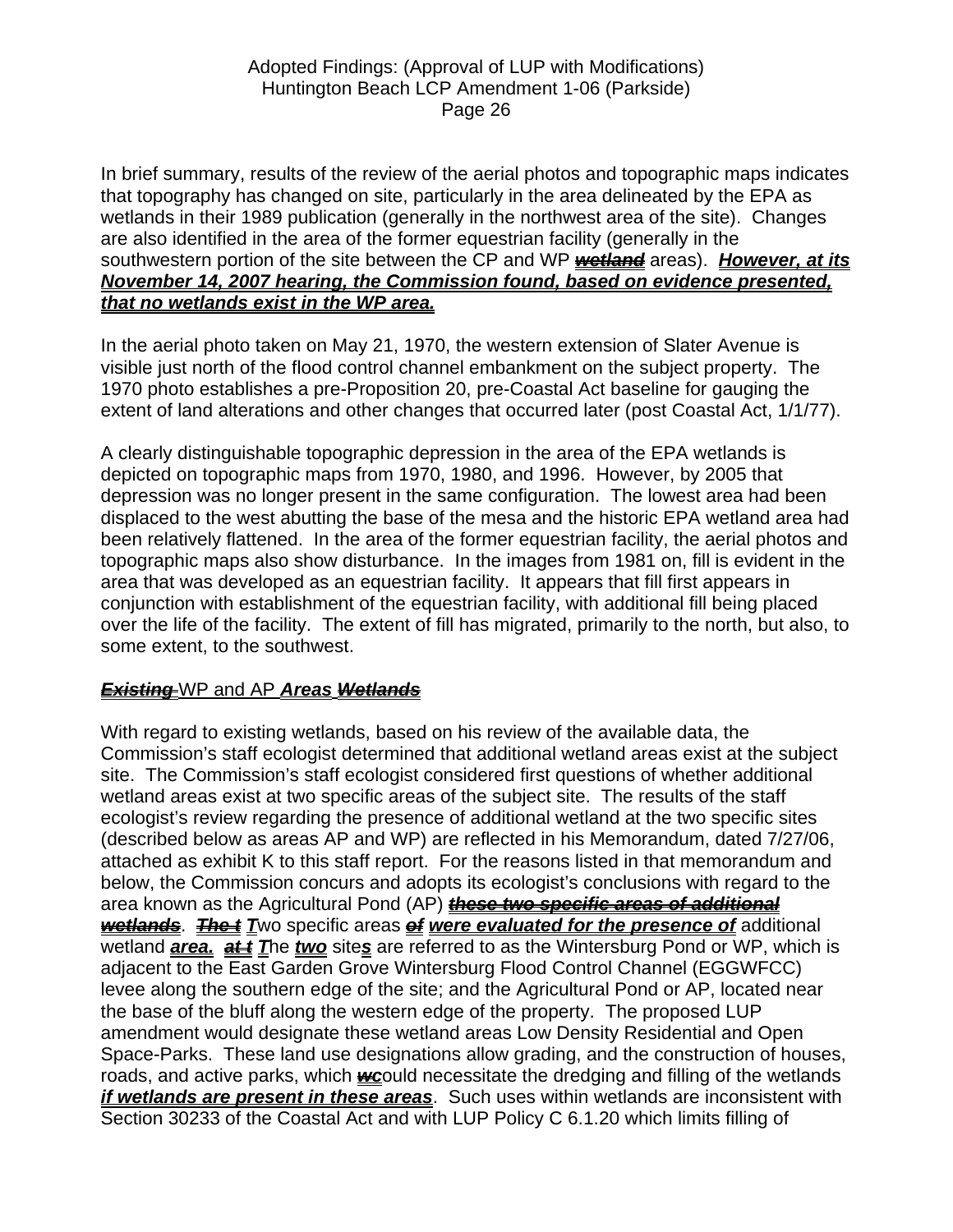In brief summary, results of the review of the aerial photos and topographic maps indicates that topography has changed on site, particularly in the area delineated by the EPA as wetlands in their 1989 publication (generally in the northwest area of the site). Changes are also identified in the area of the former equestrian facility (generally in the southwestern portion of the site between the CP and WP *wetland* areas). *However, at its November 14, 2007 hearing, the Commission found, based on evidence presented, that no wetlands exist in the WP area.*

In the aerial photo taken on May 21, 1970, the western extension of Slater Avenue is visible just north of the flood control channel embankment on the subject property. The 1970 photo establishes a pre-Proposition 20, pre-Coastal Act baseline for gauging the extent of land alterations and other changes that occurred later (post Coastal Act, 1/1/77).

A clearly distinguishable topographic depression in the area of the EPA wetlands is depicted on topographic maps from 1970, 1980, and 1996. However, by 2005 that depression was no longer present in the same configuration. The lowest area had been displaced to the west abutting the base of the mesa and the historic EPA wetland area had been relatively flattened. In the area of the former equestrian facility, the aerial photos and topographic maps also show disturbance. In the images from 1981 on, fill is evident in the area that was developed as an equestrian facility. It appears that fill first appears in conjunction with establishment of the equestrian facility, with additional fill being placed over the life of the facility. The extent of fill has migrated, primarily to the north, but also, to some extent, to the southwest.

# *Existing* WP and AP *Areas Wetlands*

With regard to existing wetlands, based on his review of the available data, the Commission's staff ecologist determined that additional wetland areas exist at the subject site. The Commission's staff ecologist considered first questions of whether additional wetland areas exist at two specific areas of the subject site. The results of the staff ecologist's review regarding the presence of additional wetland at the two specific sites (described below as areas AP and WP) are reflected in his Memorandum, dated 7/27/06, attached as exhibit K to this staff report. For the reasons listed in that memorandum and below, the Commission concurs and adopts its ecologist's conclusions with regard to the area known as the Agricultural Pond (AP) *these two specific areas of additional wetlands. The t Two specific areas of were evaluated for the presence of additional* wetland **area. at** *t* The *two* sites are referred to as the Wintersburg Pond or WP, which is adjacent to the East Garden Grove Wintersburg Flood Control Channel (EGGWFCC) levee along the southern edge of the site; and the Agricultural Pond or AP, located near the base of the bluff along the western edge of the property. The proposed LUP amendment would designate these wetland areas Low Density Residential and Open Space-Parks. These land use designations allow grading, and the construction of houses, roads, and active parks, which *wc*ould necessitate the dredging and filling of the wetlands *if wetlands are present in these areas*. Such uses within wetlands are inconsistent with Section 30233 of the Coastal Act and with LUP Policy C 6.1.20 which limits filling of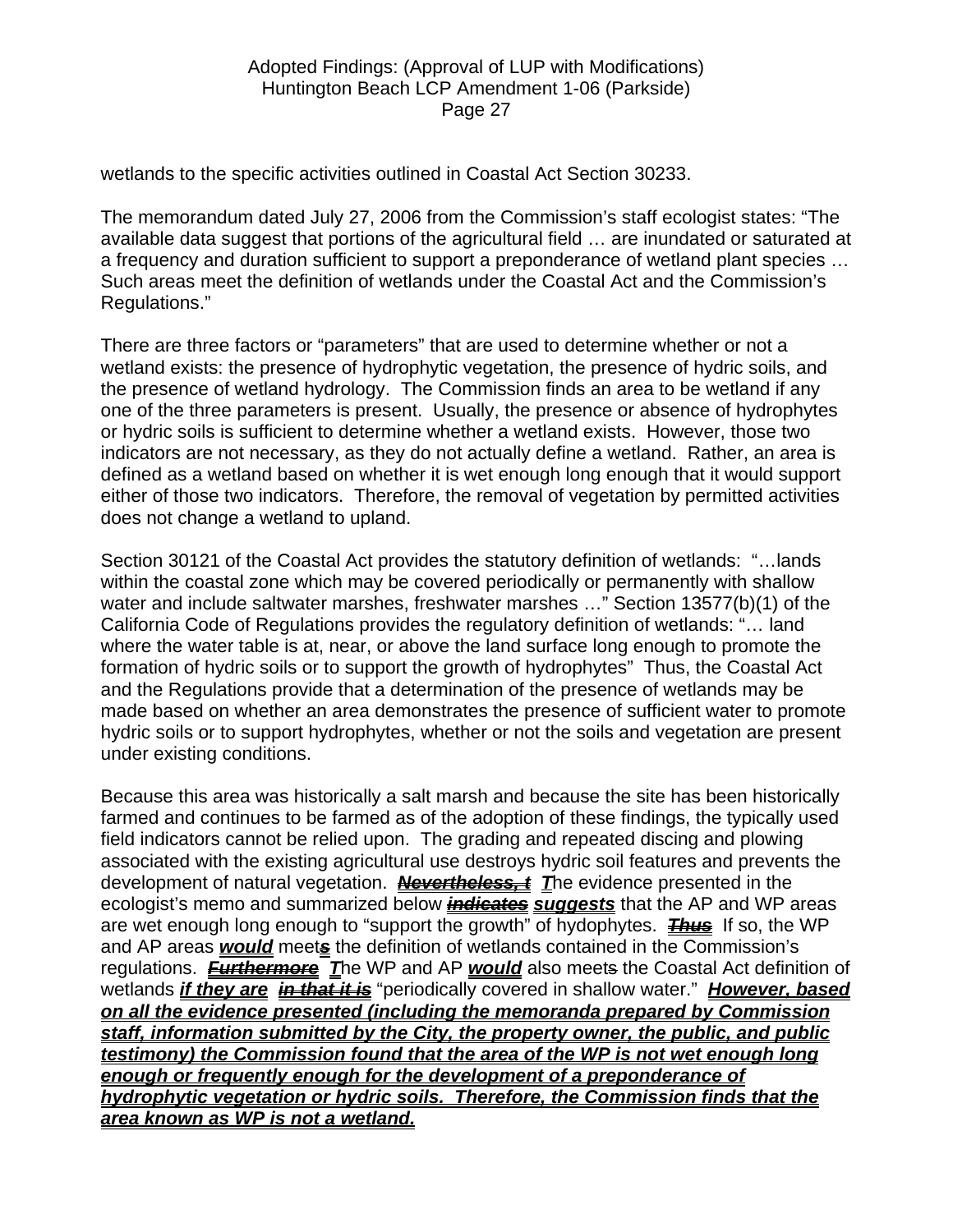wetlands to the specific activities outlined in Coastal Act Section 30233.

The memorandum dated July 27, 2006 from the Commission's staff ecologist states: "The available data suggest that portions of the agricultural field … are inundated or saturated at a frequency and duration sufficient to support a preponderance of wetland plant species … Such areas meet the definition of wetlands under the Coastal Act and the Commission's Regulations."

There are three factors or "parameters" that are used to determine whether or not a wetland exists: the presence of hydrophytic vegetation, the presence of hydric soils, and the presence of wetland hydrology. The Commission finds an area to be wetland if any one of the three parameters is present. Usually, the presence or absence of hydrophytes or hydric soils is sufficient to determine whether a wetland exists. However, those two indicators are not necessary, as they do not actually define a wetland. Rather, an area is defined as a wetland based on whether it is wet enough long enough that it would support either of those two indicators. Therefore, the removal of vegetation by permitted activities does not change a wetland to upland.

Section 30121 of the Coastal Act provides the statutory definition of wetlands: "…lands within the coastal zone which may be covered periodically or permanently with shallow water and include saltwater marshes, freshwater marshes ..." Section 13577(b)(1) of the California Code of Regulations provides the regulatory definition of wetlands: "… land where the water table is at, near, or above the land surface long enough to promote the formation of hydric soils or to support the growth of hydrophytes" Thus, the Coastal Act and the Regulations provide that a determination of the presence of wetlands may be made based on whether an area demonstrates the presence of sufficient water to promote hydric soils or to support hydrophytes, whether or not the soils and vegetation are present under existing conditions.

Because this area was historically a salt marsh and because the site has been historically farmed and continues to be farmed as of the adoption of these findings, the typically used field indicators cannot be relied upon. The grading and repeated discing and plowing associated with the existing agricultural use destroys hydric soil features and prevents the development of natural vegetation. *Nevertheless, t T*he evidence presented in the ecologist's memo and summarized below *indicates suggests* that the AP and WP areas are wet enough long enough to "support the growth" of hydophytes. **Thus** If so, the WP and AP areas *would* meet*s* the definition of wetlands contained in the Commission's regulations. *Furthermore T*he WP and AP *would* also meets the Coastal Act definition of wetlands *if they are in that it is* "periodically covered in shallow water." *However, based on all the evidence presented (including the memoranda prepared by Commission staff, information submitted by the City, the property owner, the public, and public testimony) the Commission found that the area of the WP is not wet enough long enough or frequently enough for the development of a preponderance of hydrophytic vegetation or hydric soils. Therefore, the Commission finds that the area known as WP is not a wetland.*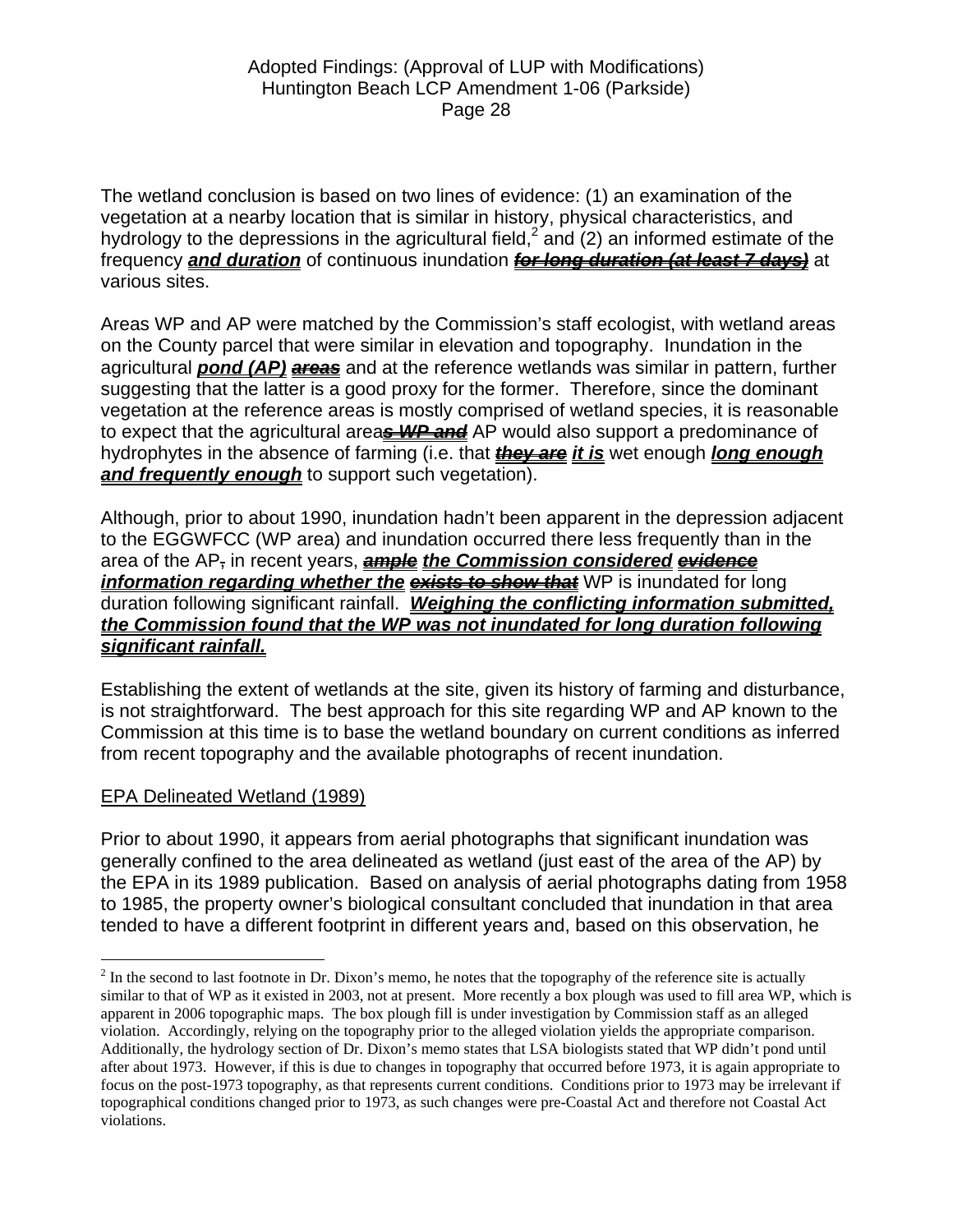The wetland conclusion is based on two lines of evidence: (1) an examination of the vegetation at a nearby location that is similar in history, physical characteristics, and hydrology to the depressions in the agricultural field,<sup>[2](#page-27-0)</sup> and (2) an informed estimate of the frequency *and duration* of continuous inundation *for long duration (at least 7 days)* at various sites.

Areas WP and AP were matched by the Commission's staff ecologist, with wetland areas on the County parcel that were similar in elevation and topography. Inundation in the agricultural *pond (AP) areas* and at the reference wetlands was similar in pattern, further suggesting that the latter is a good proxy for the former. Therefore, since the dominant vegetation at the reference areas is mostly comprised of wetland species, it is reasonable to expect that the agricultural area*s WP and* AP would also support a predominance of hydrophytes in the absence of farming (i.e. that *they are it is* wet enough *long enough and frequently enough* to support such vegetation).

Although, prior to about 1990, inundation hadn't been apparent in the depression adjacent to the EGGWFCC (WP area) and inundation occurred there less frequently than in the area of the AP, in recent years, *ample the Commission considered evidence information regarding whether the exists to show that* WP is inundated for long duration following significant rainfall. *Weighing the conflicting information submitted, the Commission found that the WP was not inundated for long duration following significant rainfall.*

Establishing the extent of wetlands at the site, given its history of farming and disturbance, is not straightforward. The best approach for this site regarding WP and AP known to the Commission at this time is to base the wetland boundary on current conditions as inferred from recent topography and the available photographs of recent inundation.

# EPA Delineated Wetland (1989)

Prior to about 1990, it appears from aerial photographs that significant inundation was generally confined to the area delineated as wetland (just east of the area of the AP) by the EPA in its 1989 publication. Based on analysis of aerial photographs dating from 1958 to 1985, the property owner's biological consultant concluded that inundation in that area tended to have a different footprint in different years and, based on this observation, he

<span id="page-27-0"></span><sup>&</sup>lt;sup>2</sup> In the second to last footnote in Dr. Dixon's memo, he notes that the topography of the reference site is actually similar to that of WP as it existed in 2003, not at present. More recently a box plough was used to fill area WP, which is apparent in 2006 topographic maps. The box plough fill is under investigation by Commission staff as an alleged violation. Accordingly, relying on the topography prior to the alleged violation yields the appropriate comparison. Additionally, the hydrology section of Dr. Dixon's memo states that LSA biologists stated that WP didn't pond until after about 1973. However, if this is due to changes in topography that occurred before 1973, it is again appropriate to focus on the post-1973 topography, as that represents current conditions. Conditions prior to 1973 may be irrelevant if topographical conditions changed prior to 1973, as such changes were pre-Coastal Act and therefore not Coastal Act violations.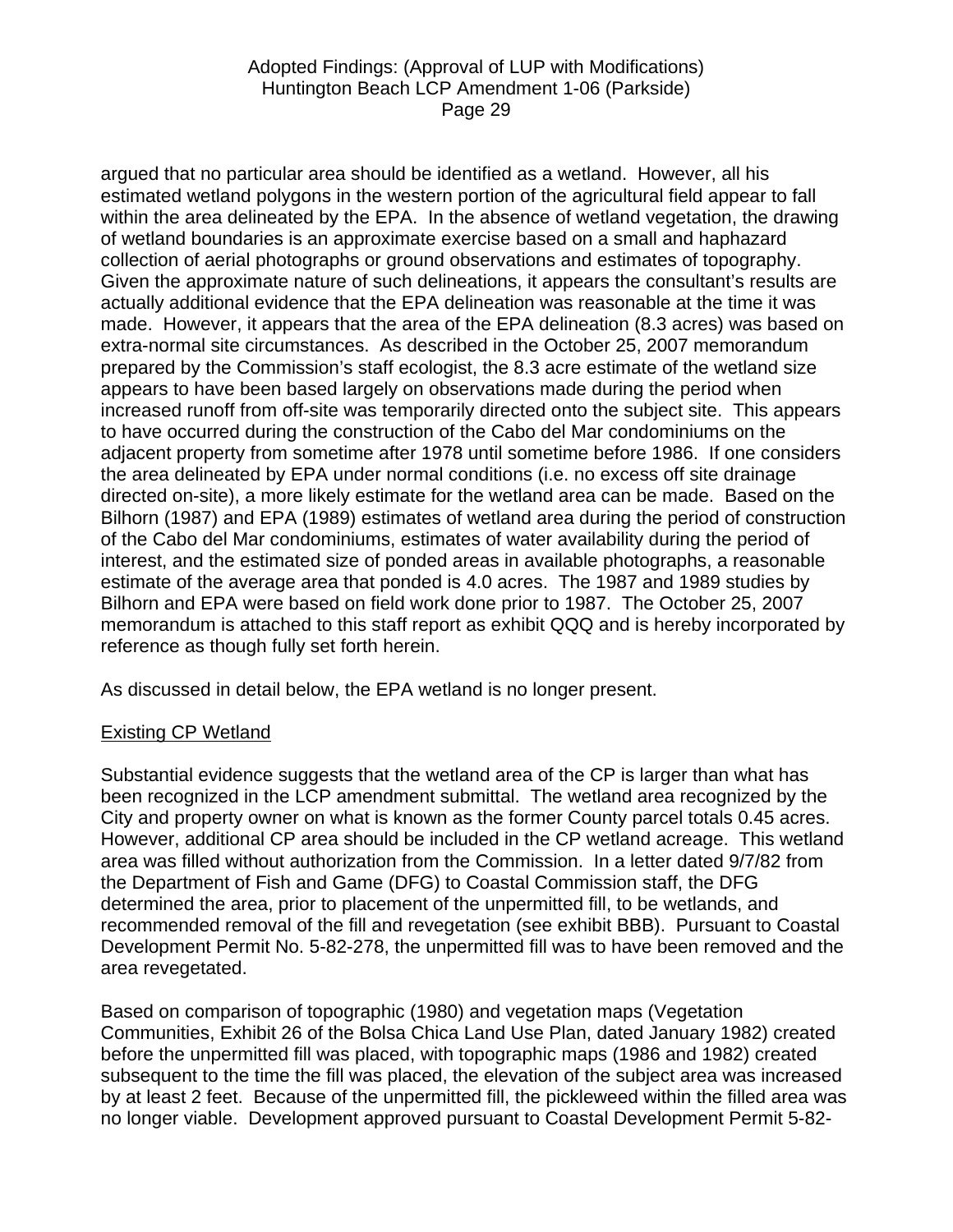argued that no particular area should be identified as a wetland. However, all his estimated wetland polygons in the western portion of the agricultural field appear to fall within the area delineated by the EPA. In the absence of wetland vegetation, the drawing of wetland boundaries is an approximate exercise based on a small and haphazard collection of aerial photographs or ground observations and estimates of topography. Given the approximate nature of such delineations, it appears the consultant's results are actually additional evidence that the EPA delineation was reasonable at the time it was made. However, it appears that the area of the EPA delineation (8.3 acres) was based on extra-normal site circumstances. As described in the October 25, 2007 memorandum prepared by the Commission's staff ecologist, the 8.3 acre estimate of the wetland size appears to have been based largely on observations made during the period when increased runoff from off-site was temporarily directed onto the subject site. This appears to have occurred during the construction of the Cabo del Mar condominiums on the adjacent property from sometime after 1978 until sometime before 1986. If one considers the area delineated by EPA under normal conditions (i.e. no excess off site drainage directed on-site), a more likely estimate for the wetland area can be made. Based on the Bilhorn (1987) and EPA (1989) estimates of wetland area during the period of construction of the Cabo del Mar condominiums, estimates of water availability during the period of interest, and the estimated size of ponded areas in available photographs, a reasonable estimate of the average area that ponded is 4.0 acres. The 1987 and 1989 studies by Bilhorn and EPA were based on field work done prior to 1987. The October 25, 2007 memorandum is attached to this staff report as exhibit QQQ and is hereby incorporated by reference as though fully set forth herein.

As discussed in detail below, the EPA wetland is no longer present.

### Existing CP Wetland

Substantial evidence suggests that the wetland area of the CP is larger than what has been recognized in the LCP amendment submittal. The wetland area recognized by the City and property owner on what is known as the former County parcel totals 0.45 acres. However, additional CP area should be included in the CP wetland acreage. This wetland area was filled without authorization from the Commission. In a letter dated 9/7/82 from the Department of Fish and Game (DFG) to Coastal Commission staff, the DFG determined the area, prior to placement of the unpermitted fill, to be wetlands, and recommended removal of the fill and revegetation (see exhibit BBB). Pursuant to Coastal Development Permit No. 5-82-278, the unpermitted fill was to have been removed and the area revegetated.

Based on comparison of topographic (1980) and vegetation maps (Vegetation Communities, Exhibit 26 of the Bolsa Chica Land Use Plan, dated January 1982) created before the unpermitted fill was placed, with topographic maps (1986 and 1982) created subsequent to the time the fill was placed, the elevation of the subject area was increased by at least 2 feet. Because of the unpermitted fill, the pickleweed within the filled area was no longer viable. Development approved pursuant to Coastal Development Permit 5-82-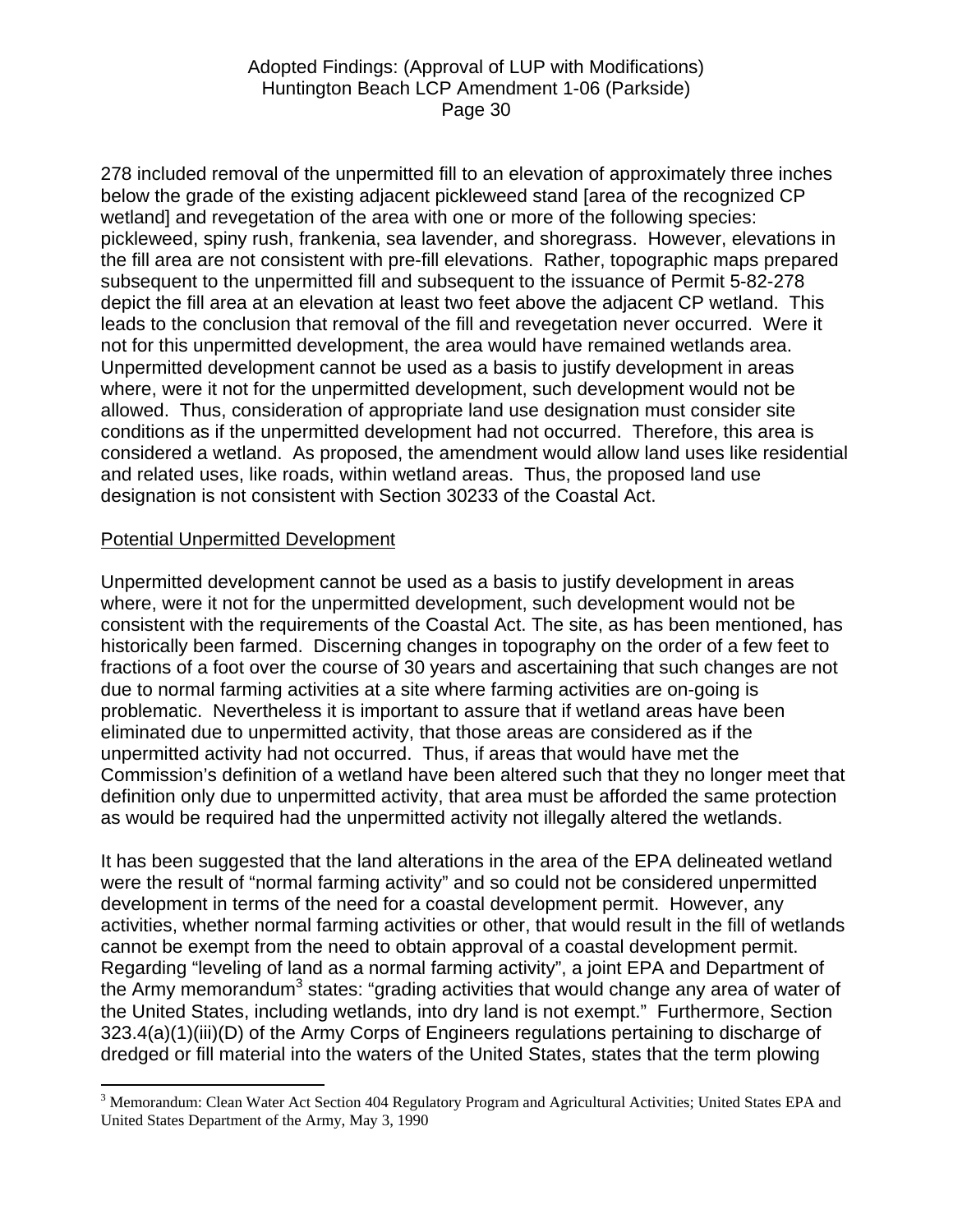278 included removal of the unpermitted fill to an elevation of approximately three inches below the grade of the existing adjacent pickleweed stand [area of the recognized CP wetland] and revegetation of the area with one or more of the following species: pickleweed, spiny rush, frankenia, sea lavender, and shoregrass. However, elevations in the fill area are not consistent with pre-fill elevations. Rather, topographic maps prepared subsequent to the unpermitted fill and subsequent to the issuance of Permit 5-82-278 depict the fill area at an elevation at least two feet above the adjacent CP wetland. This leads to the conclusion that removal of the fill and revegetation never occurred. Were it not for this unpermitted development, the area would have remained wetlands area. Unpermitted development cannot be used as a basis to justify development in areas where, were it not for the unpermitted development, such development would not be allowed. Thus, consideration of appropriate land use designation must consider site conditions as if the unpermitted development had not occurred. Therefore, this area is considered a wetland. As proposed, the amendment would allow land uses like residential and related uses, like roads, within wetland areas. Thus, the proposed land use designation is not consistent with Section 30233 of the Coastal Act.

#### Potential Unpermitted Development

 $\overline{a}$ 

Unpermitted development cannot be used as a basis to justify development in areas where, were it not for the unpermitted development, such development would not be consistent with the requirements of the Coastal Act. The site, as has been mentioned, has historically been farmed. Discerning changes in topography on the order of a few feet to fractions of a foot over the course of 30 years and ascertaining that such changes are not due to normal farming activities at a site where farming activities are on-going is problematic. Nevertheless it is important to assure that if wetland areas have been eliminated due to unpermitted activity, that those areas are considered as if the unpermitted activity had not occurred. Thus, if areas that would have met the Commission's definition of a wetland have been altered such that they no longer meet that definition only due to unpermitted activity, that area must be afforded the same protection as would be required had the unpermitted activity not illegally altered the wetlands.

It has been suggested that the land alterations in the area of the EPA delineated wetland were the result of "normal farming activity" and so could not be considered unpermitted development in terms of the need for a coastal development permit. However, any activities, whether normal farming activities or other, that would result in the fill of wetlands cannot be exempt from the need to obtain approval of a coastal development permit. Regarding "leveling of land as a normal farming activity", a joint EPA and Department of the Army memorandum<sup>[3](#page-29-0)</sup> states: "grading activities that would change any area of water of the United States, including wetlands, into dry land is not exempt." Furthermore, Section 323.4(a)(1)(iii)(D) of the Army Corps of Engineers regulations pertaining to discharge of dredged or fill material into the waters of the United States, states that the term plowing

<span id="page-29-0"></span><sup>&</sup>lt;sup>3</sup> Memorandum: Clean Water Act Section 404 Regulatory Program and Agricultural Activities; United States EPA and United States Department of the Army, May 3, 1990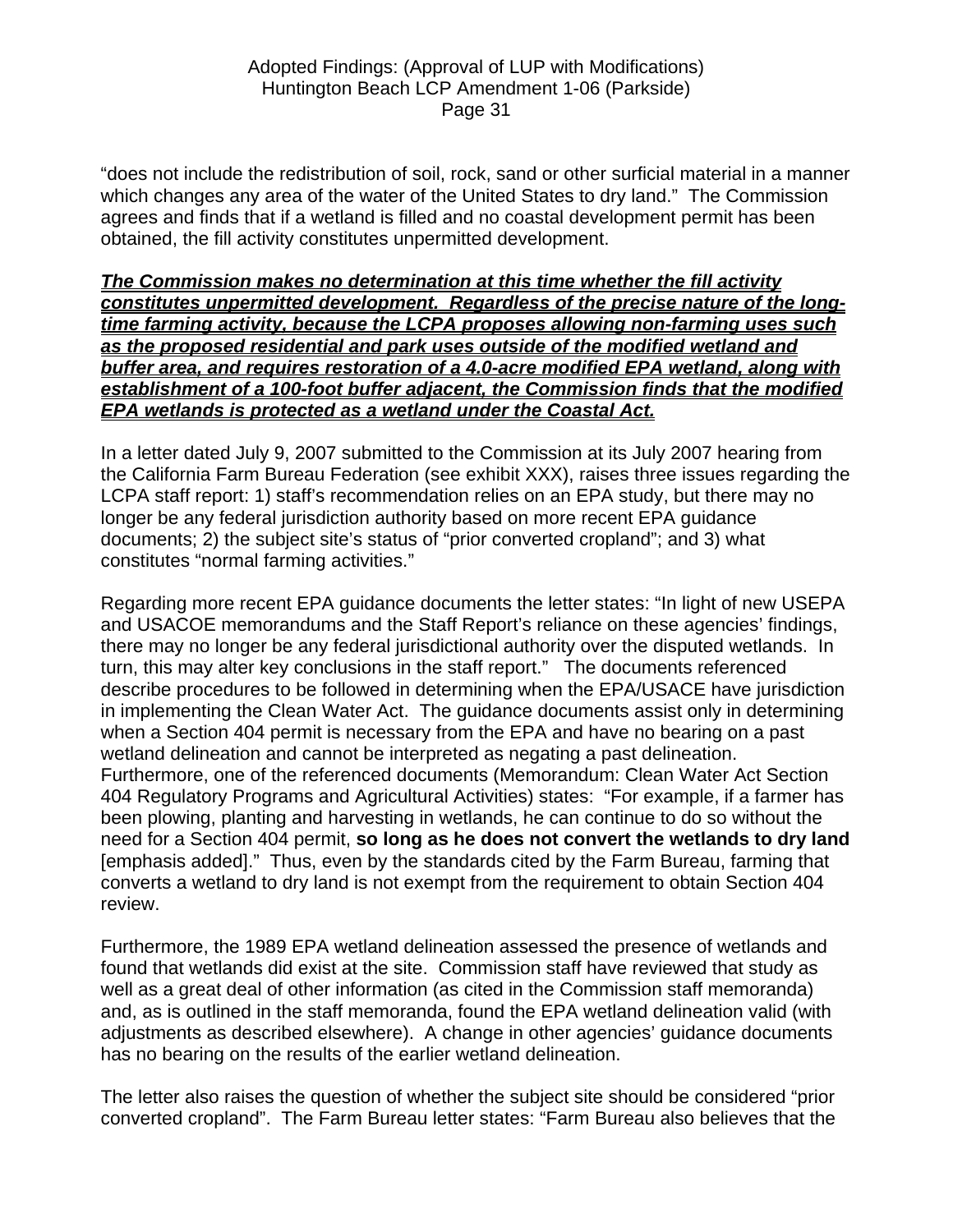"does not include the redistribution of soil, rock, sand or other surficial material in a manner which changes any area of the water of the United States to dry land." The Commission agrees and finds that if a wetland is filled and no coastal development permit has been obtained, the fill activity constitutes unpermitted development.

### *The Commission makes no determination at this time whether the fill activity constitutes unpermitted development. Regardless of the precise nature of the longtime farming activity, because the LCPA proposes allowing non-farming uses such as the proposed residential and park uses outside of the modified wetland and buffer area, and requires restoration of a 4.0-acre modified EPA wetland, along with establishment of a 100-foot buffer adjacent, the Commission finds that the modified EPA wetlands is protected as a wetland under the Coastal Act.*

In a letter dated July 9, 2007 submitted to the Commission at its July 2007 hearing from the California Farm Bureau Federation (see exhibit XXX), raises three issues regarding the LCPA staff report: 1) staff's recommendation relies on an EPA study, but there may no longer be any federal jurisdiction authority based on more recent EPA guidance documents; 2) the subject site's status of "prior converted cropland"; and 3) what constitutes "normal farming activities."

Regarding more recent EPA guidance documents the letter states: "In light of new USEPA and USACOE memorandums and the Staff Report's reliance on these agencies' findings, there may no longer be any federal jurisdictional authority over the disputed wetlands. In turn, this may alter key conclusions in the staff report." The documents referenced describe procedures to be followed in determining when the EPA/USACE have jurisdiction in implementing the Clean Water Act. The guidance documents assist only in determining when a Section 404 permit is necessary from the EPA and have no bearing on a past wetland delineation and cannot be interpreted as negating a past delineation. Furthermore, one of the referenced documents (Memorandum: Clean Water Act Section 404 Regulatory Programs and Agricultural Activities) states: "For example, if a farmer has been plowing, planting and harvesting in wetlands, he can continue to do so without the need for a Section 404 permit, **so long as he does not convert the wetlands to dry land** [emphasis added]." Thus, even by the standards cited by the Farm Bureau, farming that converts a wetland to dry land is not exempt from the requirement to obtain Section 404 review.

Furthermore, the 1989 EPA wetland delineation assessed the presence of wetlands and found that wetlands did exist at the site. Commission staff have reviewed that study as well as a great deal of other information (as cited in the Commission staff memoranda) and, as is outlined in the staff memoranda, found the EPA wetland delineation valid (with adjustments as described elsewhere). A change in other agencies' guidance documents has no bearing on the results of the earlier wetland delineation.

The letter also raises the question of whether the subject site should be considered "prior converted cropland". The Farm Bureau letter states: "Farm Bureau also believes that the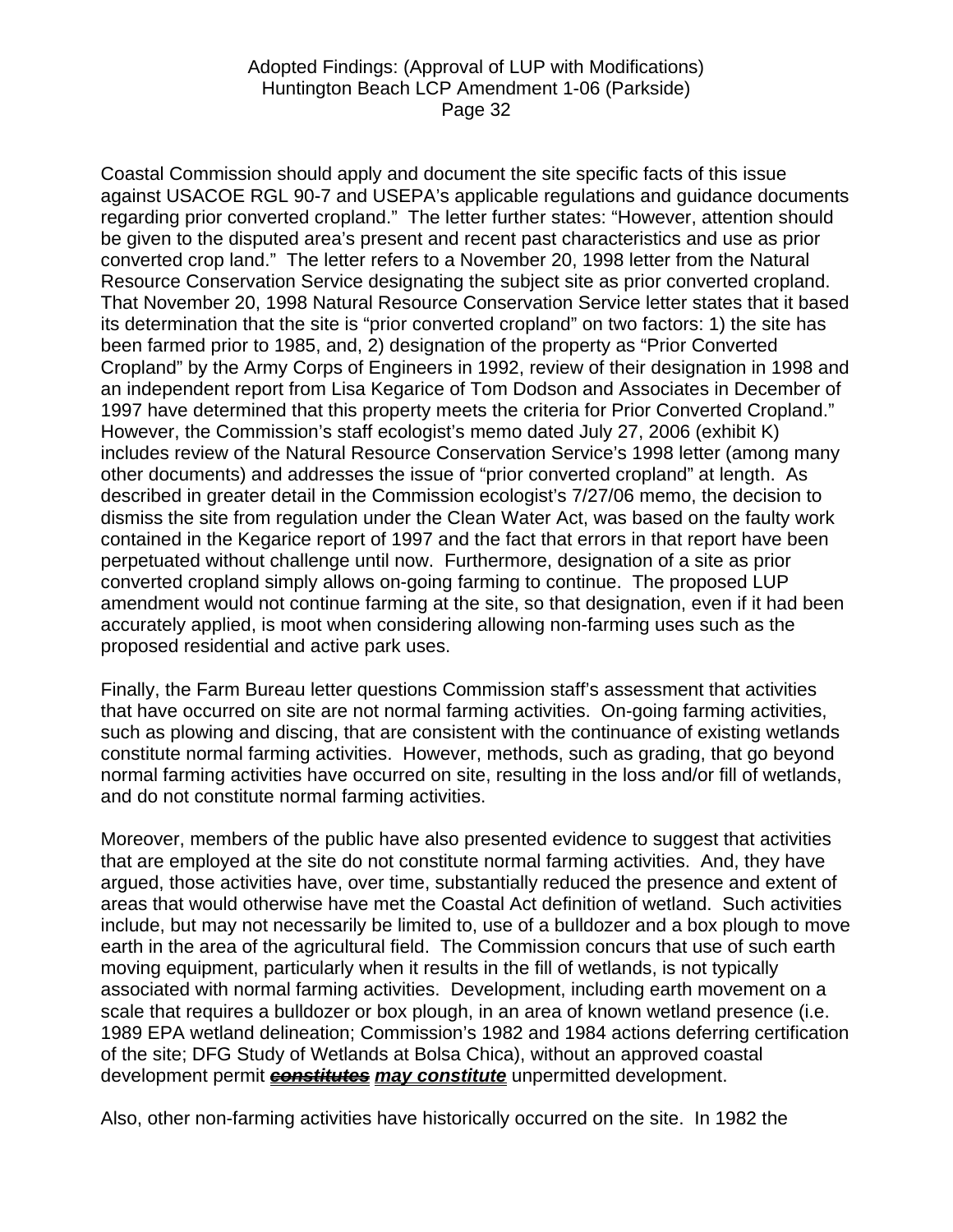Coastal Commission should apply and document the site specific facts of this issue against USACOE RGL 90-7 and USEPA's applicable regulations and guidance documents regarding prior converted cropland." The letter further states: "However, attention should be given to the disputed area's present and recent past characteristics and use as prior converted crop land." The letter refers to a November 20, 1998 letter from the Natural Resource Conservation Service designating the subject site as prior converted cropland. That November 20, 1998 Natural Resource Conservation Service letter states that it based its determination that the site is "prior converted cropland" on two factors: 1) the site has been farmed prior to 1985, and, 2) designation of the property as "Prior Converted Cropland" by the Army Corps of Engineers in 1992, review of their designation in 1998 and an independent report from Lisa Kegarice of Tom Dodson and Associates in December of 1997 have determined that this property meets the criteria for Prior Converted Cropland." However, the Commission's staff ecologist's memo dated July 27, 2006 (exhibit K) includes review of the Natural Resource Conservation Service's 1998 letter (among many other documents) and addresses the issue of "prior converted cropland" at length. As described in greater detail in the Commission ecologist's 7/27/06 memo, the decision to dismiss the site from regulation under the Clean Water Act, was based on the faulty work contained in the Kegarice report of 1997 and the fact that errors in that report have been perpetuated without challenge until now. Furthermore, designation of a site as prior converted cropland simply allows on-going farming to continue. The proposed LUP amendment would not continue farming at the site, so that designation, even if it had been accurately applied, is moot when considering allowing non-farming uses such as the proposed residential and active park uses.

Finally, the Farm Bureau letter questions Commission staff's assessment that activities that have occurred on site are not normal farming activities. On-going farming activities, such as plowing and discing, that are consistent with the continuance of existing wetlands constitute normal farming activities. However, methods, such as grading, that go beyond normal farming activities have occurred on site, resulting in the loss and/or fill of wetlands, and do not constitute normal farming activities.

Moreover, members of the public have also presented evidence to suggest that activities that are employed at the site do not constitute normal farming activities. And, they have argued, those activities have, over time, substantially reduced the presence and extent of areas that would otherwise have met the Coastal Act definition of wetland. Such activities include, but may not necessarily be limited to, use of a bulldozer and a box plough to move earth in the area of the agricultural field. The Commission concurs that use of such earth moving equipment, particularly when it results in the fill of wetlands, is not typically associated with normal farming activities. Development, including earth movement on a scale that requires a bulldozer or box plough, in an area of known wetland presence (i.e. 1989 EPA wetland delineation; Commission's 1982 and 1984 actions deferring certification of the site; DFG Study of Wetlands at Bolsa Chica), without an approved coastal development permit *constitutes may constitute* unpermitted development.

Also, other non-farming activities have historically occurred on the site. In 1982 the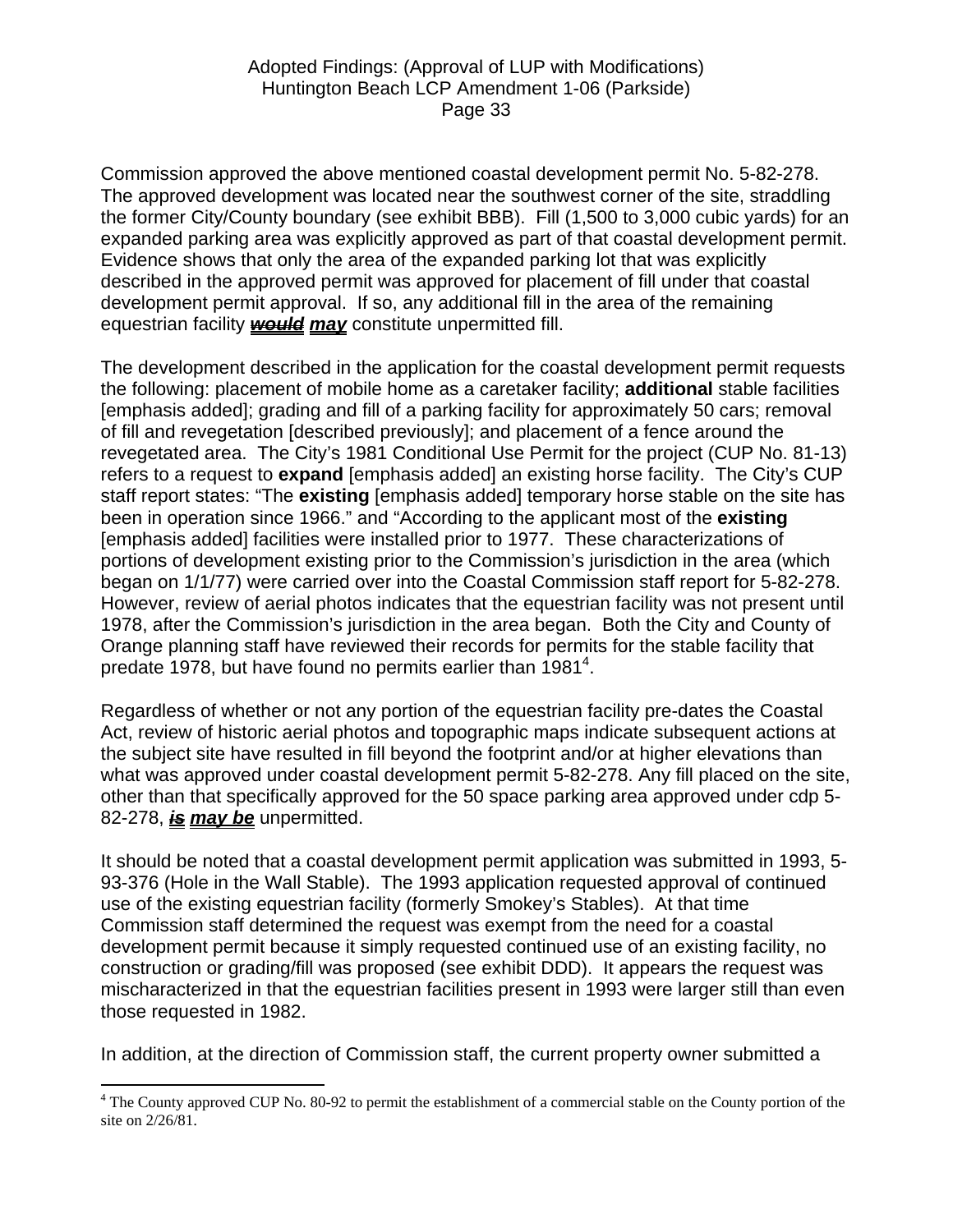Commission approved the above mentioned coastal development permit No. 5-82-278. The approved development was located near the southwest corner of the site, straddling the former City/County boundary (see exhibit BBB). Fill (1,500 to 3,000 cubic yards) for an expanded parking area was explicitly approved as part of that coastal development permit. Evidence shows that only the area of the expanded parking lot that was explicitly described in the approved permit was approved for placement of fill under that coastal development permit approval. If so, any additional fill in the area of the remaining equestrian facility *would may* constitute unpermitted fill.

The development described in the application for the coastal development permit requests the following: placement of mobile home as a caretaker facility; **additional** stable facilities [emphasis added]; grading and fill of a parking facility for approximately 50 cars; removal of fill and revegetation [described previously]; and placement of a fence around the revegetated area. The City's 1981 Conditional Use Permit for the project (CUP No. 81-13) refers to a request to **expand** [emphasis added] an existing horse facility. The City's CUP staff report states: "The **existing** [emphasis added] temporary horse stable on the site has been in operation since 1966." and "According to the applicant most of the **existing** [emphasis added] facilities were installed prior to 1977. These characterizations of portions of development existing prior to the Commission's jurisdiction in the area (which began on 1/1/77) were carried over into the Coastal Commission staff report for 5-82-278. However, review of aerial photos indicates that the equestrian facility was not present until 1978, after the Commission's jurisdiction in the area began. Both the City and County of Orange planning staff have reviewed their records for permits for the stable facility that predate 1978, but have found no permits earlier than 1981<sup>[4](#page-32-0)</sup>.

Regardless of whether or not any portion of the equestrian facility pre-dates the Coastal Act, review of historic aerial photos and topographic maps indicate subsequent actions at the subject site have resulted in fill beyond the footprint and/or at higher elevations than what was approved under coastal development permit 5-82-278. Any fill placed on the site, other than that specifically approved for the 50 space parking area approved under cdp 5- 82-278, *is may be* unpermitted.

It should be noted that a coastal development permit application was submitted in 1993, 5- 93-376 (Hole in the Wall Stable). The 1993 application requested approval of continued use of the existing equestrian facility (formerly Smokey's Stables). At that time Commission staff determined the request was exempt from the need for a coastal development permit because it simply requested continued use of an existing facility, no construction or grading/fill was proposed (see exhibit DDD). It appears the request was mischaracterized in that the equestrian facilities present in 1993 were larger still than even those requested in 1982.

In addition, at the direction of Commission staff, the current property owner submitted a

 $\overline{a}$ 

<span id="page-32-0"></span><sup>&</sup>lt;sup>4</sup> The County approved CUP No. 80-92 to permit the establishment of a commercial stable on the County portion of the site on 2/26/81.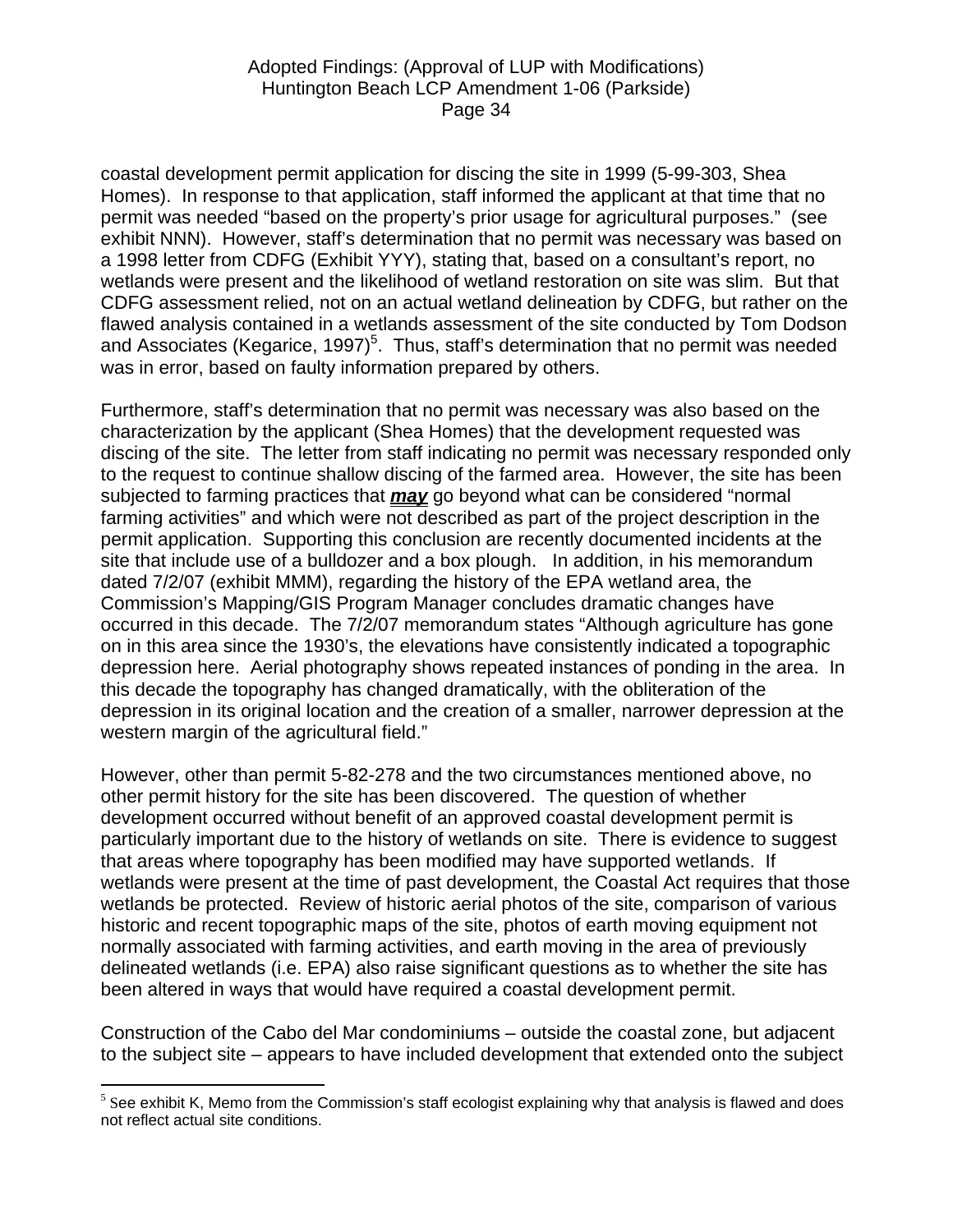coastal development permit application for discing the site in 1999 (5-99-303, Shea Homes). In response to that application, staff informed the applicant at that time that no permit was needed "based on the property's prior usage for agricultural purposes." (see exhibit NNN). However, staff's determination that no permit was necessary was based on a 1998 letter from CDFG (Exhibit YYY), stating that, based on a consultant's report, no wetlands were present and the likelihood of wetland restoration on site was slim. But that CDFG assessment relied, not on an actual wetland delineation by CDFG, but rather on the flawed analysis contained in a wetlands assessment of the site conducted by Tom Dodson and Associates (Kegarice, 1997)<sup>[5](#page-33-0)</sup>. Thus, staff's determination that no permit was needed was in error, based on faulty information prepared by others.

Furthermore, staff's determination that no permit was necessary was also based on the characterization by the applicant (Shea Homes) that the development requested was discing of the site. The letter from staff indicating no permit was necessary responded only to the request to continue shallow discing of the farmed area. However, the site has been subjected to farming practices that *may* go beyond what can be considered "normal farming activities" and which were not described as part of the project description in the permit application. Supporting this conclusion are recently documented incidents at the site that include use of a bulldozer and a box plough. In addition, in his memorandum dated 7/2/07 (exhibit MMM), regarding the history of the EPA wetland area, the Commission's Mapping/GIS Program Manager concludes dramatic changes have occurred in this decade. The 7/2/07 memorandum states "Although agriculture has gone on in this area since the 1930's, the elevations have consistently indicated a topographic depression here. Aerial photography shows repeated instances of ponding in the area. In this decade the topography has changed dramatically, with the obliteration of the depression in its original location and the creation of a smaller, narrower depression at the western margin of the agricultural field."

However, other than permit 5-82-278 and the two circumstances mentioned above, no other permit history for the site has been discovered. The question of whether development occurred without benefit of an approved coastal development permit is particularly important due to the history of wetlands on site. There is evidence to suggest that areas where topography has been modified may have supported wetlands. If wetlands were present at the time of past development, the Coastal Act requires that those wetlands be protected. Review of historic aerial photos of the site, comparison of various historic and recent topographic maps of the site, photos of earth moving equipment not normally associated with farming activities, and earth moving in the area of previously delineated wetlands (i.e. EPA) also raise significant questions as to whether the site has been altered in ways that would have required a coastal development permit.

Construction of the Cabo del Mar condominiums – outside the coastal zone, but adjacent to the subject site – appears to have included development that extended onto the subject

 $\overline{a}$ 

<span id="page-33-0"></span> $<sup>5</sup>$  See exhibit K, Memo from the Commission's staff ecologist explaining why that analysis is flawed and does</sup> not reflect actual site conditions.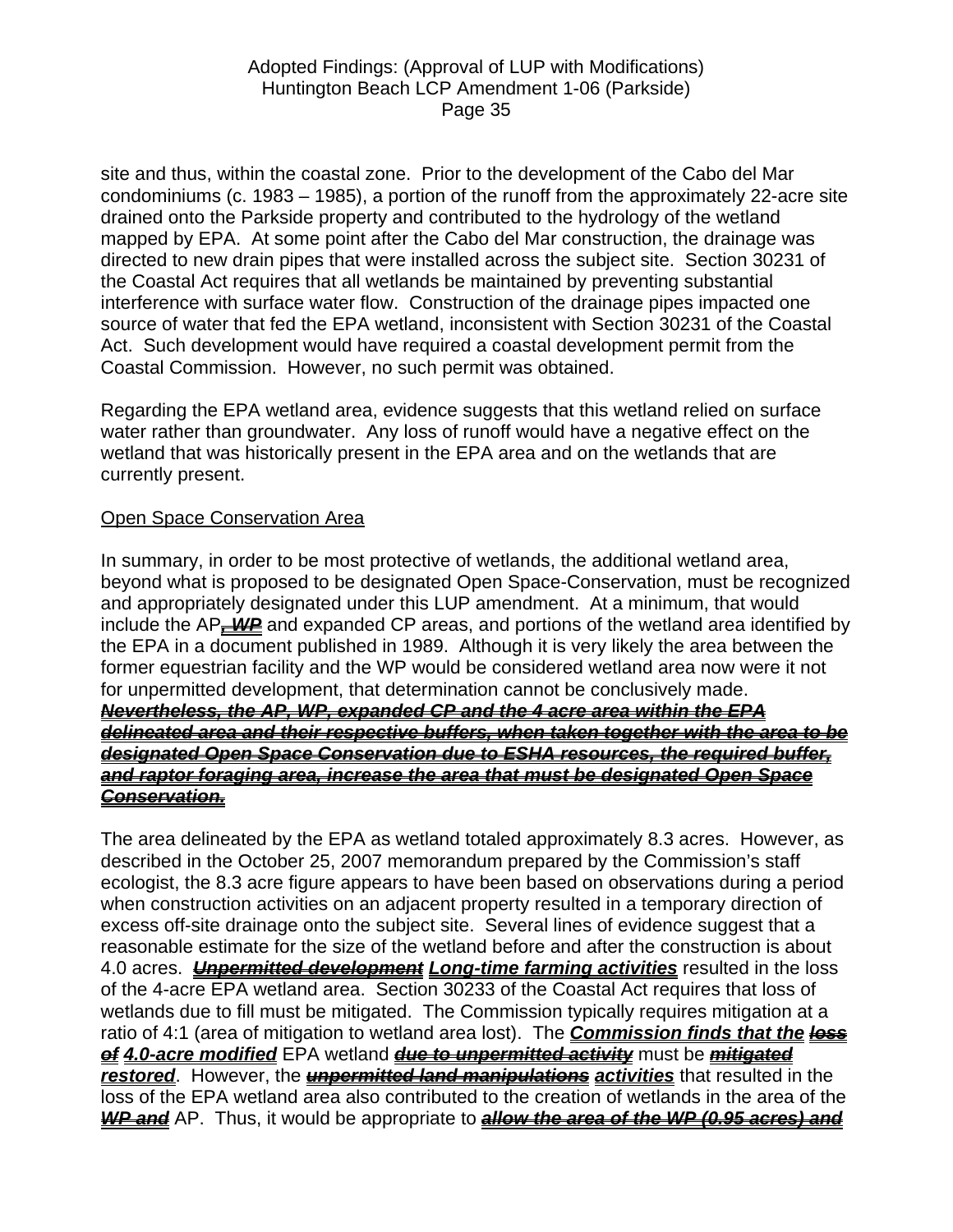site and thus, within the coastal zone. Prior to the development of the Cabo del Mar condominiums (c. 1983 – 1985), a portion of the runoff from the approximately 22-acre site drained onto the Parkside property and contributed to the hydrology of the wetland mapped by EPA. At some point after the Cabo del Mar construction, the drainage was directed to new drain pipes that were installed across the subject site. Section 30231 of the Coastal Act requires that all wetlands be maintained by preventing substantial interference with surface water flow. Construction of the drainage pipes impacted one source of water that fed the EPA wetland, inconsistent with Section 30231 of the Coastal Act. Such development would have required a coastal development permit from the Coastal Commission. However, no such permit was obtained.

Regarding the EPA wetland area, evidence suggests that this wetland relied on surface water rather than groundwater. Any loss of runoff would have a negative effect on the wetland that was historically present in the EPA area and on the wetlands that are currently present.

### Open Space Conservation Area

In summary, in order to be most protective of wetlands, the additional wetland area, beyond what is proposed to be designated Open Space-Conservation, must be recognized and appropriately designated under this LUP amendment. At a minimum, that would include the AP<sub>**-WP**</sub> and expanded CP areas, and portions of the wetland area identified by the EPA in a document published in 1989. Although it is very likely the area between the former equestrian facility and the WP would be considered wetland area now were it not for unpermitted development, that determination cannot be conclusively made. *Nevertheless, the AP, WP, expanded CP and the 4 acre area within the EPA delineated area and their respective buffers, when taken together with the area to be designated Open Space Conservation due to ESHA resources, the required buffer, and raptor foraging area, increase the area that must be designated Open Space Conservation.*

The area delineated by the EPA as wetland totaled approximately 8.3 acres. However, as described in the October 25, 2007 memorandum prepared by the Commission's staff ecologist, the 8.3 acre figure appears to have been based on observations during a period when construction activities on an adjacent property resulted in a temporary direction of excess off-site drainage onto the subject site. Several lines of evidence suggest that a reasonable estimate for the size of the wetland before and after the construction is about 4.0 acres. *Unpermitted development Long-time farming activities* resulted in the loss of the 4-acre EPA wetland area. Section 30233 of the Coastal Act requires that loss of wetlands due to fill must be mitigated. The Commission typically requires mitigation at a ratio of 4:1 (area of mitigation to wetland area lost). The *Commission finds that the loss of 4.0-acre modified* EPA wetland *due to unpermitted activity* must be *mitigated restored*. However, the *unpermitted land manipulations activities* that resulted in the loss of the EPA wetland area also contributed to the creation of wetlands in the area of the *WP and* AP. Thus, it would be appropriate to *allow the area of the WP (0.95 acres) and*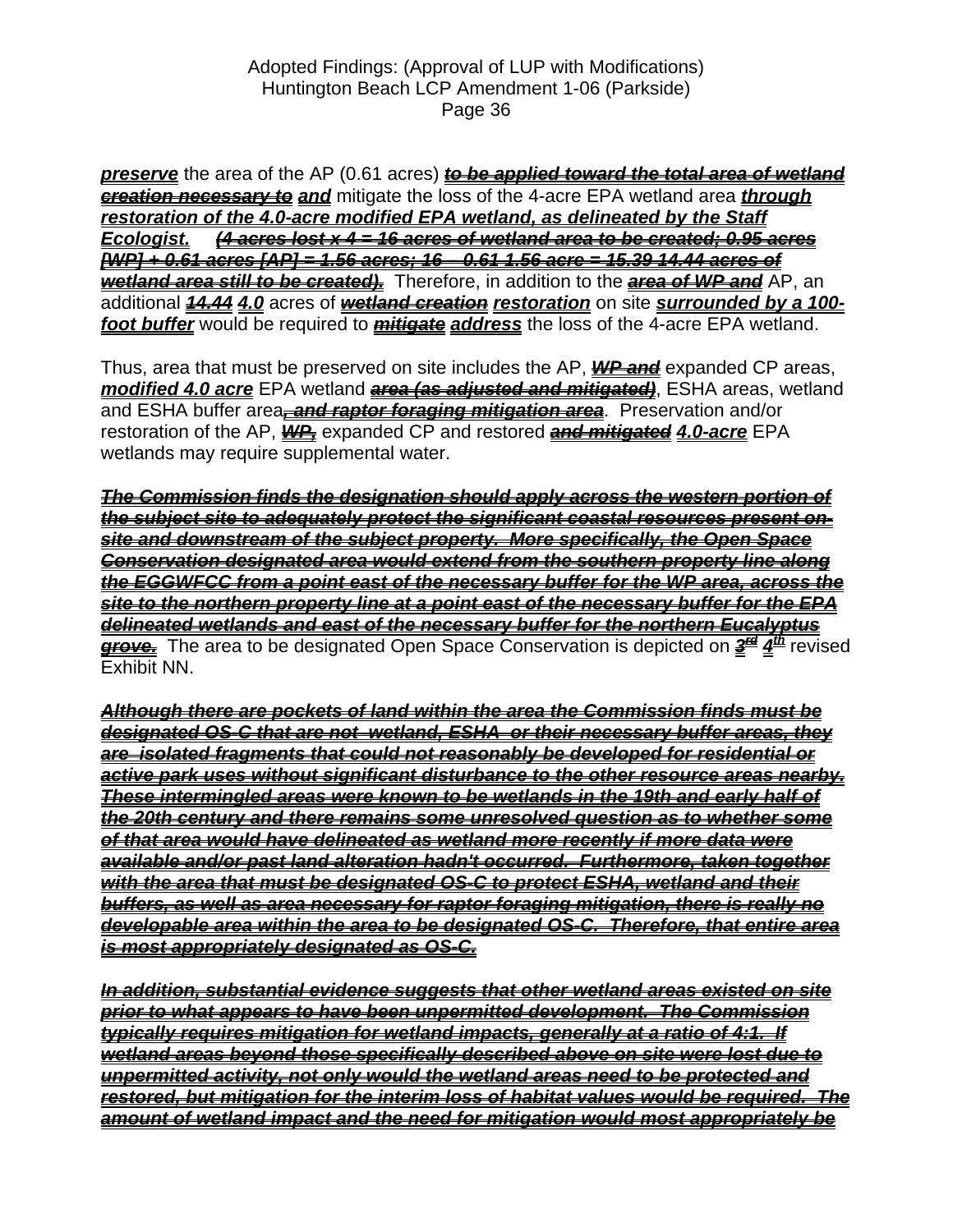*preserve* the area of the AP (0.61 acres) *to be applied toward the total area of wetland creation necessary to and* mitigate the loss of the 4-acre EPA wetland area *through restoration of the 4.0-acre modified EPA wetland, as delineated by the Staff Ecologist. (4 acres lost x 4 = 16 acres of wetland area to be created; 0.95 acres [WP] + 0.61 acres [AP] = 1.56 acres; 16 – 0.61 1.56 acre = 15.39 14.44 acres of wetland area still to be created).* Therefore, in addition to the *area of WP and* AP, an additional *14.44 4.0* acres of *wetland creation restoration* on site *surrounded by a 100 foot buffer* would be required to *mitigate address* the loss of the 4-acre EPA wetland.

Thus, area that must be preserved on site includes the AP, *WP and* expanded CP areas, *modified 4.0 acre* EPA wetland *area (as adjusted and mitigated)*, ESHA areas, wetland and ESHA buffer area<sub> $\tau$ </sub> and raptor foraging mitigation area. Preservation and/or restoration of the AP, *WP,* expanded CP and restored *and mitigated 4.0-acre* EPA wetlands may require supplemental water.

*The Commission finds the designation should apply across the western portion of the subject site to adequately protect the significant coastal resources present onsite and downstream of the subject property. More specifically, the Open Space Conservation designated area would extend from the southern property line along the EGGWFCC from a point east of the necessary buffer for the WP area, across the site to the northern property line at a point east of the necessary buffer for the EPA delineated wetlands and east of the necessary buffer for the northern Eucalyptus*  **grove.** The area to be designated Open Space Conservation is depicted on  $\frac{2}{4}$   $\frac{d^n}{dx}$  revised Exhibit NN.

*Although there are pockets of land within the area the Commission finds must be designated OS-C that are not wetland, ESHA or their necessary buffer areas, they are isolated fragments that could not reasonably be developed for residential or active park uses without significant disturbance to the other resource areas nearby. These intermingled areas were known to be wetlands in the 19th and early half of the 20th century and there remains some unresolved question as to whether some of that area would have delineated as wetland more recently if more data were available and/or past land alteration hadn't occurred. Furthermore, taken together with the area that must be designated OS-C to protect ESHA, wetland and their buffers, as well as area necessary for raptor foraging mitigation, there is really no developable area within the area to be designated OS-C. Therefore, that entire area is most appropriately designated as OS-C.*

*In addition, substantial evidence suggests that other wetland areas existed on site prior to what appears to have been unpermitted development. The Commission typically requires mitigation for wetland impacts, generally at a ratio of 4:1. If wetland areas beyond those specifically described above on site were lost due to unpermitted activity, not only would the wetland areas need to be protected and restored, but mitigation for the interim loss of habitat values would be required. The amount of wetland impact and the need for mitigation would most appropriately be*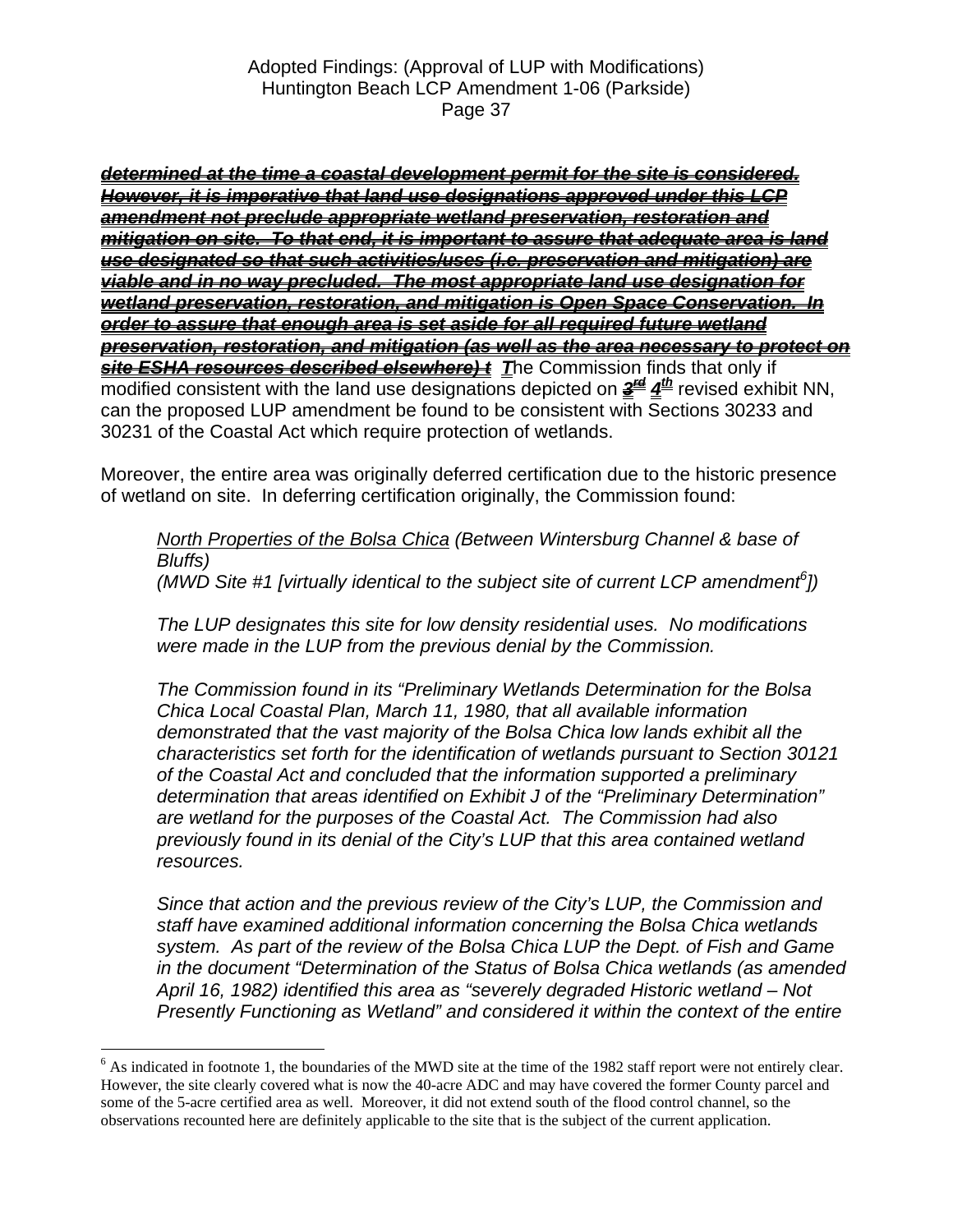*determined at the time a coastal development permit for the site is considered. However, it is imperative that land use designations approved under this LCP amendment not preclude appropriate wetland preservation, restoration and mitigation on site. To that end, it is important to assure that adequate area is land use designated so that such activities/uses (i.e. preservation and mitigation) are viable and in no way precluded. The most appropriate land use designation for wetland preservation, restoration, and mitigation is Open Space Conservation. In order to assure that enough area is set aside for all required future wetland preservation, restoration, and mitigation (as well as the area necessary to protect on site ESHA resources described elsewhere) t T*he Commission finds that only if modified consistent with the land use designations depicted on  $\frac{2}{4}$   $\frac{d}{dx}$  revised exhibit NN, can the proposed LUP amendment be found to be consistent with Sections 30233 and 30231 of the Coastal Act which require protection of wetlands.

Moreover, the entire area was originally deferred certification due to the historic presence of wetland on site. In deferring certification originally, the Commission found:

*North Properties of the Bolsa Chica (Between Wintersburg Channel & base of Bluffs) (MWD Site #1 [virtually identical to the subject site of current LCP amendment[6](#page-36-0) ])* 

*The LUP designates this site for low density residential uses. No modifications were made in the LUP from the previous denial by the Commission.* 

*The Commission found in its "Preliminary Wetlands Determination for the Bolsa Chica Local Coastal Plan, March 11, 1980, that all available information demonstrated that the vast majority of the Bolsa Chica low lands exhibit all the characteristics set forth for the identification of wetlands pursuant to Section 30121 of the Coastal Act and concluded that the information supported a preliminary determination that areas identified on Exhibit J of the "Preliminary Determination" are wetland for the purposes of the Coastal Act. The Commission had also previously found in its denial of the City's LUP that this area contained wetland resources.* 

*Since that action and the previous review of the City's LUP, the Commission and staff have examined additional information concerning the Bolsa Chica wetlands system. As part of the review of the Bolsa Chica LUP the Dept. of Fish and Game in the document "Determination of the Status of Bolsa Chica wetlands (as amended April 16, 1982) identified this area as "severely degraded Historic wetland – Not Presently Functioning as Wetland" and considered it within the context of the entire* 

 $\overline{a}$ 

<span id="page-36-0"></span> $6$  As indicated in footnote 1, the boundaries of the MWD site at the time of the 1982 staff report were not entirely clear. However, the site clearly covered what is now the 40-acre ADC and may have covered the former County parcel and some of the 5-acre certified area as well. Moreover, it did not extend south of the flood control channel, so the observations recounted here are definitely applicable to the site that is the subject of the current application.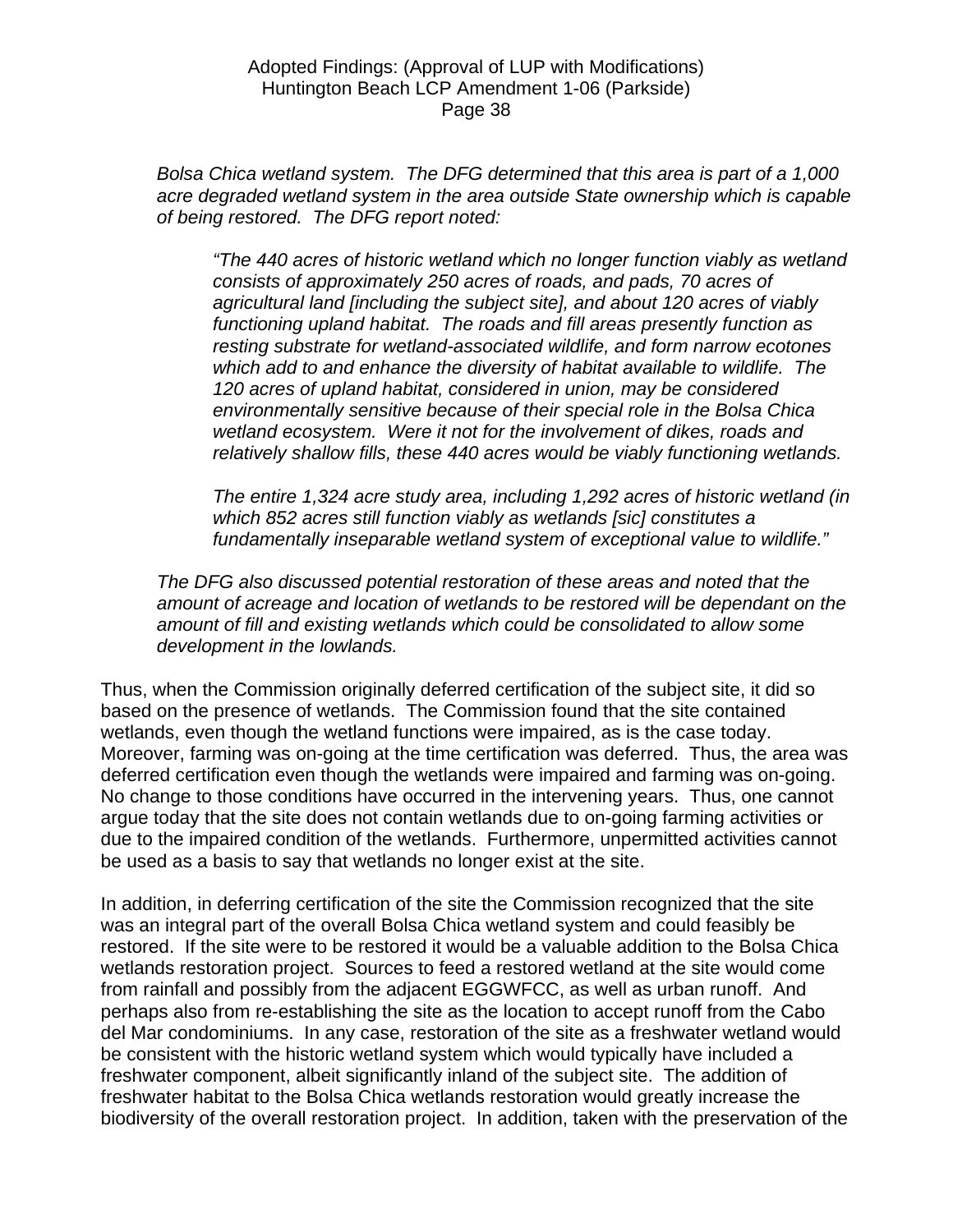*Bolsa Chica wetland system. The DFG determined that this area is part of a 1,000 acre degraded wetland system in the area outside State ownership which is capable of being restored. The DFG report noted:* 

*"The 440 acres of historic wetland which no longer function viably as wetland consists of approximately 250 acres of roads, and pads, 70 acres of agricultural land [including the subject site], and about 120 acres of viably functioning upland habitat. The roads and fill areas presently function as resting substrate for wetland-associated wildlife, and form narrow ecotones which add to and enhance the diversity of habitat available to wildlife. The 120 acres of upland habitat, considered in union, may be considered environmentally sensitive because of their special role in the Bolsa Chica wetland ecosystem. Were it not for the involvement of dikes, roads and relatively shallow fills, these 440 acres would be viably functioning wetlands.* 

*The entire 1,324 acre study area, including 1,292 acres of historic wetland (in which 852 acres still function viably as wetlands [sic] constitutes a fundamentally inseparable wetland system of exceptional value to wildlife."* 

*The DFG also discussed potential restoration of these areas and noted that the amount of acreage and location of wetlands to be restored will be dependant on the amount of fill and existing wetlands which could be consolidated to allow some development in the lowlands.* 

Thus, when the Commission originally deferred certification of the subject site, it did so based on the presence of wetlands. The Commission found that the site contained wetlands, even though the wetland functions were impaired, as is the case today. Moreover, farming was on-going at the time certification was deferred. Thus, the area was deferred certification even though the wetlands were impaired and farming was on-going. No change to those conditions have occurred in the intervening years. Thus, one cannot argue today that the site does not contain wetlands due to on-going farming activities or due to the impaired condition of the wetlands. Furthermore, unpermitted activities cannot be used as a basis to say that wetlands no longer exist at the site.

In addition, in deferring certification of the site the Commission recognized that the site was an integral part of the overall Bolsa Chica wetland system and could feasibly be restored. If the site were to be restored it would be a valuable addition to the Bolsa Chica wetlands restoration project. Sources to feed a restored wetland at the site would come from rainfall and possibly from the adjacent EGGWFCC, as well as urban runoff. And perhaps also from re-establishing the site as the location to accept runoff from the Cabo del Mar condominiums. In any case, restoration of the site as a freshwater wetland would be consistent with the historic wetland system which would typically have included a freshwater component, albeit significantly inland of the subject site. The addition of freshwater habitat to the Bolsa Chica wetlands restoration would greatly increase the biodiversity of the overall restoration project. In addition, taken with the preservation of the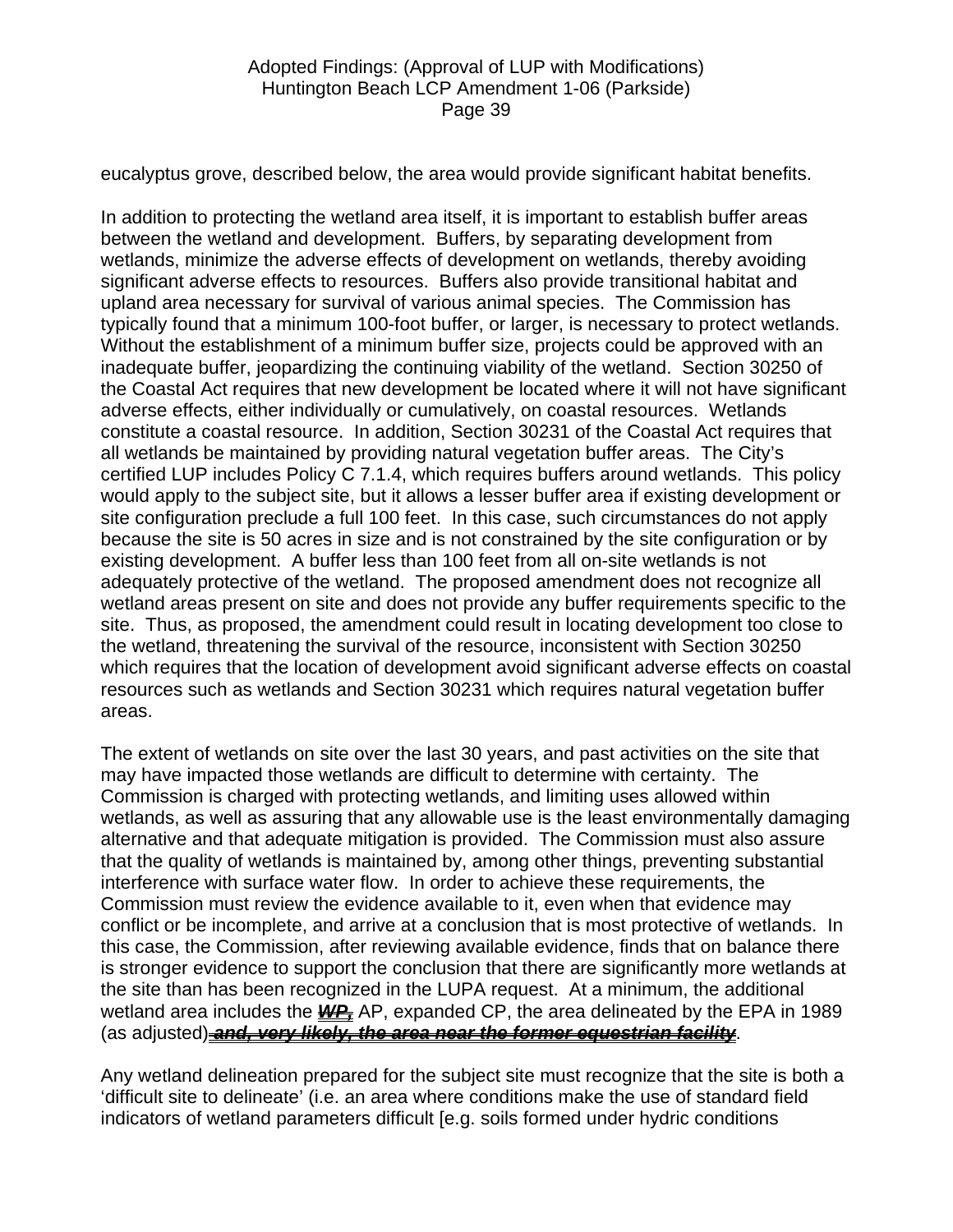eucalyptus grove, described below, the area would provide significant habitat benefits.

In addition to protecting the wetland area itself, it is important to establish buffer areas between the wetland and development. Buffers, by separating development from wetlands, minimize the adverse effects of development on wetlands, thereby avoiding significant adverse effects to resources. Buffers also provide transitional habitat and upland area necessary for survival of various animal species. The Commission has typically found that a minimum 100-foot buffer, or larger, is necessary to protect wetlands. Without the establishment of a minimum buffer size, projects could be approved with an inadequate buffer, jeopardizing the continuing viability of the wetland. Section 30250 of the Coastal Act requires that new development be located where it will not have significant adverse effects, either individually or cumulatively, on coastal resources. Wetlands constitute a coastal resource. In addition, Section 30231 of the Coastal Act requires that all wetlands be maintained by providing natural vegetation buffer areas. The City's certified LUP includes Policy C 7.1.4, which requires buffers around wetlands. This policy would apply to the subject site, but it allows a lesser buffer area if existing development or site configuration preclude a full 100 feet. In this case, such circumstances do not apply because the site is 50 acres in size and is not constrained by the site configuration or by existing development. A buffer less than 100 feet from all on-site wetlands is not adequately protective of the wetland. The proposed amendment does not recognize all wetland areas present on site and does not provide any buffer requirements specific to the site. Thus, as proposed, the amendment could result in locating development too close to the wetland, threatening the survival of the resource, inconsistent with Section 30250 which requires that the location of development avoid significant adverse effects on coastal resources such as wetlands and Section 30231 which requires natural vegetation buffer areas.

The extent of wetlands on site over the last 30 years, and past activities on the site that may have impacted those wetlands are difficult to determine with certainty. The Commission is charged with protecting wetlands, and limiting uses allowed within wetlands, as well as assuring that any allowable use is the least environmentally damaging alternative and that adequate mitigation is provided. The Commission must also assure that the quality of wetlands is maintained by, among other things, preventing substantial interference with surface water flow. In order to achieve these requirements, the Commission must review the evidence available to it, even when that evidence may conflict or be incomplete, and arrive at a conclusion that is most protective of wetlands. In this case, the Commission, after reviewing available evidence, finds that on balance there is stronger evidence to support the conclusion that there are significantly more wetlands at the site than has been recognized in the LUPA request. At a minimum, the additional wetland area includes the **WP** AP, expanded CP, the area delineated by the EPA in 1989 (as adjusted) *and, very likely, the area near the former equestrian facility*.

Any wetland delineation prepared for the subject site must recognize that the site is both a 'difficult site to delineate' (i.e. an area where conditions make the use of standard field indicators of wetland parameters difficult [e.g. soils formed under hydric conditions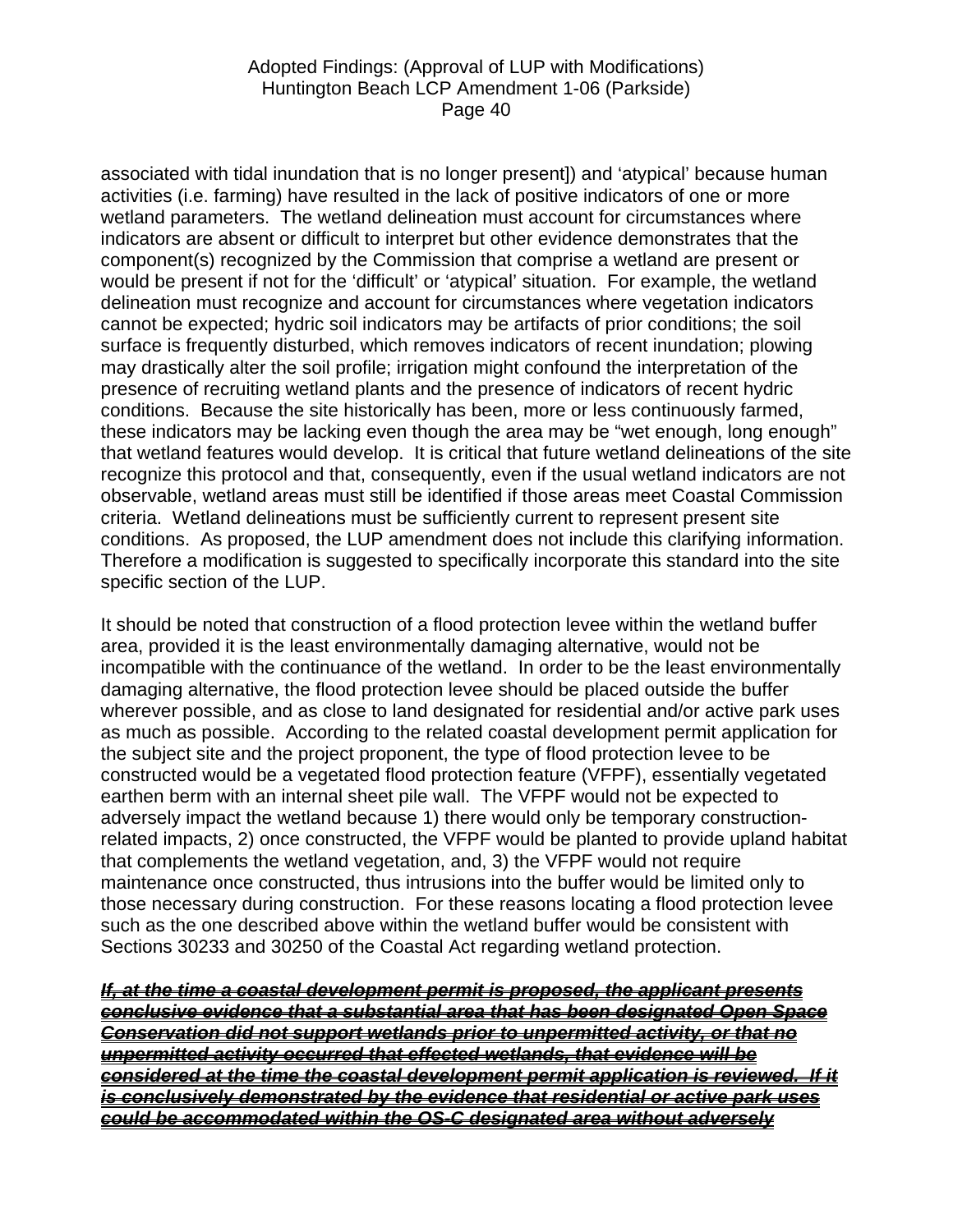associated with tidal inundation that is no longer present]) and 'atypical' because human activities (i.e. farming) have resulted in the lack of positive indicators of one or more wetland parameters. The wetland delineation must account for circumstances where indicators are absent or difficult to interpret but other evidence demonstrates that the component(s) recognized by the Commission that comprise a wetland are present or would be present if not for the 'difficult' or 'atypical' situation. For example, the wetland delineation must recognize and account for circumstances where vegetation indicators cannot be expected; hydric soil indicators may be artifacts of prior conditions; the soil surface is frequently disturbed, which removes indicators of recent inundation; plowing may drastically alter the soil profile; irrigation might confound the interpretation of the presence of recruiting wetland plants and the presence of indicators of recent hydric conditions. Because the site historically has been, more or less continuously farmed, these indicators may be lacking even though the area may be "wet enough, long enough" that wetland features would develop. It is critical that future wetland delineations of the site recognize this protocol and that, consequently, even if the usual wetland indicators are not observable, wetland areas must still be identified if those areas meet Coastal Commission criteria. Wetland delineations must be sufficiently current to represent present site conditions. As proposed, the LUP amendment does not include this clarifying information. Therefore a modification is suggested to specifically incorporate this standard into the site specific section of the LUP.

It should be noted that construction of a flood protection levee within the wetland buffer area, provided it is the least environmentally damaging alternative, would not be incompatible with the continuance of the wetland. In order to be the least environmentally damaging alternative, the flood protection levee should be placed outside the buffer wherever possible, and as close to land designated for residential and/or active park uses as much as possible. According to the related coastal development permit application for the subject site and the project proponent, the type of flood protection levee to be constructed would be a vegetated flood protection feature (VFPF), essentially vegetated earthen berm with an internal sheet pile wall. The VFPF would not be expected to adversely impact the wetland because 1) there would only be temporary constructionrelated impacts, 2) once constructed, the VFPF would be planted to provide upland habitat that complements the wetland vegetation, and, 3) the VFPF would not require maintenance once constructed, thus intrusions into the buffer would be limited only to those necessary during construction. For these reasons locating a flood protection levee such as the one described above within the wetland buffer would be consistent with Sections 30233 and 30250 of the Coastal Act regarding wetland protection.

*If, at the time a coastal development permit is proposed, the applicant presents conclusive evidence that a substantial area that has been designated Open Space Conservation did not support wetlands prior to unpermitted activity, or that no unpermitted activity occurred that effected wetlands, that evidence will be considered at the time the coastal development permit application is reviewed. If it is conclusively demonstrated by the evidence that residential or active park uses could be accommodated within the OS-C designated area without adversely*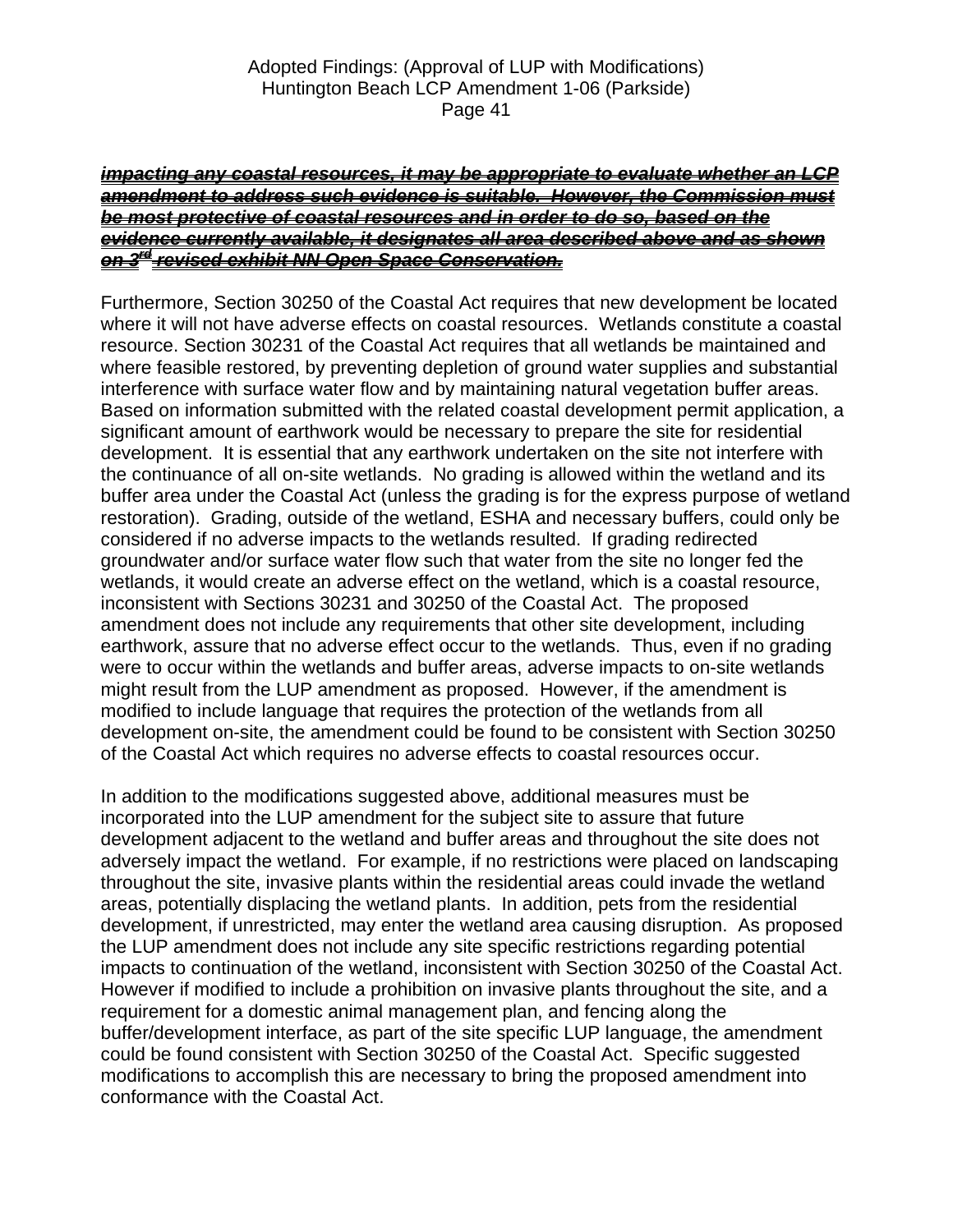#### *impacting any coastal resources, it may be appropriate to evaluate whether an LCP amendment to address such evidence is suitable. However, the Commission must be most protective of coastal resources and in order to do so, based on the evidence currently available, it designates all area described above and as shown on 3rd revised exhibit NN Open Space Conservation.*

Furthermore, Section 30250 of the Coastal Act requires that new development be located where it will not have adverse effects on coastal resources. Wetlands constitute a coastal resource. Section 30231 of the Coastal Act requires that all wetlands be maintained and where feasible restored, by preventing depletion of ground water supplies and substantial interference with surface water flow and by maintaining natural vegetation buffer areas. Based on information submitted with the related coastal development permit application, a significant amount of earthwork would be necessary to prepare the site for residential development. It is essential that any earthwork undertaken on the site not interfere with the continuance of all on-site wetlands. No grading is allowed within the wetland and its buffer area under the Coastal Act (unless the grading is for the express purpose of wetland restoration). Grading, outside of the wetland, ESHA and necessary buffers, could only be considered if no adverse impacts to the wetlands resulted. If grading redirected groundwater and/or surface water flow such that water from the site no longer fed the wetlands, it would create an adverse effect on the wetland, which is a coastal resource, inconsistent with Sections 30231 and 30250 of the Coastal Act. The proposed amendment does not include any requirements that other site development, including earthwork, assure that no adverse effect occur to the wetlands. Thus, even if no grading were to occur within the wetlands and buffer areas, adverse impacts to on-site wetlands might result from the LUP amendment as proposed. However, if the amendment is modified to include language that requires the protection of the wetlands from all development on-site, the amendment could be found to be consistent with Section 30250 of the Coastal Act which requires no adverse effects to coastal resources occur.

In addition to the modifications suggested above, additional measures must be incorporated into the LUP amendment for the subject site to assure that future development adjacent to the wetland and buffer areas and throughout the site does not adversely impact the wetland. For example, if no restrictions were placed on landscaping throughout the site, invasive plants within the residential areas could invade the wetland areas, potentially displacing the wetland plants. In addition, pets from the residential development, if unrestricted, may enter the wetland area causing disruption. As proposed the LUP amendment does not include any site specific restrictions regarding potential impacts to continuation of the wetland, inconsistent with Section 30250 of the Coastal Act. However if modified to include a prohibition on invasive plants throughout the site, and a requirement for a domestic animal management plan, and fencing along the buffer/development interface, as part of the site specific LUP language, the amendment could be found consistent with Section 30250 of the Coastal Act. Specific suggested modifications to accomplish this are necessary to bring the proposed amendment into conformance with the Coastal Act.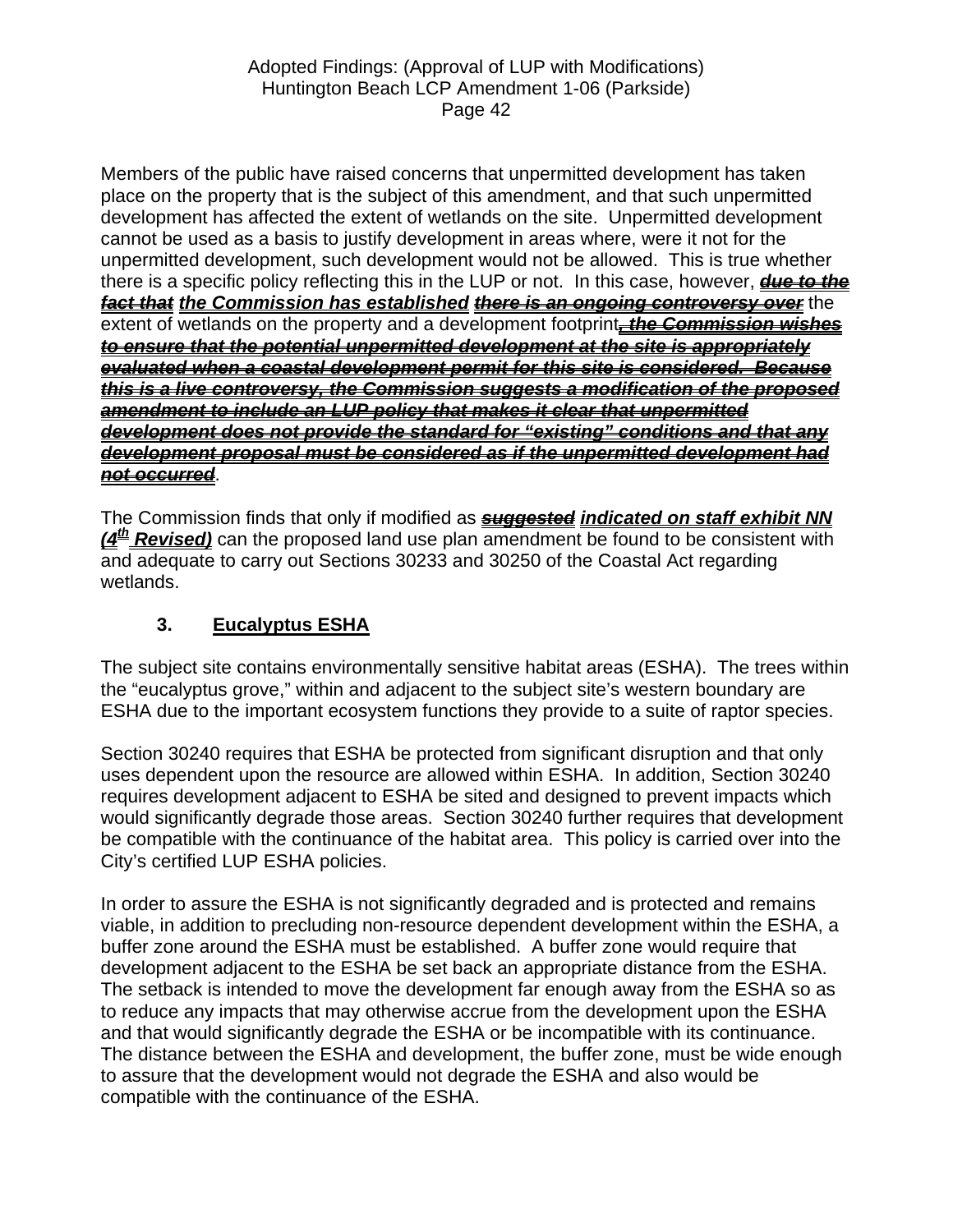Members of the public have raised concerns that unpermitted development has taken place on the property that is the subject of this amendment, and that such unpermitted development has affected the extent of wetlands on the site. Unpermitted development cannot be used as a basis to justify development in areas where, were it not for the unpermitted development, such development would not be allowed. This is true whether there is a specific policy reflecting this in the LUP or not. In this case, however, *due to the fact that the Commission has established there is an ongoing controversy over* the extent of wetlands on the property and a development footprint*, the Commission wishes to ensure that the potential unpermitted development at the site is appropriately evaluated when a coastal development permit for this site is considered. Because this is a live controversy, the Commission suggests a modification of the proposed amendment to include an LUP policy that makes it clear that unpermitted development does not provide the standard for "existing" conditions and that any development proposal must be considered as if the unpermitted development had not occurred*.

The Commission finds that only if modified as *suggested indicated on staff exhibit NN*  (4<sup>th</sup> Revised) can the proposed land use plan amendment be found to be consistent with and adequate to carry out Sections 30233 and 30250 of the Coastal Act regarding wetlands.

# **3. Eucalyptus ESHA**

The subject site contains environmentally sensitive habitat areas (ESHA). The trees within the "eucalyptus grove," within and adjacent to the subject site's western boundary are ESHA due to the important ecosystem functions they provide to a suite of raptor species.

Section 30240 requires that ESHA be protected from significant disruption and that only uses dependent upon the resource are allowed within ESHA. In addition, Section 30240 requires development adjacent to ESHA be sited and designed to prevent impacts which would significantly degrade those areas. Section 30240 further requires that development be compatible with the continuance of the habitat area. This policy is carried over into the City's certified LUP ESHA policies.

In order to assure the ESHA is not significantly degraded and is protected and remains viable, in addition to precluding non-resource dependent development within the ESHA, a buffer zone around the ESHA must be established. A buffer zone would require that development adjacent to the ESHA be set back an appropriate distance from the ESHA. The setback is intended to move the development far enough away from the ESHA so as to reduce any impacts that may otherwise accrue from the development upon the ESHA and that would significantly degrade the ESHA or be incompatible with its continuance. The distance between the ESHA and development, the buffer zone, must be wide enough to assure that the development would not degrade the ESHA and also would be compatible with the continuance of the ESHA.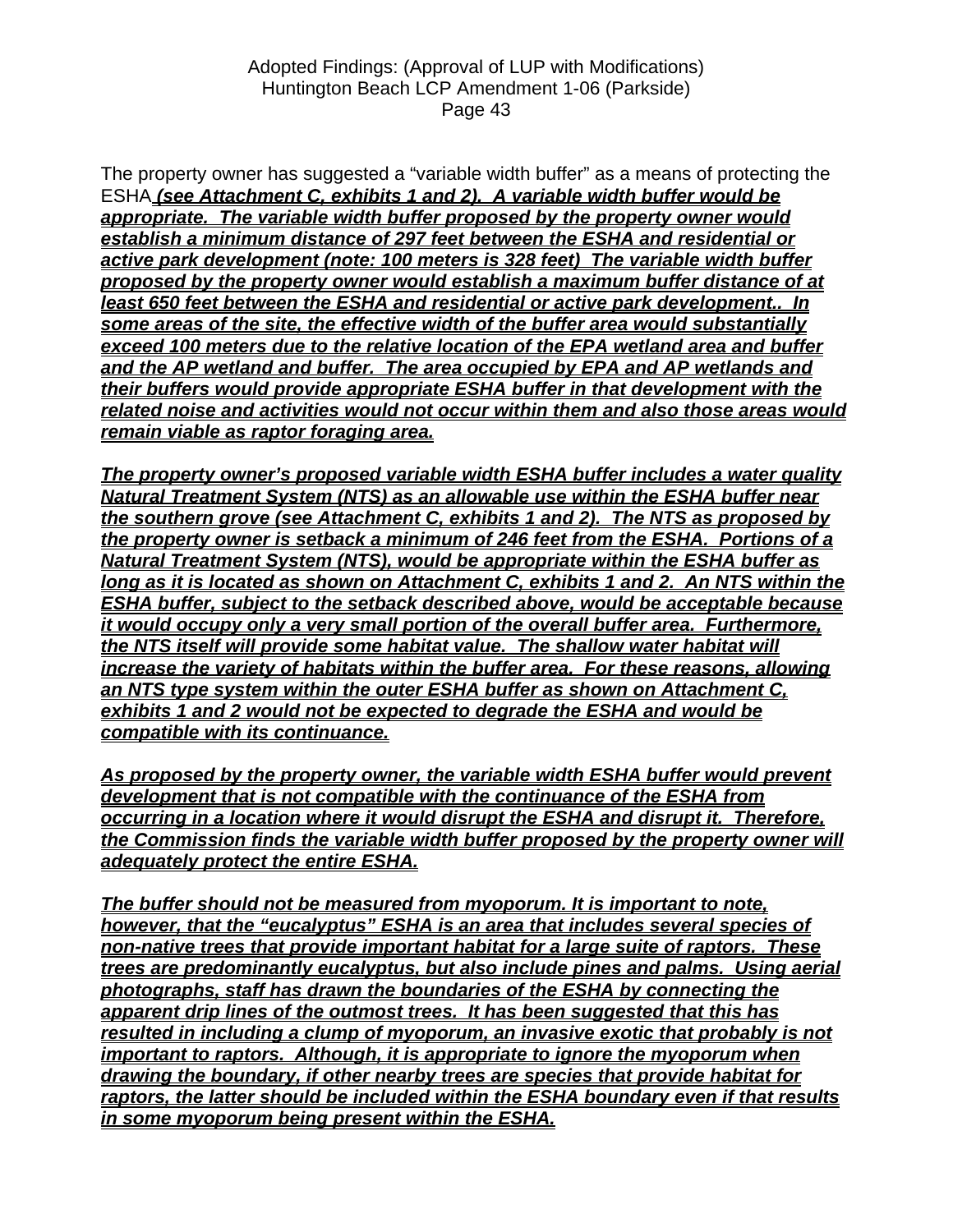The property owner has suggested a "variable width buffer" as a means of protecting the ESHA *(see Attachment C, exhibits 1 and 2). A variable width buffer would be appropriate. The variable width buffer proposed by the property owner would establish a minimum distance of 297 feet between the ESHA and residential or active park development (note: 100 meters is 328 feet) The variable width buffer proposed by the property owner would establish a maximum buffer distance of at least 650 feet between the ESHA and residential or active park development.. In some areas of the site, the effective width of the buffer area would substantially exceed 100 meters due to the relative location of the EPA wetland area and buffer and the AP wetland and buffer. The area occupied by EPA and AP wetlands and their buffers would provide appropriate ESHA buffer in that development with the related noise and activities would not occur within them and also those areas would remain viable as raptor foraging area.* 

*The property owner's proposed variable width ESHA buffer includes a water quality Natural Treatment System (NTS) as an allowable use within the ESHA buffer near the southern grove (see Attachment C, exhibits 1 and 2). The NTS as proposed by the property owner is setback a minimum of 246 feet from the ESHA. Portions of a Natural Treatment System (NTS), would be appropriate within the ESHA buffer as long as it is located as shown on Attachment C, exhibits 1 and 2. An NTS within the ESHA buffer, subject to the setback described above, would be acceptable because it would occupy only a very small portion of the overall buffer area. Furthermore, the NTS itself will provide some habitat value. The shallow water habitat will increase the variety of habitats within the buffer area. For these reasons, allowing an NTS type system within the outer ESHA buffer as shown on Attachment C, exhibits 1 and 2 would not be expected to degrade the ESHA and would be compatible with its continuance.*

As proposed by the property owner, the variable width ESHA buffer would prevent *development that is not compatible with the continuance of the ESHA from occurring in a location where it would disrupt the ESHA and disrupt it. Therefore, the Commission finds the variable width buffer proposed by the property owner will adequately protect the entire ESHA.*

*The buffer should not be measured from myoporum. It is important to note, however, that the "eucalyptus" ESHA is an area that includes several species of non-native trees that provide important habitat for a large suite of raptors. These trees are predominantly eucalyptus, but also include pines and palms. Using aerial photographs, staff has drawn the boundaries of the ESHA by connecting the apparent drip lines of the outmost trees. It has been suggested that this has resulted in including a clump of myoporum, an invasive exotic that probably is not important to raptors. Although, it is appropriate to ignore the myoporum when drawing the boundary, if other nearby trees are species that provide habitat for raptors, the latter should be included within the ESHA boundary even if that results in some myoporum being present within the ESHA.*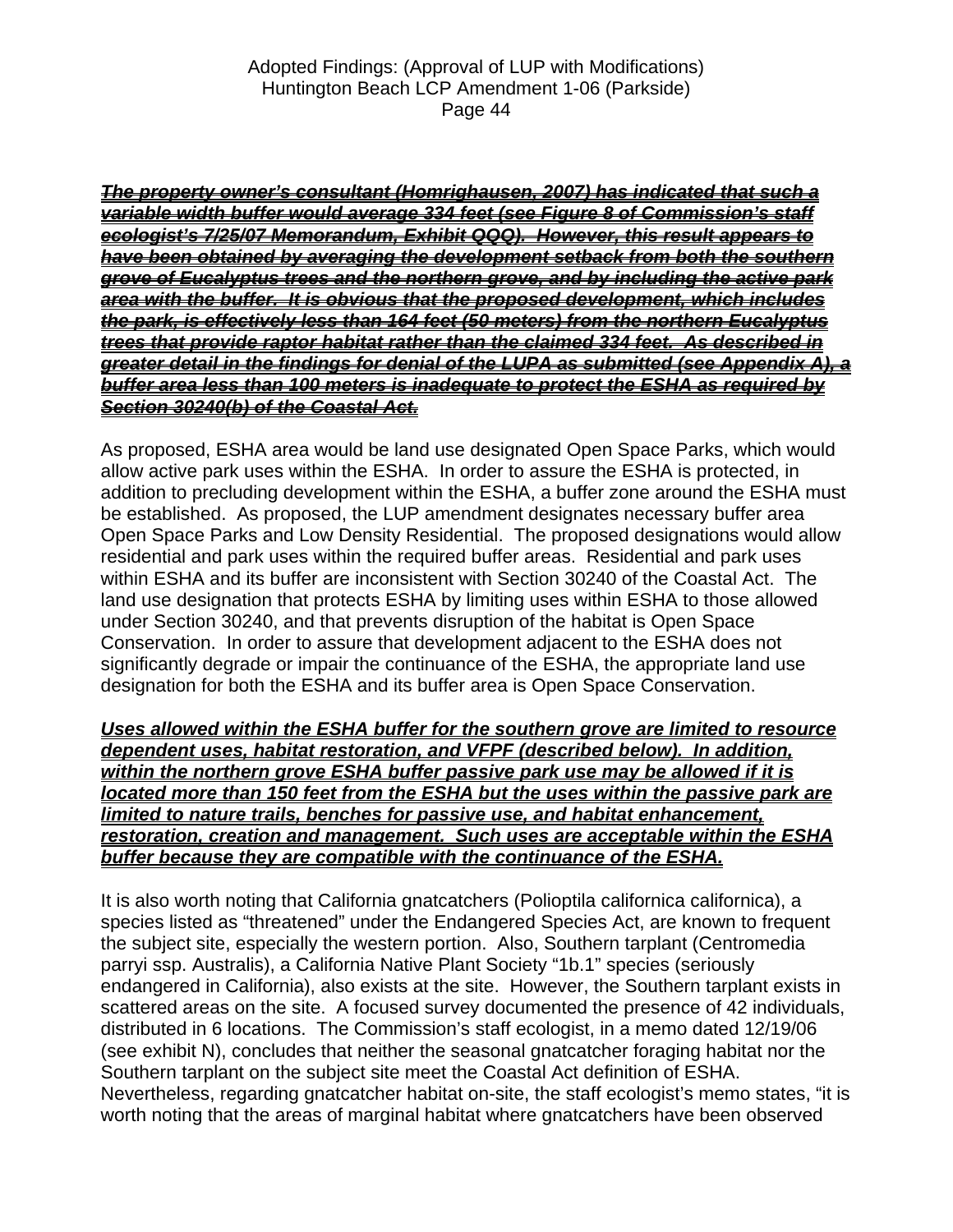*The property owner's consultant (Homrighausen, 2007) has indicated that such a variable width buffer would average 334 feet (see Figure 8 of Commission's staff ecologist's 7/25/07 Memorandum, Exhibit QQQ). However, this result appears to have been obtained by averaging the development setback from both the southern grove of Eucalyptus trees and the northern grove, and by including the active park area with the buffer. It is obvious that the proposed development, which includes the park, is effectively less than 164 feet (50 meters) from the northern Eucalyptus trees that provide raptor habitat rather than the claimed 334 feet. As described in greater detail in the findings for denial of the LUPA as submitted (see Appendix A), a buffer area less than 100 meters is inadequate to protect the ESHA as required by Section 30240(b) of the Coastal Act.*

As proposed, ESHA area would be land use designated Open Space Parks, which would allow active park uses within the ESHA. In order to assure the ESHA is protected, in addition to precluding development within the ESHA, a buffer zone around the ESHA must be established. As proposed, the LUP amendment designates necessary buffer area Open Space Parks and Low Density Residential. The proposed designations would allow residential and park uses within the required buffer areas. Residential and park uses within ESHA and its buffer are inconsistent with Section 30240 of the Coastal Act. The land use designation that protects ESHA by limiting uses within ESHA to those allowed under Section 30240, and that prevents disruption of the habitat is Open Space Conservation. In order to assure that development adjacent to the ESHA does not significantly degrade or impair the continuance of the ESHA, the appropriate land use designation for both the ESHA and its buffer area is Open Space Conservation.

*Uses allowed within the ESHA buffer for the southern grove are limited to resource dependent uses, habitat restoration, and VFPF (described below). In addition, within the northern grove ESHA buffer passive park use may be allowed if it is located more than 150 feet from the ESHA but the uses within the passive park are limited to nature trails, benches for passive use, and habitat enhancement, restoration, creation and management. Such uses are acceptable within the ESHA buffer because they are compatible with the continuance of the ESHA.*

It is also worth noting that California gnatcatchers (Polioptila californica californica), a species listed as "threatened" under the Endangered Species Act, are known to frequent the subject site, especially the western portion. Also, Southern tarplant (Centromedia parryi ssp. Australis), a California Native Plant Society "1b.1" species (seriously endangered in California), also exists at the site. However, the Southern tarplant exists in scattered areas on the site. A focused survey documented the presence of 42 individuals, distributed in 6 locations. The Commission's staff ecologist, in a memo dated 12/19/06 (see exhibit N), concludes that neither the seasonal gnatcatcher foraging habitat nor the Southern tarplant on the subject site meet the Coastal Act definition of ESHA. Nevertheless, regarding gnatcatcher habitat on-site, the staff ecologist's memo states, "it is worth noting that the areas of marginal habitat where gnatcatchers have been observed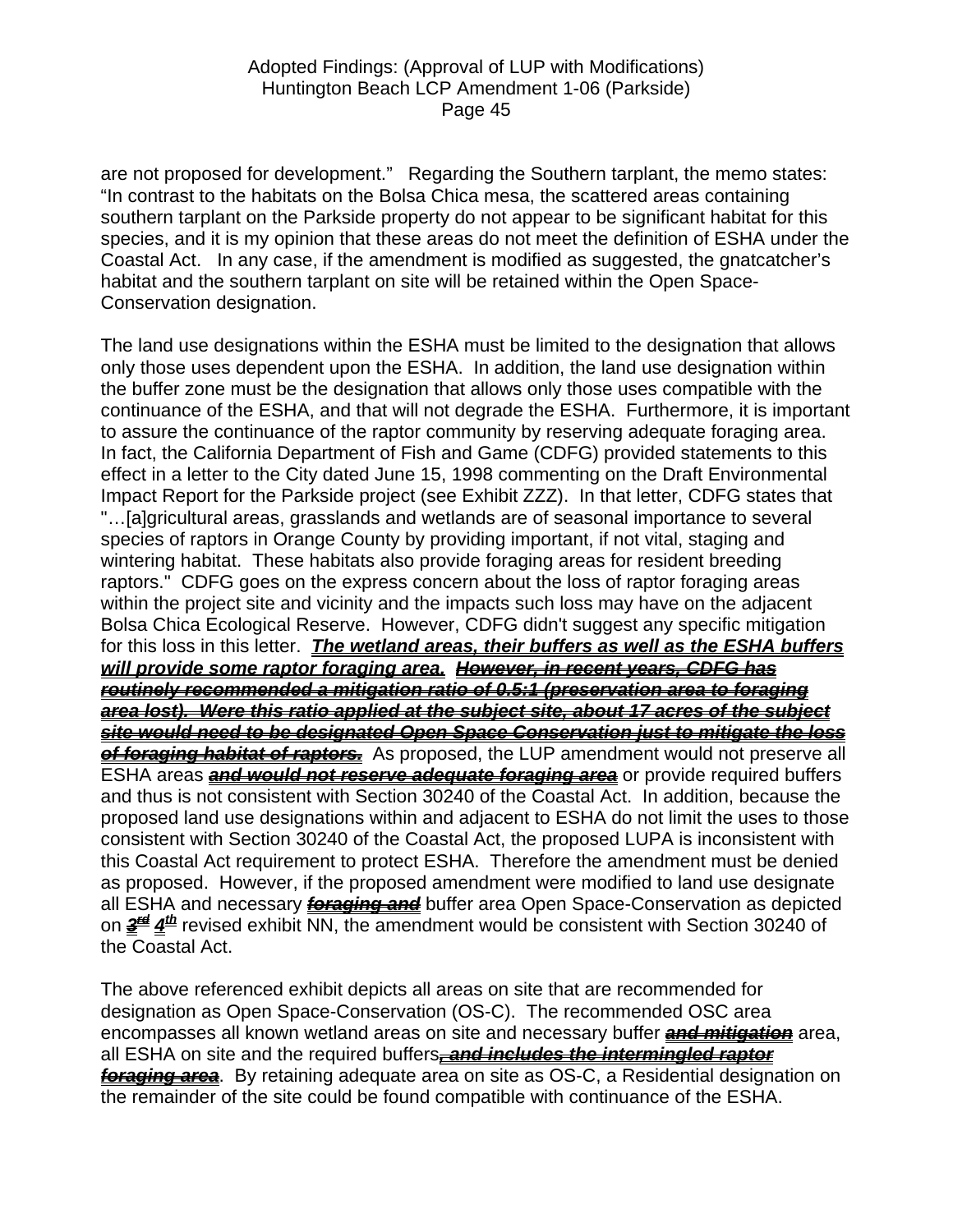are not proposed for development." Regarding the Southern tarplant, the memo states: "In contrast to the habitats on the Bolsa Chica mesa, the scattered areas containing southern tarplant on the Parkside property do not appear to be significant habitat for this species, and it is my opinion that these areas do not meet the definition of ESHA under the Coastal Act. In any case, if the amendment is modified as suggested, the gnatcatcher's habitat and the southern tarplant on site will be retained within the Open Space-Conservation designation.

The land use designations within the ESHA must be limited to the designation that allows only those uses dependent upon the ESHA. In addition, the land use designation within the buffer zone must be the designation that allows only those uses compatible with the continuance of the ESHA, and that will not degrade the ESHA. Furthermore, it is important to assure the continuance of the raptor community by reserving adequate foraging area. In fact, the California Department of Fish and Game (CDFG) provided statements to this effect in a letter to the City dated June 15, 1998 commenting on the Draft Environmental Impact Report for the Parkside project (see Exhibit ZZZ). In that letter, CDFG states that "…[a]gricultural areas, grasslands and wetlands are of seasonal importance to several species of raptors in Orange County by providing important, if not vital, staging and wintering habitat. These habitats also provide foraging areas for resident breeding raptors." CDFG goes on the express concern about the loss of raptor foraging areas within the project site and vicinity and the impacts such loss may have on the adjacent Bolsa Chica Ecological Reserve. However, CDFG didn't suggest any specific mitigation for this loss in this letter. *The wetland areas, their buffers as well as the ESHA buffers will provide some raptor foraging area. However, in recent years, CDFG has routinely recommended a mitigation ratio of 0.5:1 (preservation area to foraging area lost). Were this ratio applied at the subject site, about 17 acres of the subject site would need to be designated Open Space Conservation just to mitigate the loss of foraging habitat of raptors.* As proposed, the LUP amendment would not preserve all ESHA areas *and would not reserve adequate foraging area* or provide required buffers and thus is not consistent with Section 30240 of the Coastal Act. In addition, because the proposed land use designations within and adjacent to ESHA do not limit the uses to those consistent with Section 30240 of the Coastal Act, the proposed LUPA is inconsistent with this Coastal Act requirement to protect ESHA. Therefore the amendment must be denied as proposed. However, if the proposed amendment were modified to land use designate all ESHA and necessary *foraging and* buffer area Open Space-Conservation as depicted on *3rd 4th* revised exhibit NN, the amendment would be consistent with Section 30240 of the Coastal Act.

The above referenced exhibit depicts all areas on site that are recommended for designation as Open Space-Conservation (OS-C). The recommended OSC area encompasses all known wetland areas on site and necessary buffer *and mitigation* area, all ESHA on site and the required buffers*, and includes the intermingled raptor foraging area*. By retaining adequate area on site as OS-C, a Residential designation on the remainder of the site could be found compatible with continuance of the ESHA.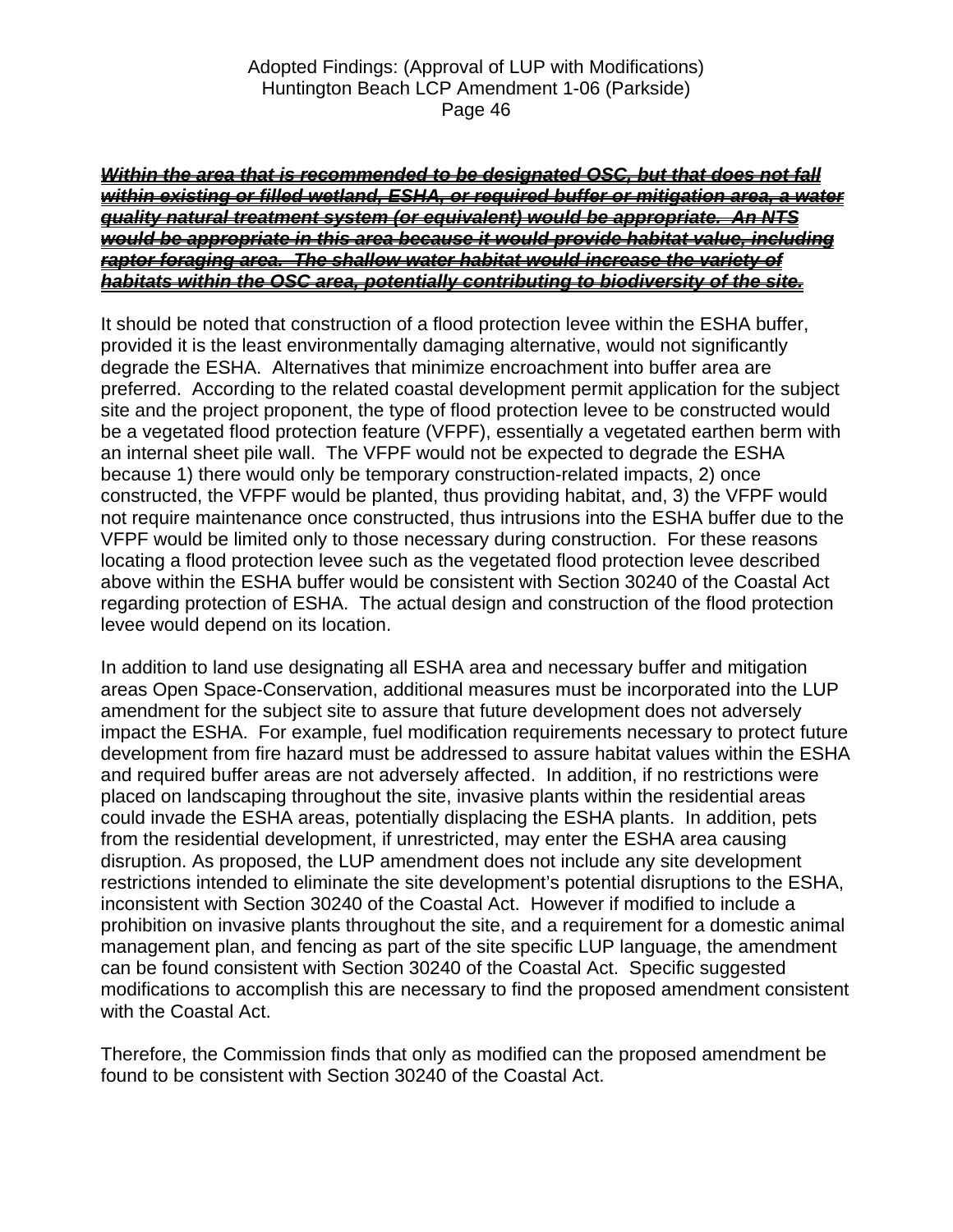#### *Within the area that is recommended to be designated OSC, but that does not fall within existing or filled wetland, ESHA, or required buffer or mitigation area, a water quality natural treatment system (or equivalent) would be appropriate. An NTS would be appropriate in this area because it would provide habitat value, including raptor foraging area. The shallow water habitat would increase the variety of habitats within the OSC area, potentially contributing to biodiversity of the site.*

It should be noted that construction of a flood protection levee within the ESHA buffer, provided it is the least environmentally damaging alternative, would not significantly degrade the ESHA. Alternatives that minimize encroachment into buffer area are preferred. According to the related coastal development permit application for the subject site and the project proponent, the type of flood protection levee to be constructed would be a vegetated flood protection feature (VFPF), essentially a vegetated earthen berm with an internal sheet pile wall. The VFPF would not be expected to degrade the ESHA because 1) there would only be temporary construction-related impacts, 2) once constructed, the VFPF would be planted, thus providing habitat, and, 3) the VFPF would not require maintenance once constructed, thus intrusions into the ESHA buffer due to the VFPF would be limited only to those necessary during construction. For these reasons locating a flood protection levee such as the vegetated flood protection levee described above within the ESHA buffer would be consistent with Section 30240 of the Coastal Act regarding protection of ESHA. The actual design and construction of the flood protection levee would depend on its location.

In addition to land use designating all ESHA area and necessary buffer and mitigation areas Open Space-Conservation, additional measures must be incorporated into the LUP amendment for the subject site to assure that future development does not adversely impact the ESHA. For example, fuel modification requirements necessary to protect future development from fire hazard must be addressed to assure habitat values within the ESHA and required buffer areas are not adversely affected. In addition, if no restrictions were placed on landscaping throughout the site, invasive plants within the residential areas could invade the ESHA areas, potentially displacing the ESHA plants. In addition, pets from the residential development, if unrestricted, may enter the ESHA area causing disruption. As proposed, the LUP amendment does not include any site development restrictions intended to eliminate the site development's potential disruptions to the ESHA, inconsistent with Section 30240 of the Coastal Act. However if modified to include a prohibition on invasive plants throughout the site, and a requirement for a domestic animal management plan, and fencing as part of the site specific LUP language, the amendment can be found consistent with Section 30240 of the Coastal Act. Specific suggested modifications to accomplish this are necessary to find the proposed amendment consistent with the Coastal Act.

Therefore, the Commission finds that only as modified can the proposed amendment be found to be consistent with Section 30240 of the Coastal Act.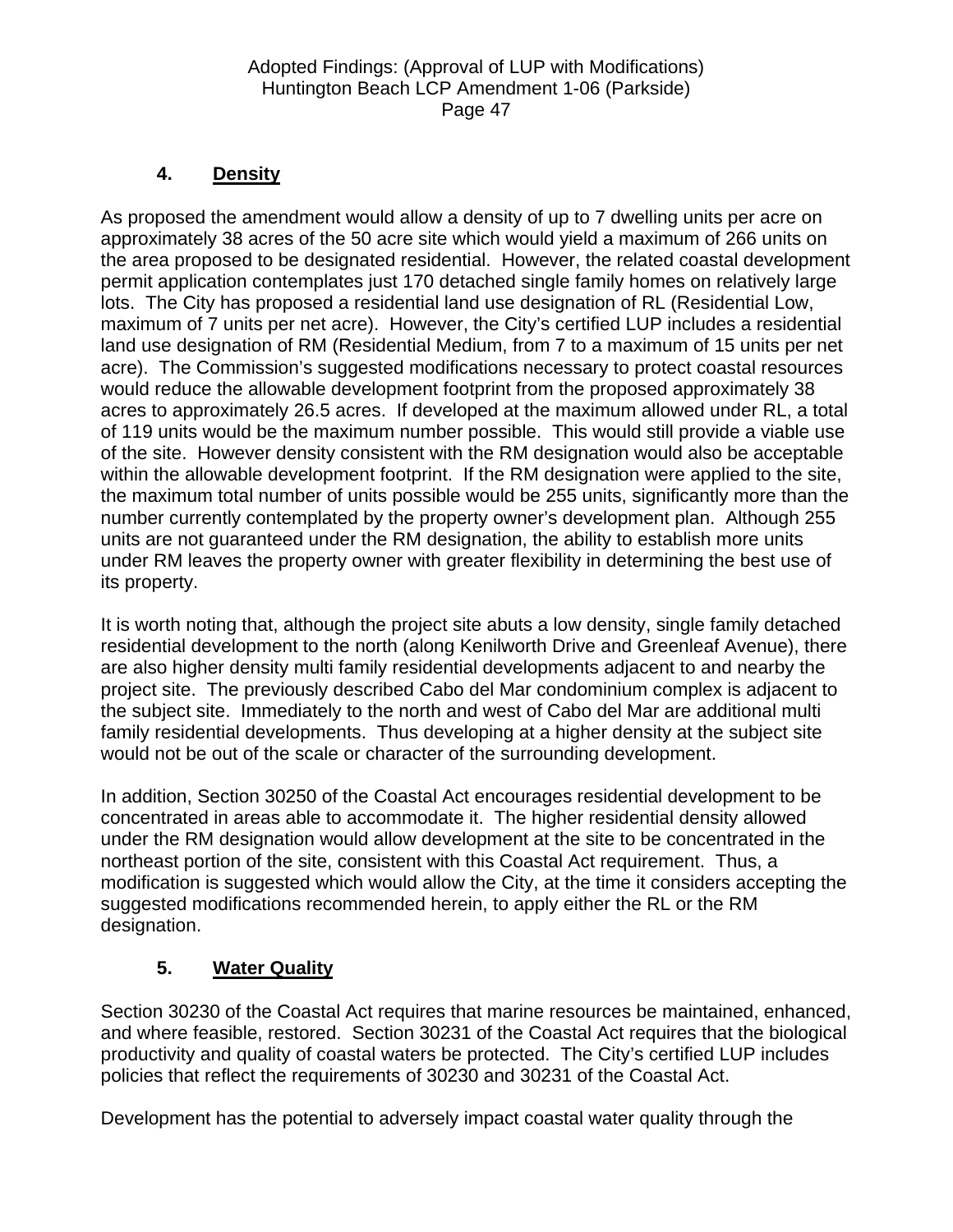# **4. Density**

As proposed the amendment would allow a density of up to 7 dwelling units per acre on approximately 38 acres of the 50 acre site which would yield a maximum of 266 units on the area proposed to be designated residential. However, the related coastal development permit application contemplates just 170 detached single family homes on relatively large lots. The City has proposed a residential land use designation of RL (Residential Low, maximum of 7 units per net acre). However, the City's certified LUP includes a residential land use designation of RM (Residential Medium, from 7 to a maximum of 15 units per net acre). The Commission's suggested modifications necessary to protect coastal resources would reduce the allowable development footprint from the proposed approximately 38 acres to approximately 26.5 acres. If developed at the maximum allowed under RL, a total of 119 units would be the maximum number possible. This would still provide a viable use of the site. However density consistent with the RM designation would also be acceptable within the allowable development footprint. If the RM designation were applied to the site, the maximum total number of units possible would be 255 units, significantly more than the number currently contemplated by the property owner's development plan. Although 255 units are not guaranteed under the RM designation, the ability to establish more units under RM leaves the property owner with greater flexibility in determining the best use of its property.

It is worth noting that, although the project site abuts a low density, single family detached residential development to the north (along Kenilworth Drive and Greenleaf Avenue), there are also higher density multi family residential developments adjacent to and nearby the project site. The previously described Cabo del Mar condominium complex is adjacent to the subject site. Immediately to the north and west of Cabo del Mar are additional multi family residential developments. Thus developing at a higher density at the subject site would not be out of the scale or character of the surrounding development.

In addition, Section 30250 of the Coastal Act encourages residential development to be concentrated in areas able to accommodate it. The higher residential density allowed under the RM designation would allow development at the site to be concentrated in the northeast portion of the site, consistent with this Coastal Act requirement. Thus, a modification is suggested which would allow the City, at the time it considers accepting the suggested modifications recommended herein, to apply either the RL or the RM designation.

# **5. Water Quality**

Section 30230 of the Coastal Act requires that marine resources be maintained, enhanced, and where feasible, restored. Section 30231 of the Coastal Act requires that the biological productivity and quality of coastal waters be protected. The City's certified LUP includes policies that reflect the requirements of 30230 and 30231 of the Coastal Act.

Development has the potential to adversely impact coastal water quality through the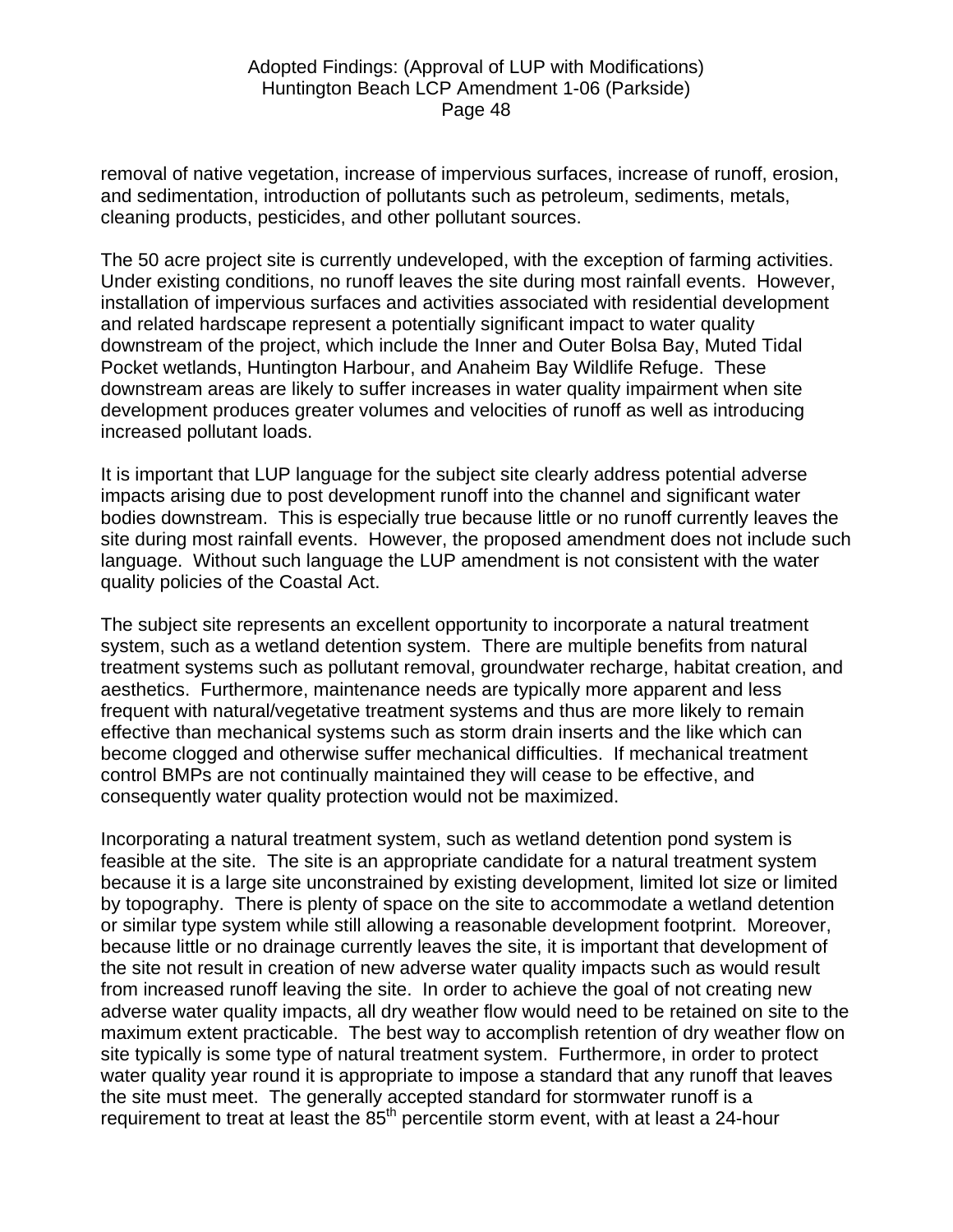removal of native vegetation, increase of impervious surfaces, increase of runoff, erosion, and sedimentation, introduction of pollutants such as petroleum, sediments, metals, cleaning products, pesticides, and other pollutant sources.

The 50 acre project site is currently undeveloped, with the exception of farming activities. Under existing conditions, no runoff leaves the site during most rainfall events. However, installation of impervious surfaces and activities associated with residential development and related hardscape represent a potentially significant impact to water quality downstream of the project, which include the Inner and Outer Bolsa Bay, Muted Tidal Pocket wetlands, Huntington Harbour, and Anaheim Bay Wildlife Refuge. These downstream areas are likely to suffer increases in water quality impairment when site development produces greater volumes and velocities of runoff as well as introducing increased pollutant loads.

It is important that LUP language for the subject site clearly address potential adverse impacts arising due to post development runoff into the channel and significant water bodies downstream. This is especially true because little or no runoff currently leaves the site during most rainfall events. However, the proposed amendment does not include such language. Without such language the LUP amendment is not consistent with the water quality policies of the Coastal Act.

The subject site represents an excellent opportunity to incorporate a natural treatment system, such as a wetland detention system. There are multiple benefits from natural treatment systems such as pollutant removal, groundwater recharge, habitat creation, and aesthetics. Furthermore, maintenance needs are typically more apparent and less frequent with natural/vegetative treatment systems and thus are more likely to remain effective than mechanical systems such as storm drain inserts and the like which can become clogged and otherwise suffer mechanical difficulties. If mechanical treatment control BMPs are not continually maintained they will cease to be effective, and consequently water quality protection would not be maximized.

Incorporating a natural treatment system, such as wetland detention pond system is feasible at the site. The site is an appropriate candidate for a natural treatment system because it is a large site unconstrained by existing development, limited lot size or limited by topography. There is plenty of space on the site to accommodate a wetland detention or similar type system while still allowing a reasonable development footprint. Moreover, because little or no drainage currently leaves the site, it is important that development of the site not result in creation of new adverse water quality impacts such as would result from increased runoff leaving the site. In order to achieve the goal of not creating new adverse water quality impacts, all dry weather flow would need to be retained on site to the maximum extent practicable. The best way to accomplish retention of dry weather flow on site typically is some type of natural treatment system. Furthermore, in order to protect water quality year round it is appropriate to impose a standard that any runoff that leaves the site must meet. The generally accepted standard for stormwater runoff is a requirement to treat at least the  $85<sup>th</sup>$  percentile storm event, with at least a 24-hour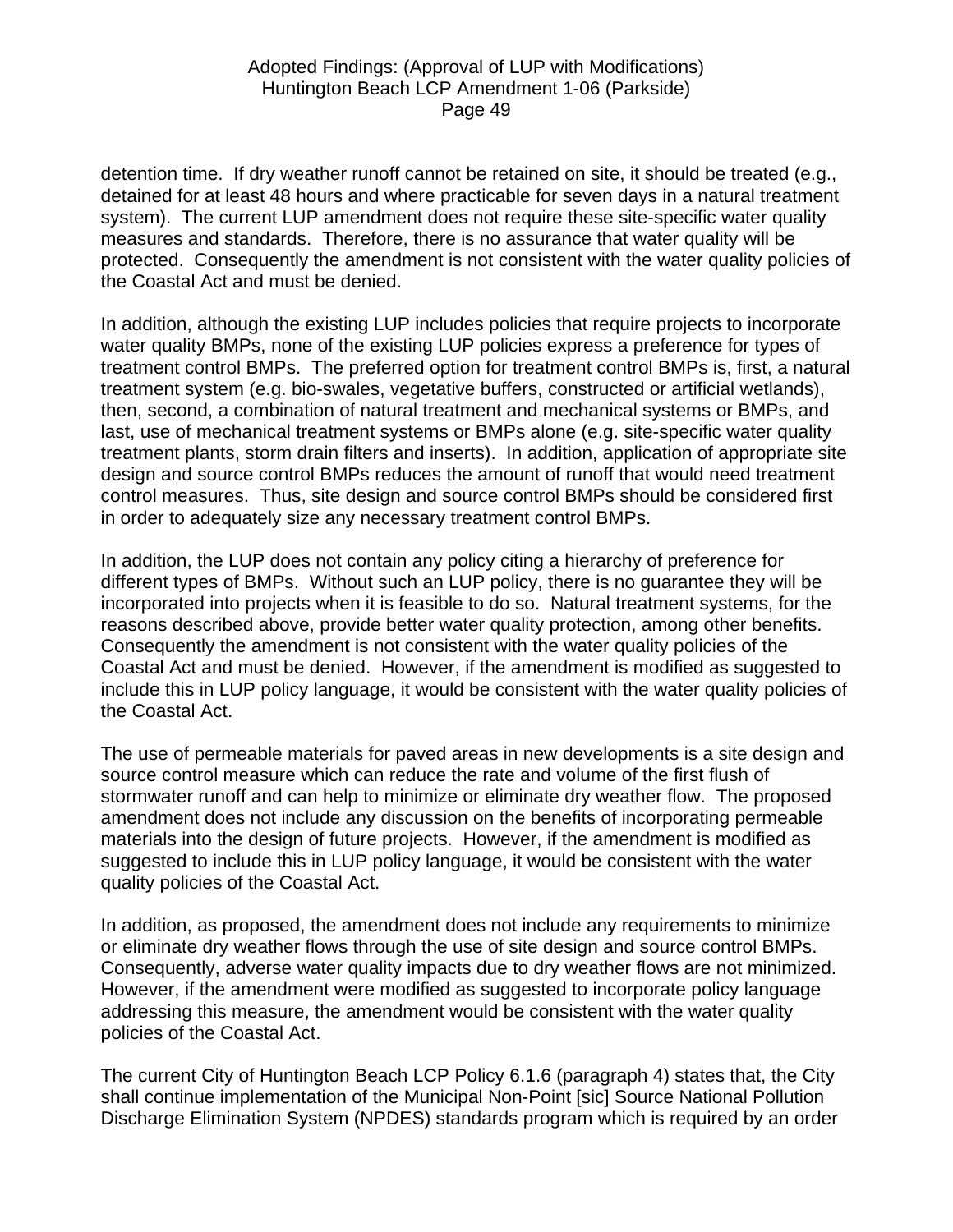detention time. If dry weather runoff cannot be retained on site, it should be treated (e.g., detained for at least 48 hours and where practicable for seven days in a natural treatment system). The current LUP amendment does not require these site-specific water quality measures and standards. Therefore, there is no assurance that water quality will be protected. Consequently the amendment is not consistent with the water quality policies of the Coastal Act and must be denied.

In addition, although the existing LUP includes policies that require projects to incorporate water quality BMPs, none of the existing LUP policies express a preference for types of treatment control BMPs. The preferred option for treatment control BMPs is, first, a natural treatment system (e.g. bio-swales, vegetative buffers, constructed or artificial wetlands), then, second, a combination of natural treatment and mechanical systems or BMPs, and last, use of mechanical treatment systems or BMPs alone (e.g. site-specific water quality treatment plants, storm drain filters and inserts). In addition, application of appropriate site design and source control BMPs reduces the amount of runoff that would need treatment control measures. Thus, site design and source control BMPs should be considered first in order to adequately size any necessary treatment control BMPs.

In addition, the LUP does not contain any policy citing a hierarchy of preference for different types of BMPs. Without such an LUP policy, there is no guarantee they will be incorporated into projects when it is feasible to do so. Natural treatment systems, for the reasons described above, provide better water quality protection, among other benefits. Consequently the amendment is not consistent with the water quality policies of the Coastal Act and must be denied. However, if the amendment is modified as suggested to include this in LUP policy language, it would be consistent with the water quality policies of the Coastal Act.

The use of permeable materials for paved areas in new developments is a site design and source control measure which can reduce the rate and volume of the first flush of stormwater runoff and can help to minimize or eliminate dry weather flow. The proposed amendment does not include any discussion on the benefits of incorporating permeable materials into the design of future projects. However, if the amendment is modified as suggested to include this in LUP policy language, it would be consistent with the water quality policies of the Coastal Act.

In addition, as proposed, the amendment does not include any requirements to minimize or eliminate dry weather flows through the use of site design and source control BMPs. Consequently, adverse water quality impacts due to dry weather flows are not minimized. However, if the amendment were modified as suggested to incorporate policy language addressing this measure, the amendment would be consistent with the water quality policies of the Coastal Act.

The current City of Huntington Beach LCP Policy 6.1.6 (paragraph 4) states that, the City shall continue implementation of the Municipal Non-Point [sic] Source National Pollution Discharge Elimination System (NPDES) standards program which is required by an order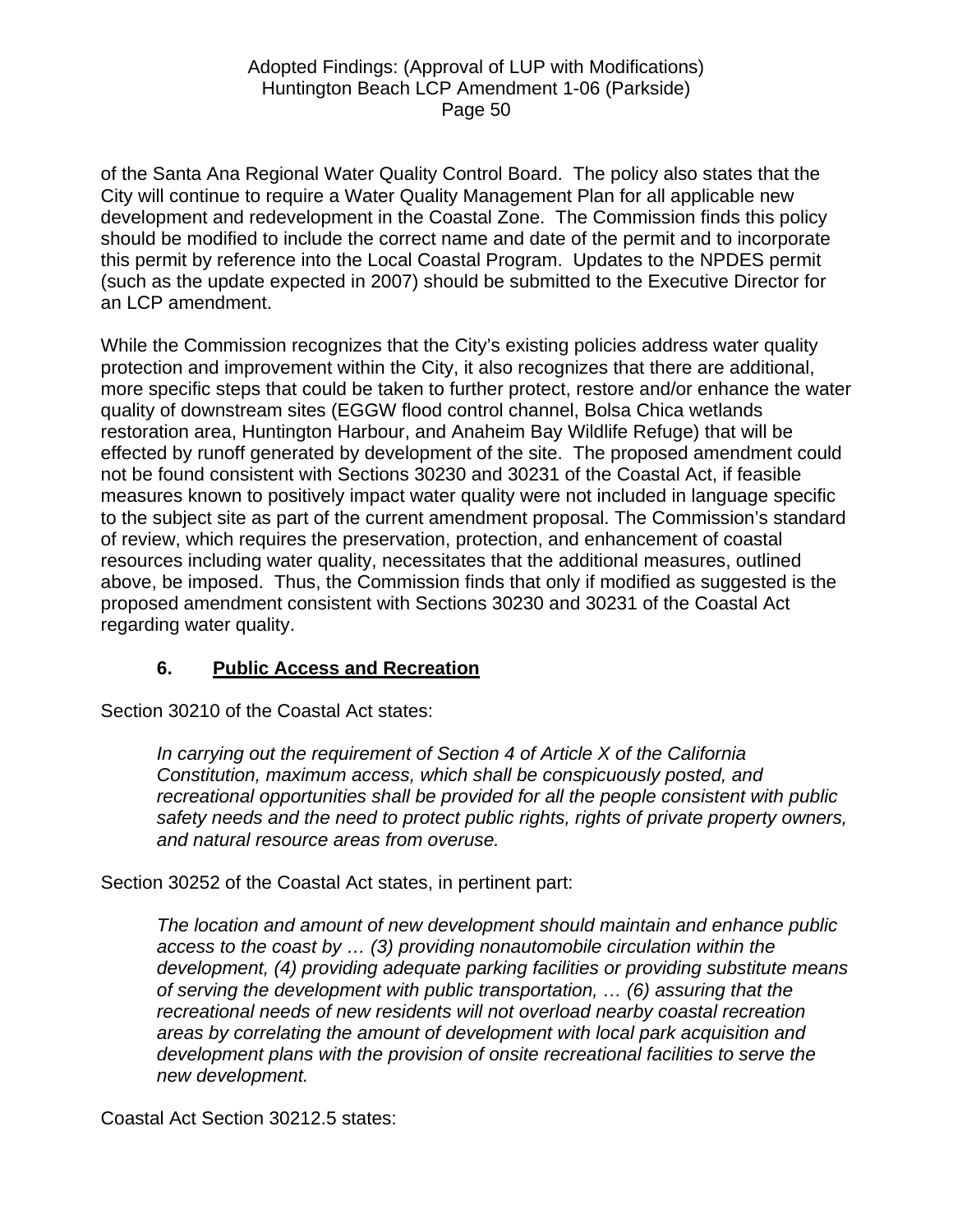of the Santa Ana Regional Water Quality Control Board. The policy also states that the City will continue to require a Water Quality Management Plan for all applicable new development and redevelopment in the Coastal Zone. The Commission finds this policy should be modified to include the correct name and date of the permit and to incorporate this permit by reference into the Local Coastal Program. Updates to the NPDES permit (such as the update expected in 2007) should be submitted to the Executive Director for an LCP amendment.

While the Commission recognizes that the City's existing policies address water quality protection and improvement within the City, it also recognizes that there are additional, more specific steps that could be taken to further protect, restore and/or enhance the water quality of downstream sites (EGGW flood control channel, Bolsa Chica wetlands restoration area, Huntington Harbour, and Anaheim Bay Wildlife Refuge) that will be effected by runoff generated by development of the site. The proposed amendment could not be found consistent with Sections 30230 and 30231 of the Coastal Act, if feasible measures known to positively impact water quality were not included in language specific to the subject site as part of the current amendment proposal. The Commission's standard of review, which requires the preservation, protection, and enhancement of coastal resources including water quality, necessitates that the additional measures, outlined above, be imposed. Thus, the Commission finds that only if modified as suggested is the proposed amendment consistent with Sections 30230 and 30231 of the Coastal Act regarding water quality.

# **6. Public Access and Recreation**

Section 30210 of the Coastal Act states:

*In carrying out the requirement of Section 4 of Article X of the California Constitution, maximum access, which shall be conspicuously posted, and recreational opportunities shall be provided for all the people consistent with public safety needs and the need to protect public rights, rights of private property owners, and natural resource areas from overuse.* 

Section 30252 of the Coastal Act states, in pertinent part:

*The location and amount of new development should maintain and enhance public access to the coast by … (3) providing nonautomobile circulation within the development, (4) providing adequate parking facilities or providing substitute means of serving the development with public transportation, … (6) assuring that the recreational needs of new residents will not overload nearby coastal recreation areas by correlating the amount of development with local park acquisition and development plans with the provision of onsite recreational facilities to serve the new development.* 

Coastal Act Section 30212.5 states: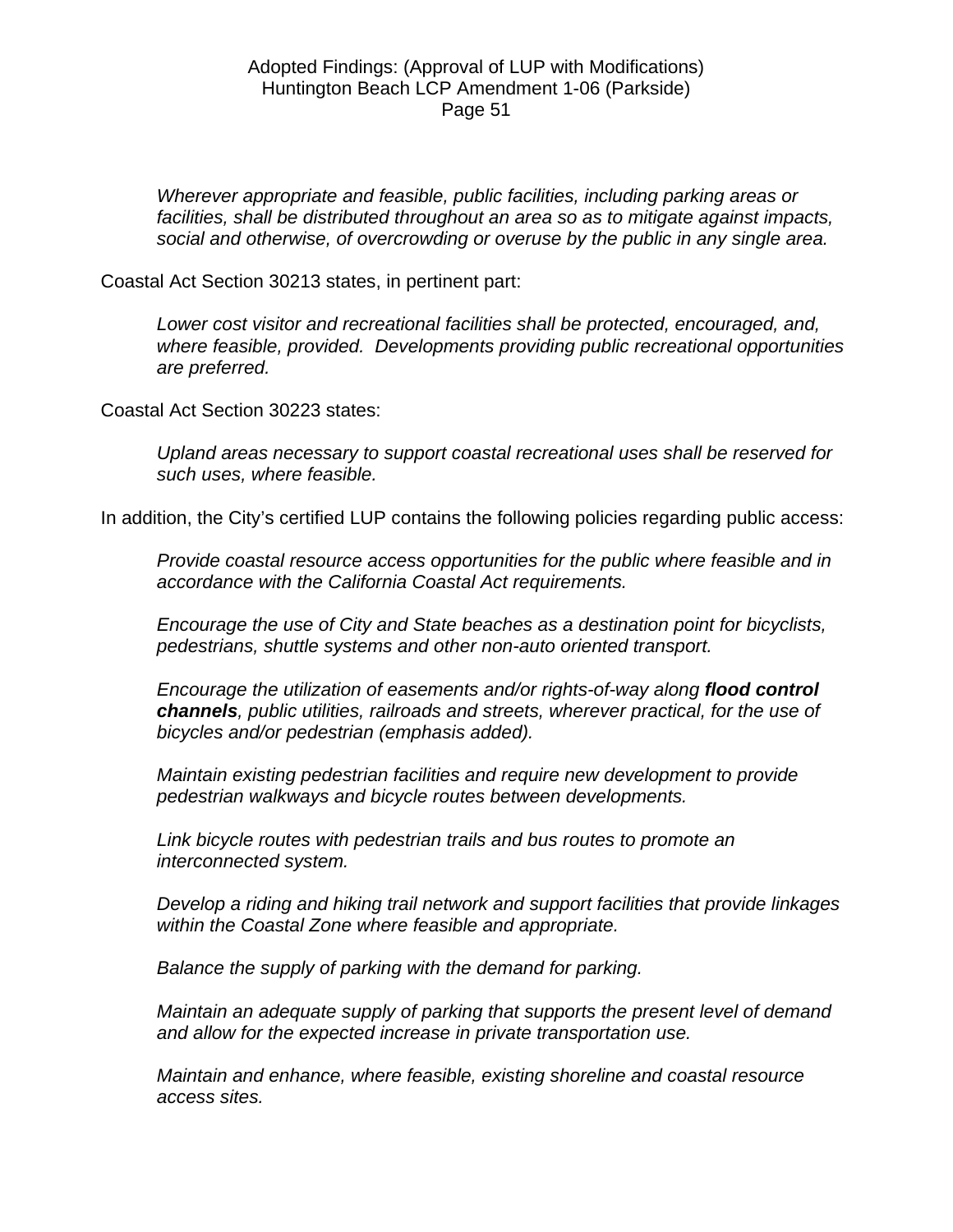*Wherever appropriate and feasible, public facilities, including parking areas or facilities, shall be distributed throughout an area so as to mitigate against impacts, social and otherwise, of overcrowding or overuse by the public in any single area.* 

Coastal Act Section 30213 states, in pertinent part:

*Lower cost visitor and recreational facilities shall be protected, encouraged, and, where feasible, provided. Developments providing public recreational opportunities are preferred.* 

Coastal Act Section 30223 states:

*Upland areas necessary to support coastal recreational uses shall be reserved for such uses, where feasible.* 

In addition, the City's certified LUP contains the following policies regarding public access:

*Provide coastal resource access opportunities for the public where feasible and in accordance with the California Coastal Act requirements.* 

*Encourage the use of City and State beaches as a destination point for bicyclists, pedestrians, shuttle systems and other non-auto oriented transport.* 

*Encourage the utilization of easements and/or rights-of-way along flood control channels, public utilities, railroads and streets, wherever practical, for the use of bicycles and/or pedestrian (emphasis added).* 

*Maintain existing pedestrian facilities and require new development to provide pedestrian walkways and bicycle routes between developments.* 

*Link bicycle routes with pedestrian trails and bus routes to promote an interconnected system.* 

*Develop a riding and hiking trail network and support facilities that provide linkages within the Coastal Zone where feasible and appropriate.* 

*Balance the supply of parking with the demand for parking.* 

*Maintain an adequate supply of parking that supports the present level of demand and allow for the expected increase in private transportation use.* 

*Maintain and enhance, where feasible, existing shoreline and coastal resource access sites.*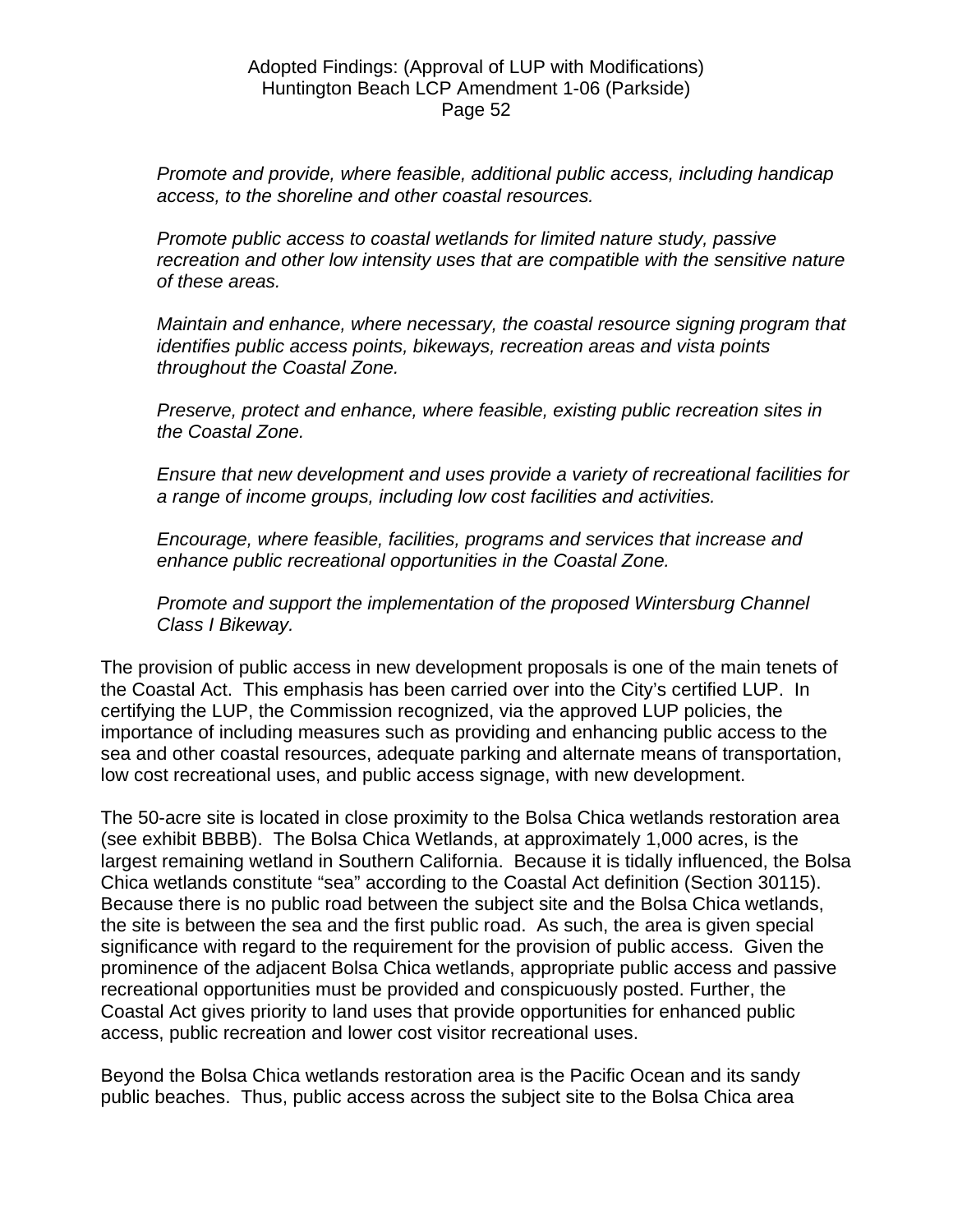*Promote and provide, where feasible, additional public access, including handicap access, to the shoreline and other coastal resources.* 

*Promote public access to coastal wetlands for limited nature study, passive recreation and other low intensity uses that are compatible with the sensitive nature of these areas.* 

*Maintain and enhance, where necessary, the coastal resource signing program that identifies public access points, bikeways, recreation areas and vista points throughout the Coastal Zone.* 

*Preserve, protect and enhance, where feasible, existing public recreation sites in the Coastal Zone.* 

*Ensure that new development and uses provide a variety of recreational facilities for a range of income groups, including low cost facilities and activities.* 

*Encourage, where feasible, facilities, programs and services that increase and enhance public recreational opportunities in the Coastal Zone.* 

*Promote and support the implementation of the proposed Wintersburg Channel Class I Bikeway.* 

The provision of public access in new development proposals is one of the main tenets of the Coastal Act. This emphasis has been carried over into the City's certified LUP. In certifying the LUP, the Commission recognized, via the approved LUP policies, the importance of including measures such as providing and enhancing public access to the sea and other coastal resources, adequate parking and alternate means of transportation, low cost recreational uses, and public access signage, with new development.

The 50-acre site is located in close proximity to the Bolsa Chica wetlands restoration area (see exhibit BBBB). The Bolsa Chica Wetlands, at approximately 1,000 acres, is the largest remaining wetland in Southern California. Because it is tidally influenced, the Bolsa Chica wetlands constitute "sea" according to the Coastal Act definition (Section 30115). Because there is no public road between the subject site and the Bolsa Chica wetlands, the site is between the sea and the first public road. As such, the area is given special significance with regard to the requirement for the provision of public access. Given the prominence of the adjacent Bolsa Chica wetlands, appropriate public access and passive recreational opportunities must be provided and conspicuously posted. Further, the Coastal Act gives priority to land uses that provide opportunities for enhanced public access, public recreation and lower cost visitor recreational uses.

Beyond the Bolsa Chica wetlands restoration area is the Pacific Ocean and its sandy public beaches. Thus, public access across the subject site to the Bolsa Chica area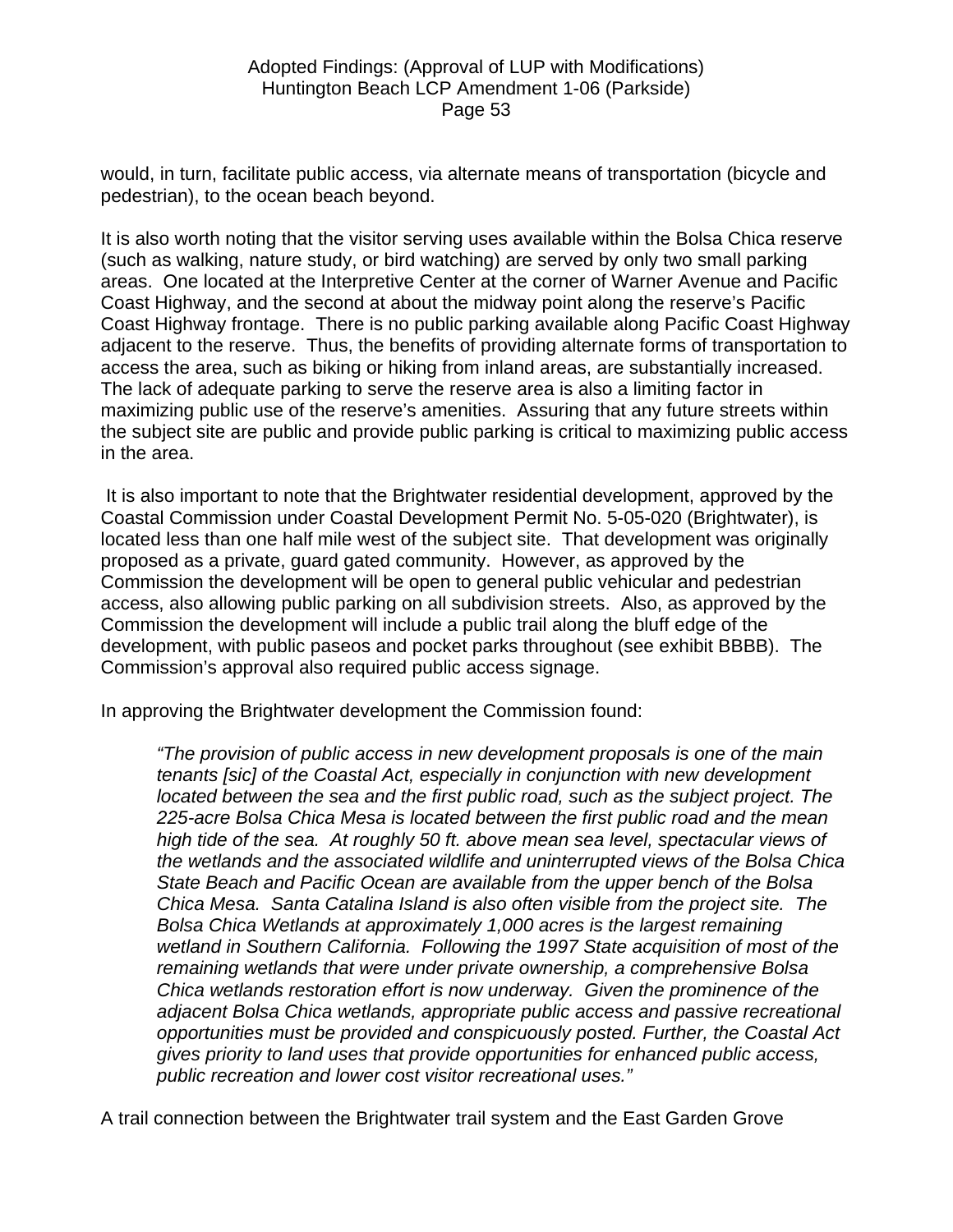would, in turn, facilitate public access, via alternate means of transportation (bicycle and pedestrian), to the ocean beach beyond.

It is also worth noting that the visitor serving uses available within the Bolsa Chica reserve (such as walking, nature study, or bird watching) are served by only two small parking areas. One located at the Interpretive Center at the corner of Warner Avenue and Pacific Coast Highway, and the second at about the midway point along the reserve's Pacific Coast Highway frontage. There is no public parking available along Pacific Coast Highway adjacent to the reserve. Thus, the benefits of providing alternate forms of transportation to access the area, such as biking or hiking from inland areas, are substantially increased. The lack of adequate parking to serve the reserve area is also a limiting factor in maximizing public use of the reserve's amenities. Assuring that any future streets within the subject site are public and provide public parking is critical to maximizing public access in the area.

 It is also important to note that the Brightwater residential development, approved by the Coastal Commission under Coastal Development Permit No. 5-05-020 (Brightwater), is located less than one half mile west of the subject site. That development was originally proposed as a private, guard gated community. However, as approved by the Commission the development will be open to general public vehicular and pedestrian access, also allowing public parking on all subdivision streets. Also, as approved by the Commission the development will include a public trail along the bluff edge of the development, with public paseos and pocket parks throughout (see exhibit BBBB). The Commission's approval also required public access signage.

In approving the Brightwater development the Commission found:

*"The provision of public access in new development proposals is one of the main tenants [sic] of the Coastal Act, especially in conjunction with new development located between the sea and the first public road, such as the subject project. The 225-acre Bolsa Chica Mesa is located between the first public road and the mean high tide of the sea. At roughly 50 ft. above mean sea level, spectacular views of the wetlands and the associated wildlife and uninterrupted views of the Bolsa Chica State Beach and Pacific Ocean are available from the upper bench of the Bolsa Chica Mesa. Santa Catalina Island is also often visible from the project site. The Bolsa Chica Wetlands at approximately 1,000 acres is the largest remaining wetland in Southern California. Following the 1997 State acquisition of most of the remaining wetlands that were under private ownership, a comprehensive Bolsa Chica wetlands restoration effort is now underway. Given the prominence of the adjacent Bolsa Chica wetlands, appropriate public access and passive recreational opportunities must be provided and conspicuously posted. Further, the Coastal Act gives priority to land uses that provide opportunities for enhanced public access, public recreation and lower cost visitor recreational uses."* 

A trail connection between the Brightwater trail system and the East Garden Grove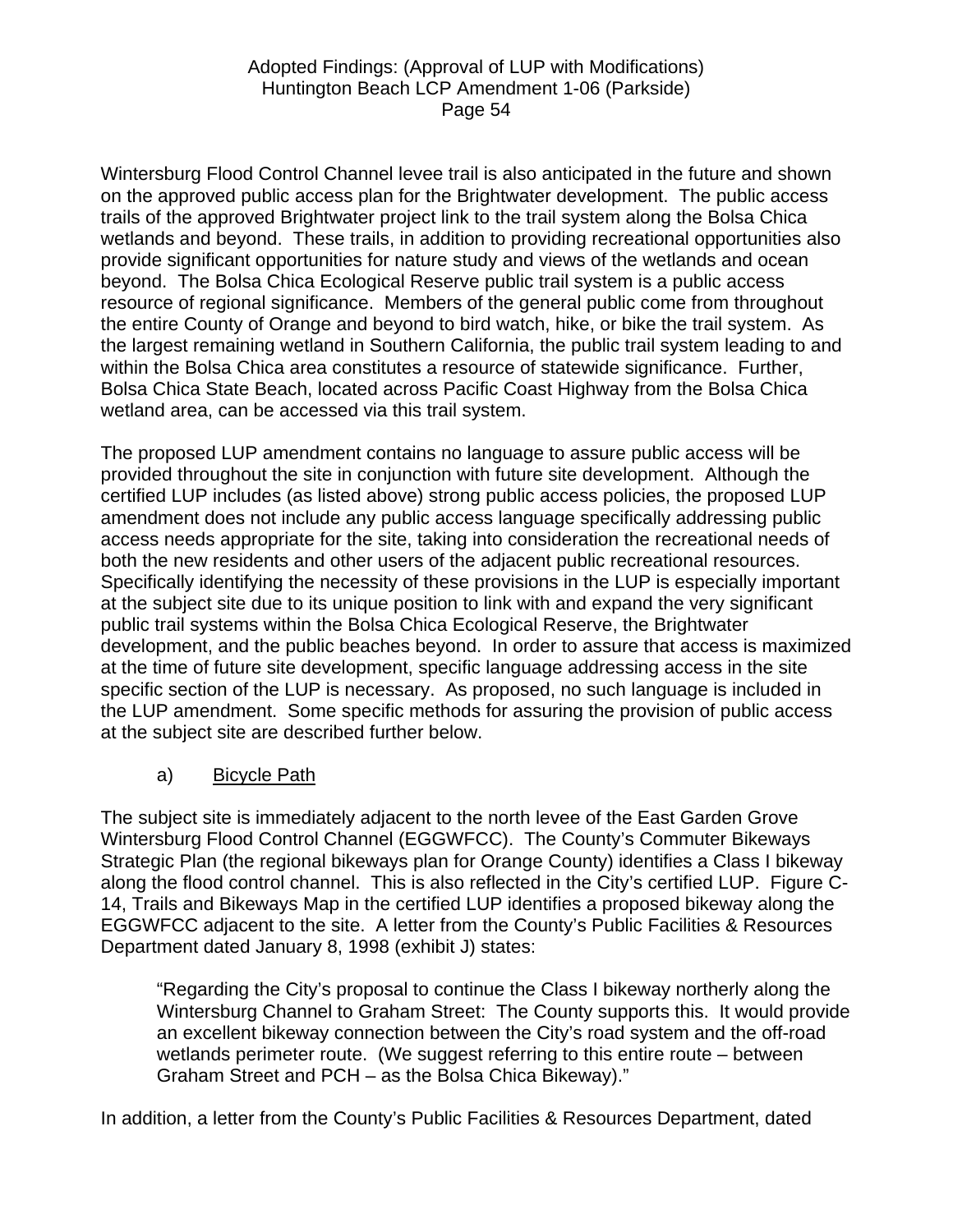Wintersburg Flood Control Channel levee trail is also anticipated in the future and shown on the approved public access plan for the Brightwater development. The public access trails of the approved Brightwater project link to the trail system along the Bolsa Chica wetlands and beyond. These trails, in addition to providing recreational opportunities also provide significant opportunities for nature study and views of the wetlands and ocean beyond. The Bolsa Chica Ecological Reserve public trail system is a public access resource of regional significance. Members of the general public come from throughout the entire County of Orange and beyond to bird watch, hike, or bike the trail system. As the largest remaining wetland in Southern California, the public trail system leading to and within the Bolsa Chica area constitutes a resource of statewide significance. Further, Bolsa Chica State Beach, located across Pacific Coast Highway from the Bolsa Chica wetland area, can be accessed via this trail system.

The proposed LUP amendment contains no language to assure public access will be provided throughout the site in conjunction with future site development. Although the certified LUP includes (as listed above) strong public access policies, the proposed LUP amendment does not include any public access language specifically addressing public access needs appropriate for the site, taking into consideration the recreational needs of both the new residents and other users of the adjacent public recreational resources. Specifically identifying the necessity of these provisions in the LUP is especially important at the subject site due to its unique position to link with and expand the very significant public trail systems within the Bolsa Chica Ecological Reserve, the Brightwater development, and the public beaches beyond. In order to assure that access is maximized at the time of future site development, specific language addressing access in the site specific section of the LUP is necessary. As proposed, no such language is included in the LUP amendment. Some specific methods for assuring the provision of public access at the subject site are described further below.

a) Bicycle Path

The subject site is immediately adjacent to the north levee of the East Garden Grove Wintersburg Flood Control Channel (EGGWFCC). The County's Commuter Bikeways Strategic Plan (the regional bikeways plan for Orange County) identifies a Class I bikeway along the flood control channel. This is also reflected in the City's certified LUP. Figure C-14, Trails and Bikeways Map in the certified LUP identifies a proposed bikeway along the EGGWFCC adjacent to the site. A letter from the County's Public Facilities & Resources Department dated January 8, 1998 (exhibit J) states:

"Regarding the City's proposal to continue the Class I bikeway northerly along the Wintersburg Channel to Graham Street: The County supports this. It would provide an excellent bikeway connection between the City's road system and the off-road wetlands perimeter route. (We suggest referring to this entire route – between Graham Street and PCH – as the Bolsa Chica Bikeway)."

In addition, a letter from the County's Public Facilities & Resources Department, dated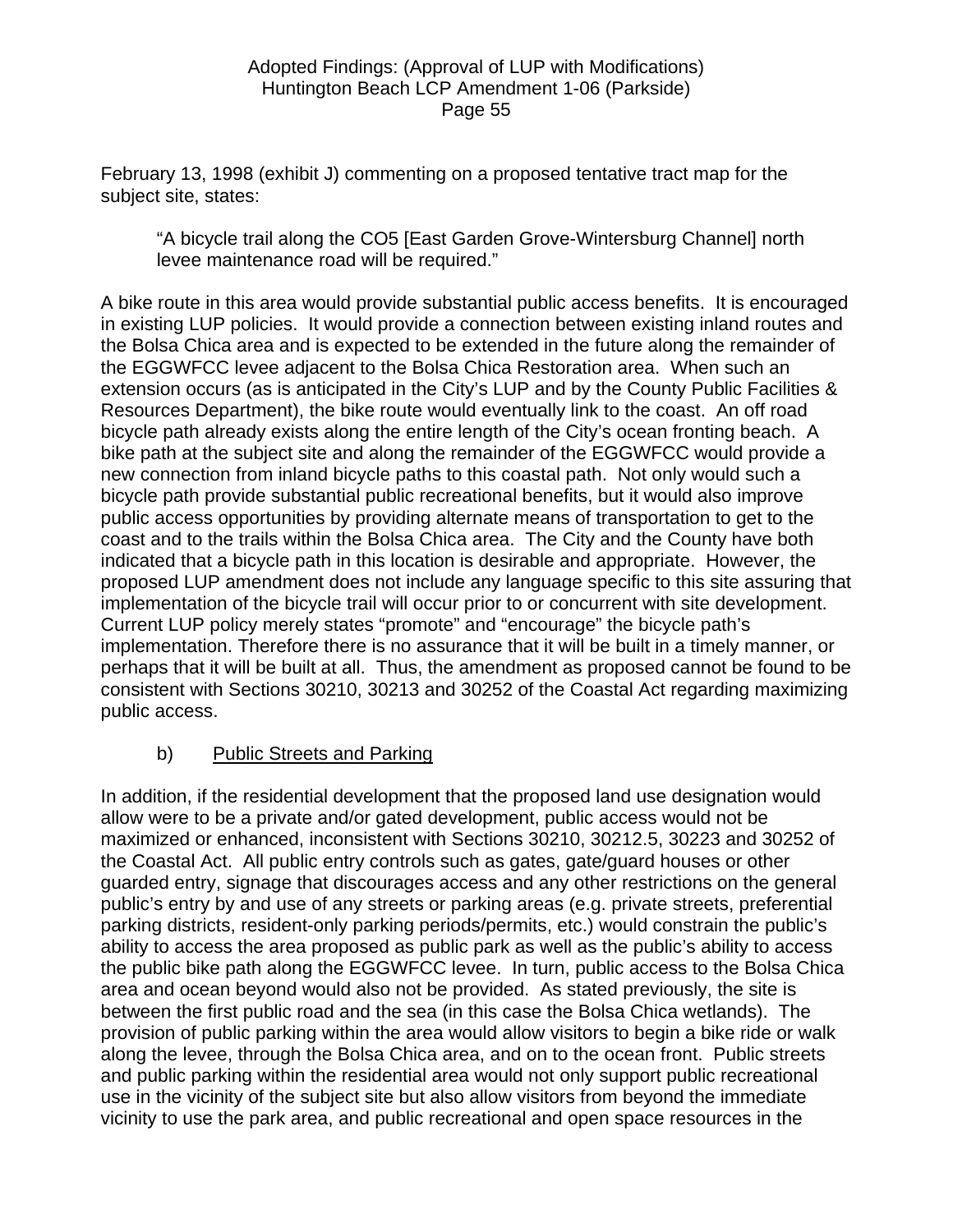February 13, 1998 (exhibit J) commenting on a proposed tentative tract map for the subject site, states:

"A bicycle trail along the CO5 [East Garden Grove-Wintersburg Channel] north levee maintenance road will be required."

A bike route in this area would provide substantial public access benefits. It is encouraged in existing LUP policies. It would provide a connection between existing inland routes and the Bolsa Chica area and is expected to be extended in the future along the remainder of the EGGWFCC levee adjacent to the Bolsa Chica Restoration area. When such an extension occurs (as is anticipated in the City's LUP and by the County Public Facilities & Resources Department), the bike route would eventually link to the coast. An off road bicycle path already exists along the entire length of the City's ocean fronting beach. A bike path at the subject site and along the remainder of the EGGWFCC would provide a new connection from inland bicycle paths to this coastal path. Not only would such a bicycle path provide substantial public recreational benefits, but it would also improve public access opportunities by providing alternate means of transportation to get to the coast and to the trails within the Bolsa Chica area. The City and the County have both indicated that a bicycle path in this location is desirable and appropriate. However, the proposed LUP amendment does not include any language specific to this site assuring that implementation of the bicycle trail will occur prior to or concurrent with site development. Current LUP policy merely states "promote" and "encourage" the bicycle path's implementation. Therefore there is no assurance that it will be built in a timely manner, or perhaps that it will be built at all. Thus, the amendment as proposed cannot be found to be consistent with Sections 30210, 30213 and 30252 of the Coastal Act regarding maximizing public access.

# b) Public Streets and Parking

In addition, if the residential development that the proposed land use designation would allow were to be a private and/or gated development, public access would not be maximized or enhanced, inconsistent with Sections 30210, 30212.5, 30223 and 30252 of the Coastal Act. All public entry controls such as gates, gate/guard houses or other guarded entry, signage that discourages access and any other restrictions on the general public's entry by and use of any streets or parking areas (e.g. private streets, preferential parking districts, resident-only parking periods/permits, etc.) would constrain the public's ability to access the area proposed as public park as well as the public's ability to access the public bike path along the EGGWFCC levee. In turn, public access to the Bolsa Chica area and ocean beyond would also not be provided. As stated previously, the site is between the first public road and the sea (in this case the Bolsa Chica wetlands). The provision of public parking within the area would allow visitors to begin a bike ride or walk along the levee, through the Bolsa Chica area, and on to the ocean front. Public streets and public parking within the residential area would not only support public recreational use in the vicinity of the subject site but also allow visitors from beyond the immediate vicinity to use the park area, and public recreational and open space resources in the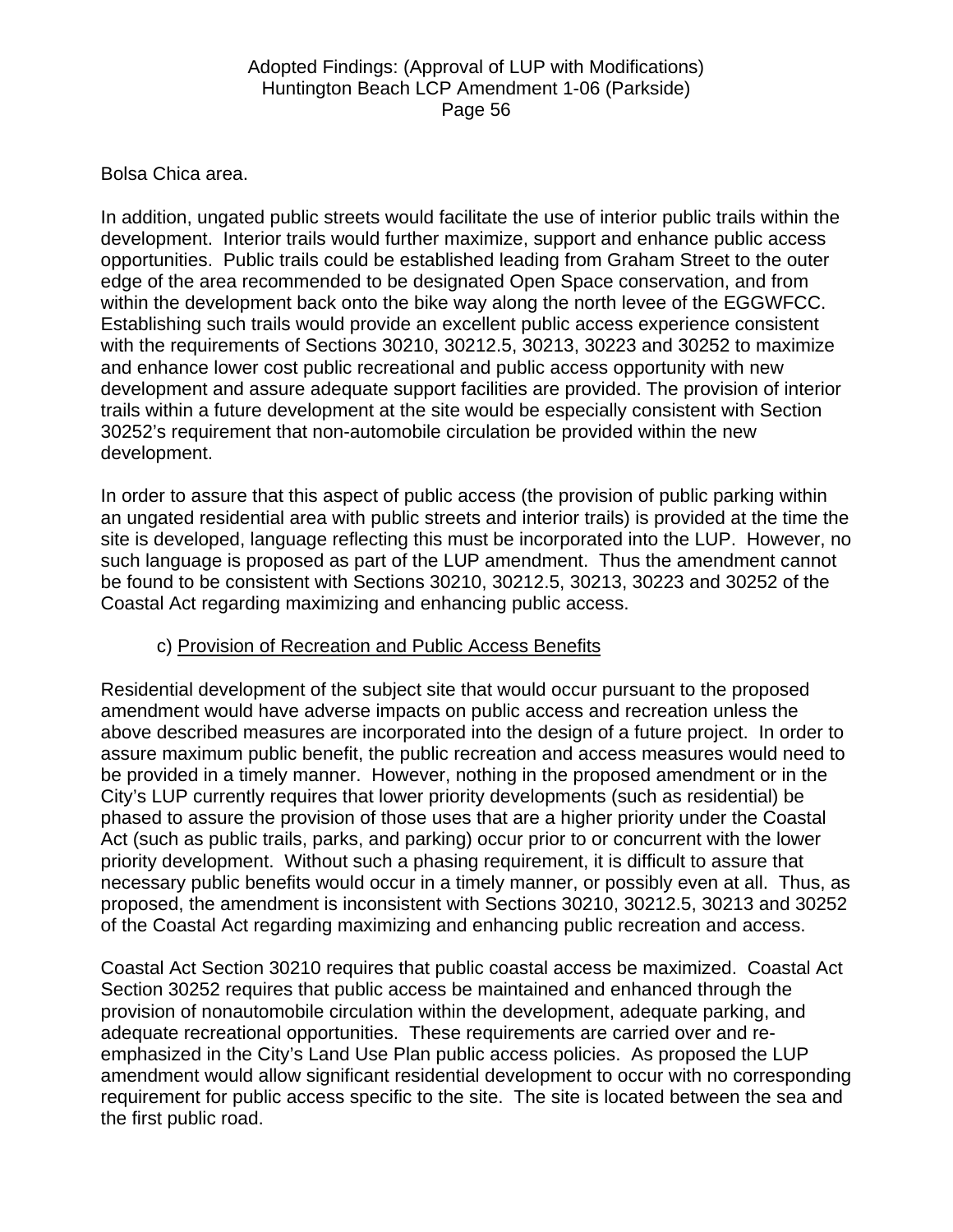### Bolsa Chica area.

In addition, ungated public streets would facilitate the use of interior public trails within the development. Interior trails would further maximize, support and enhance public access opportunities. Public trails could be established leading from Graham Street to the outer edge of the area recommended to be designated Open Space conservation, and from within the development back onto the bike way along the north levee of the EGGWFCC. Establishing such trails would provide an excellent public access experience consistent with the requirements of Sections 30210, 30212.5, 30213, 30223 and 30252 to maximize and enhance lower cost public recreational and public access opportunity with new development and assure adequate support facilities are provided. The provision of interior trails within a future development at the site would be especially consistent with Section 30252's requirement that non-automobile circulation be provided within the new development.

In order to assure that this aspect of public access (the provision of public parking within an ungated residential area with public streets and interior trails) is provided at the time the site is developed, language reflecting this must be incorporated into the LUP. However, no such language is proposed as part of the LUP amendment. Thus the amendment cannot be found to be consistent with Sections 30210, 30212.5, 30213, 30223 and 30252 of the Coastal Act regarding maximizing and enhancing public access.

### c) Provision of Recreation and Public Access Benefits

Residential development of the subject site that would occur pursuant to the proposed amendment would have adverse impacts on public access and recreation unless the above described measures are incorporated into the design of a future project. In order to assure maximum public benefit, the public recreation and access measures would need to be provided in a timely manner. However, nothing in the proposed amendment or in the City's LUP currently requires that lower priority developments (such as residential) be phased to assure the provision of those uses that are a higher priority under the Coastal Act (such as public trails, parks, and parking) occur prior to or concurrent with the lower priority development. Without such a phasing requirement, it is difficult to assure that necessary public benefits would occur in a timely manner, or possibly even at all. Thus, as proposed, the amendment is inconsistent with Sections 30210, 30212.5, 30213 and 30252 of the Coastal Act regarding maximizing and enhancing public recreation and access.

Coastal Act Section 30210 requires that public coastal access be maximized. Coastal Act Section 30252 requires that public access be maintained and enhanced through the provision of nonautomobile circulation within the development, adequate parking, and adequate recreational opportunities. These requirements are carried over and reemphasized in the City's Land Use Plan public access policies. As proposed the LUP amendment would allow significant residential development to occur with no corresponding requirement for public access specific to the site. The site is located between the sea and the first public road.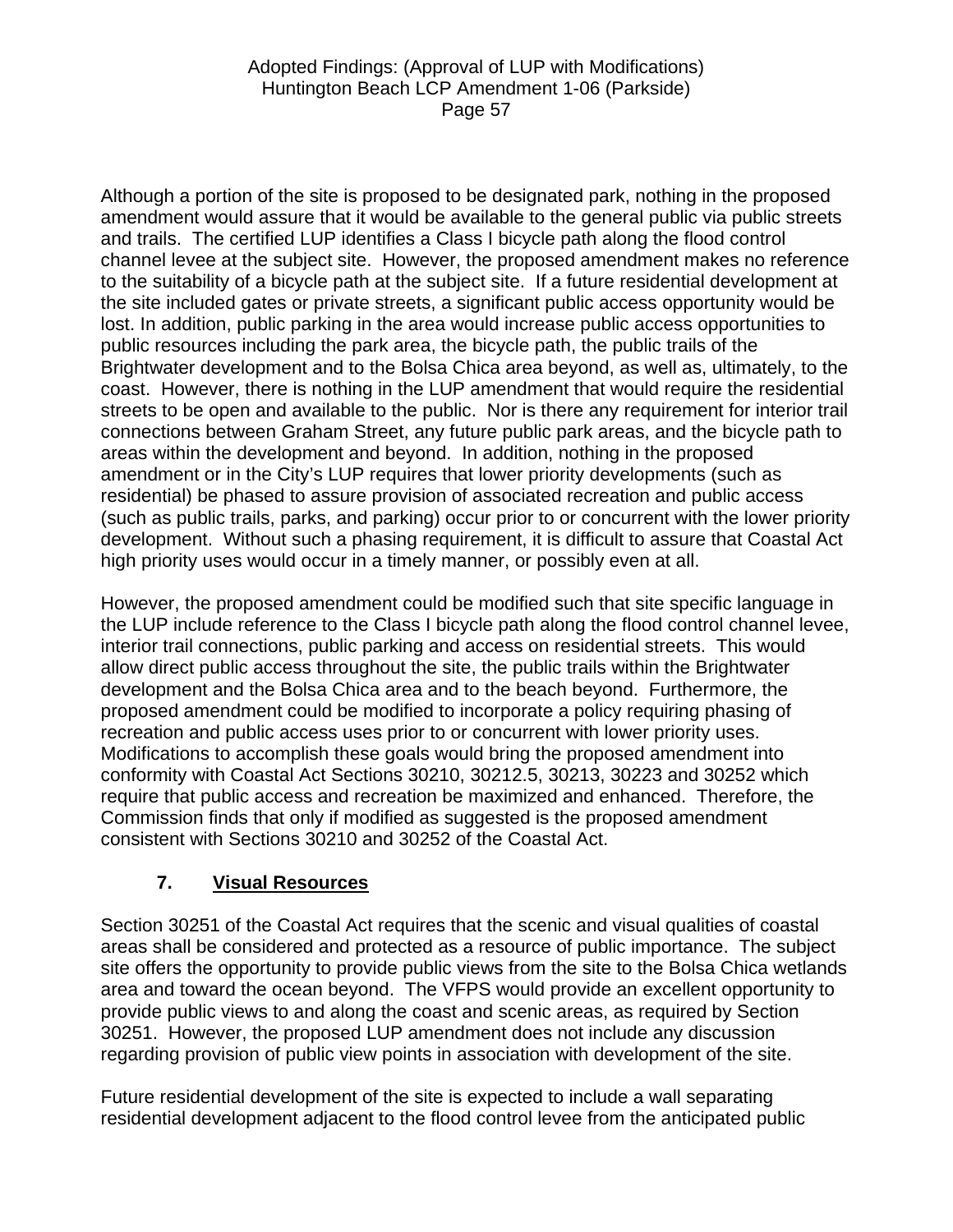Although a portion of the site is proposed to be designated park, nothing in the proposed amendment would assure that it would be available to the general public via public streets and trails. The certified LUP identifies a Class I bicycle path along the flood control channel levee at the subject site. However, the proposed amendment makes no reference to the suitability of a bicycle path at the subject site. If a future residential development at the site included gates or private streets, a significant public access opportunity would be lost. In addition, public parking in the area would increase public access opportunities to public resources including the park area, the bicycle path, the public trails of the Brightwater development and to the Bolsa Chica area beyond, as well as, ultimately, to the coast. However, there is nothing in the LUP amendment that would require the residential streets to be open and available to the public. Nor is there any requirement for interior trail connections between Graham Street, any future public park areas, and the bicycle path to areas within the development and beyond. In addition, nothing in the proposed amendment or in the City's LUP requires that lower priority developments (such as residential) be phased to assure provision of associated recreation and public access (such as public trails, parks, and parking) occur prior to or concurrent with the lower priority development. Without such a phasing requirement, it is difficult to assure that Coastal Act high priority uses would occur in a timely manner, or possibly even at all.

However, the proposed amendment could be modified such that site specific language in the LUP include reference to the Class I bicycle path along the flood control channel levee, interior trail connections, public parking and access on residential streets. This would allow direct public access throughout the site, the public trails within the Brightwater development and the Bolsa Chica area and to the beach beyond. Furthermore, the proposed amendment could be modified to incorporate a policy requiring phasing of recreation and public access uses prior to or concurrent with lower priority uses. Modifications to accomplish these goals would bring the proposed amendment into conformity with Coastal Act Sections 30210, 30212.5, 30213, 30223 and 30252 which require that public access and recreation be maximized and enhanced. Therefore, the Commission finds that only if modified as suggested is the proposed amendment consistent with Sections 30210 and 30252 of the Coastal Act.

# **7. Visual Resources**

Section 30251 of the Coastal Act requires that the scenic and visual qualities of coastal areas shall be considered and protected as a resource of public importance. The subject site offers the opportunity to provide public views from the site to the Bolsa Chica wetlands area and toward the ocean beyond. The VFPS would provide an excellent opportunity to provide public views to and along the coast and scenic areas, as required by Section 30251. However, the proposed LUP amendment does not include any discussion regarding provision of public view points in association with development of the site.

Future residential development of the site is expected to include a wall separating residential development adjacent to the flood control levee from the anticipated public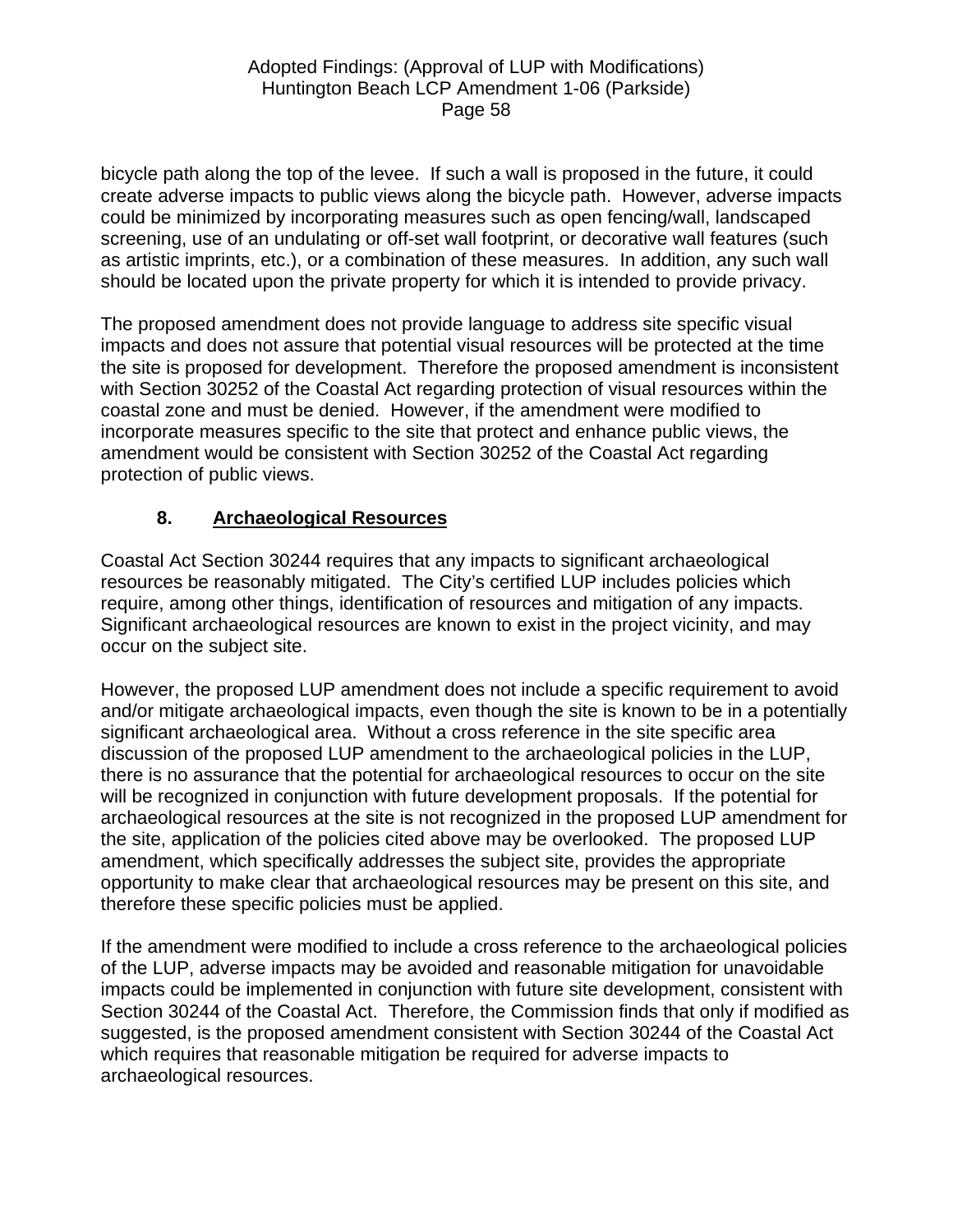bicycle path along the top of the levee. If such a wall is proposed in the future, it could create adverse impacts to public views along the bicycle path. However, adverse impacts could be minimized by incorporating measures such as open fencing/wall, landscaped screening, use of an undulating or off-set wall footprint, or decorative wall features (such as artistic imprints, etc.), or a combination of these measures. In addition, any such wall should be located upon the private property for which it is intended to provide privacy.

The proposed amendment does not provide language to address site specific visual impacts and does not assure that potential visual resources will be protected at the time the site is proposed for development. Therefore the proposed amendment is inconsistent with Section 30252 of the Coastal Act regarding protection of visual resources within the coastal zone and must be denied. However, if the amendment were modified to incorporate measures specific to the site that protect and enhance public views, the amendment would be consistent with Section 30252 of the Coastal Act regarding protection of public views.

# **8. Archaeological Resources**

Coastal Act Section 30244 requires that any impacts to significant archaeological resources be reasonably mitigated. The City's certified LUP includes policies which require, among other things, identification of resources and mitigation of any impacts. Significant archaeological resources are known to exist in the project vicinity, and may occur on the subject site.

However, the proposed LUP amendment does not include a specific requirement to avoid and/or mitigate archaeological impacts, even though the site is known to be in a potentially significant archaeological area. Without a cross reference in the site specific area discussion of the proposed LUP amendment to the archaeological policies in the LUP, there is no assurance that the potential for archaeological resources to occur on the site will be recognized in conjunction with future development proposals. If the potential for archaeological resources at the site is not recognized in the proposed LUP amendment for the site, application of the policies cited above may be overlooked. The proposed LUP amendment, which specifically addresses the subject site, provides the appropriate opportunity to make clear that archaeological resources may be present on this site, and therefore these specific policies must be applied.

If the amendment were modified to include a cross reference to the archaeological policies of the LUP, adverse impacts may be avoided and reasonable mitigation for unavoidable impacts could be implemented in conjunction with future site development, consistent with Section 30244 of the Coastal Act. Therefore, the Commission finds that only if modified as suggested, is the proposed amendment consistent with Section 30244 of the Coastal Act which requires that reasonable mitigation be required for adverse impacts to archaeological resources.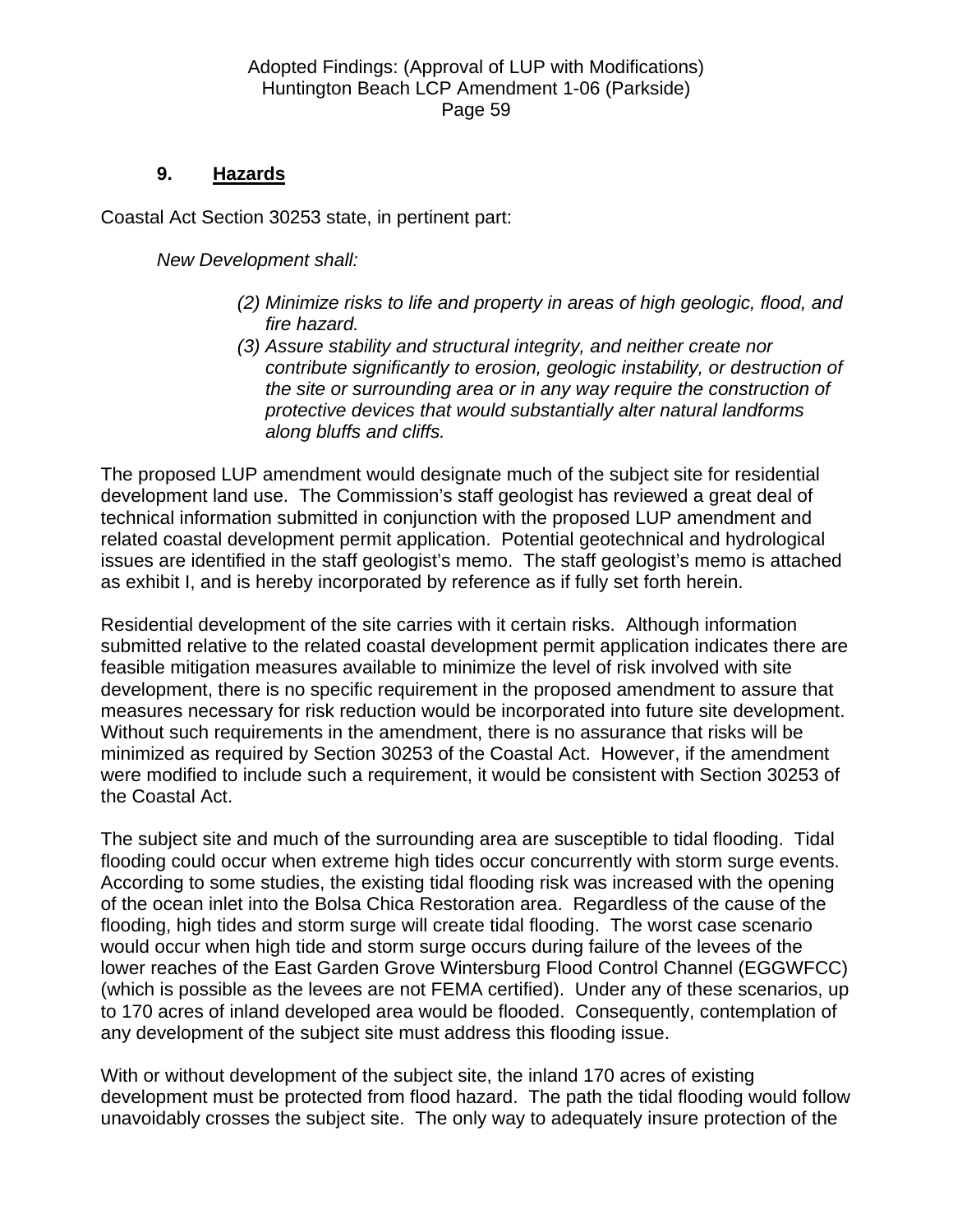### **9. Hazards**

Coastal Act Section 30253 state, in pertinent part:

*New Development shall:* 

- *(2) Minimize risks to life and property in areas of high geologic, flood, and fire hazard.*
- *(3) Assure stability and structural integrity, and neither create nor contribute significantly to erosion, geologic instability, or destruction of the site or surrounding area or in any way require the construction of protective devices that would substantially alter natural landforms along bluffs and cliffs.*

The proposed LUP amendment would designate much of the subject site for residential development land use. The Commission's staff geologist has reviewed a great deal of technical information submitted in conjunction with the proposed LUP amendment and related coastal development permit application. Potential geotechnical and hydrological issues are identified in the staff geologist's memo. The staff geologist's memo is attached as exhibit I, and is hereby incorporated by reference as if fully set forth herein.

Residential development of the site carries with it certain risks. Although information submitted relative to the related coastal development permit application indicates there are feasible mitigation measures available to minimize the level of risk involved with site development, there is no specific requirement in the proposed amendment to assure that measures necessary for risk reduction would be incorporated into future site development. Without such requirements in the amendment, there is no assurance that risks will be minimized as required by Section 30253 of the Coastal Act. However, if the amendment were modified to include such a requirement, it would be consistent with Section 30253 of the Coastal Act.

The subject site and much of the surrounding area are susceptible to tidal flooding. Tidal flooding could occur when extreme high tides occur concurrently with storm surge events. According to some studies, the existing tidal flooding risk was increased with the opening of the ocean inlet into the Bolsa Chica Restoration area. Regardless of the cause of the flooding, high tides and storm surge will create tidal flooding. The worst case scenario would occur when high tide and storm surge occurs during failure of the levees of the lower reaches of the East Garden Grove Wintersburg Flood Control Channel (EGGWFCC) (which is possible as the levees are not FEMA certified). Under any of these scenarios, up to 170 acres of inland developed area would be flooded. Consequently, contemplation of any development of the subject site must address this flooding issue.

With or without development of the subject site, the inland 170 acres of existing development must be protected from flood hazard. The path the tidal flooding would follow unavoidably crosses the subject site. The only way to adequately insure protection of the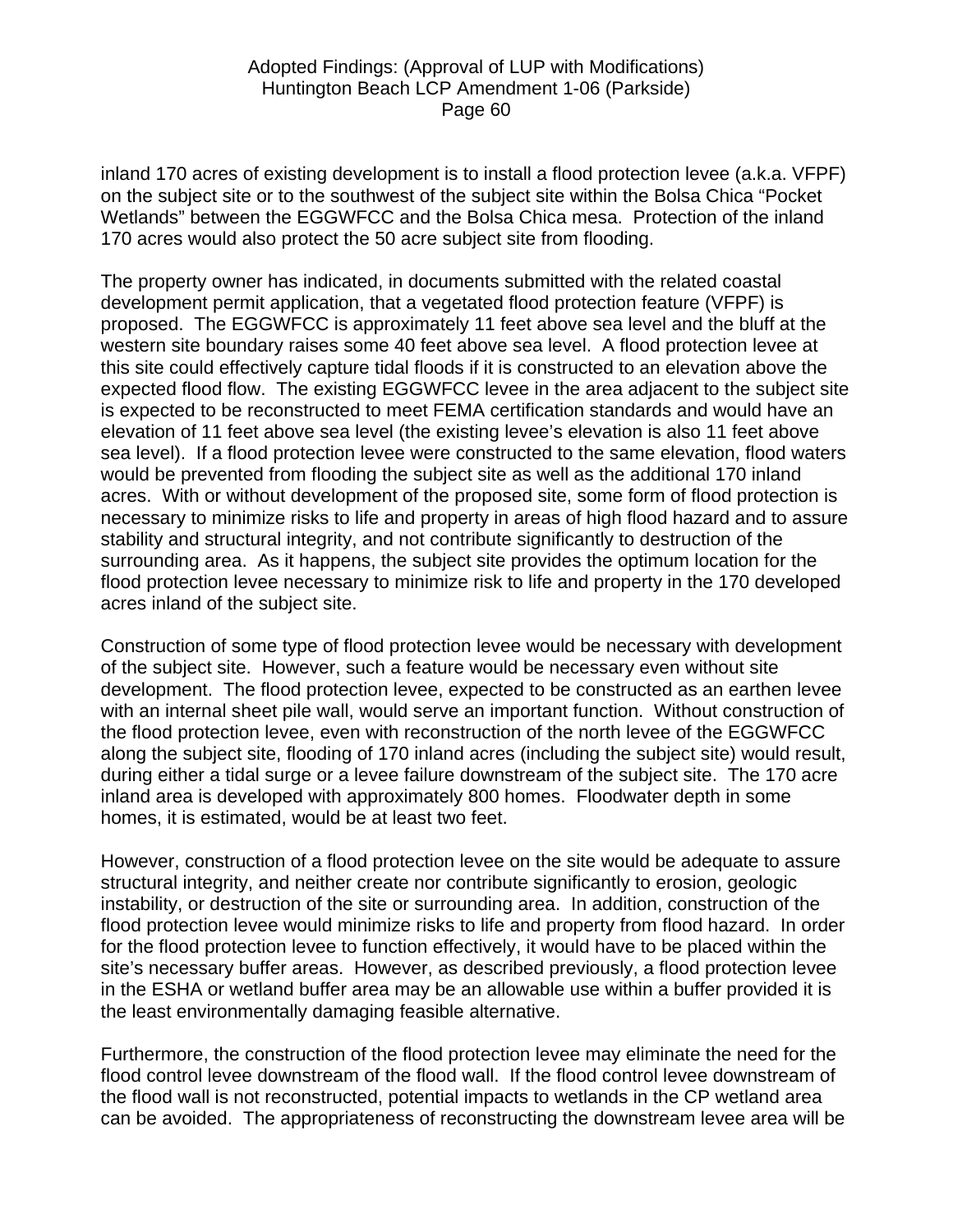inland 170 acres of existing development is to install a flood protection levee (a.k.a. VFPF) on the subject site or to the southwest of the subject site within the Bolsa Chica "Pocket Wetlands" between the EGGWFCC and the Bolsa Chica mesa. Protection of the inland 170 acres would also protect the 50 acre subject site from flooding.

The property owner has indicated, in documents submitted with the related coastal development permit application, that a vegetated flood protection feature (VFPF) is proposed. The EGGWFCC is approximately 11 feet above sea level and the bluff at the western site boundary raises some 40 feet above sea level. A flood protection levee at this site could effectively capture tidal floods if it is constructed to an elevation above the expected flood flow. The existing EGGWFCC levee in the area adjacent to the subject site is expected to be reconstructed to meet FEMA certification standards and would have an elevation of 11 feet above sea level (the existing levee's elevation is also 11 feet above sea level). If a flood protection levee were constructed to the same elevation, flood waters would be prevented from flooding the subject site as well as the additional 170 inland acres. With or without development of the proposed site, some form of flood protection is necessary to minimize risks to life and property in areas of high flood hazard and to assure stability and structural integrity, and not contribute significantly to destruction of the surrounding area. As it happens, the subject site provides the optimum location for the flood protection levee necessary to minimize risk to life and property in the 170 developed acres inland of the subject site.

Construction of some type of flood protection levee would be necessary with development of the subject site. However, such a feature would be necessary even without site development. The flood protection levee, expected to be constructed as an earthen levee with an internal sheet pile wall, would serve an important function. Without construction of the flood protection levee, even with reconstruction of the north levee of the EGGWFCC along the subject site, flooding of 170 inland acres (including the subject site) would result, during either a tidal surge or a levee failure downstream of the subject site. The 170 acre inland area is developed with approximately 800 homes. Floodwater depth in some homes, it is estimated, would be at least two feet.

However, construction of a flood protection levee on the site would be adequate to assure structural integrity, and neither create nor contribute significantly to erosion, geologic instability, or destruction of the site or surrounding area. In addition, construction of the flood protection levee would minimize risks to life and property from flood hazard. In order for the flood protection levee to function effectively, it would have to be placed within the site's necessary buffer areas. However, as described previously, a flood protection levee in the ESHA or wetland buffer area may be an allowable use within a buffer provided it is the least environmentally damaging feasible alternative.

Furthermore, the construction of the flood protection levee may eliminate the need for the flood control levee downstream of the flood wall. If the flood control levee downstream of the flood wall is not reconstructed, potential impacts to wetlands in the CP wetland area can be avoided. The appropriateness of reconstructing the downstream levee area will be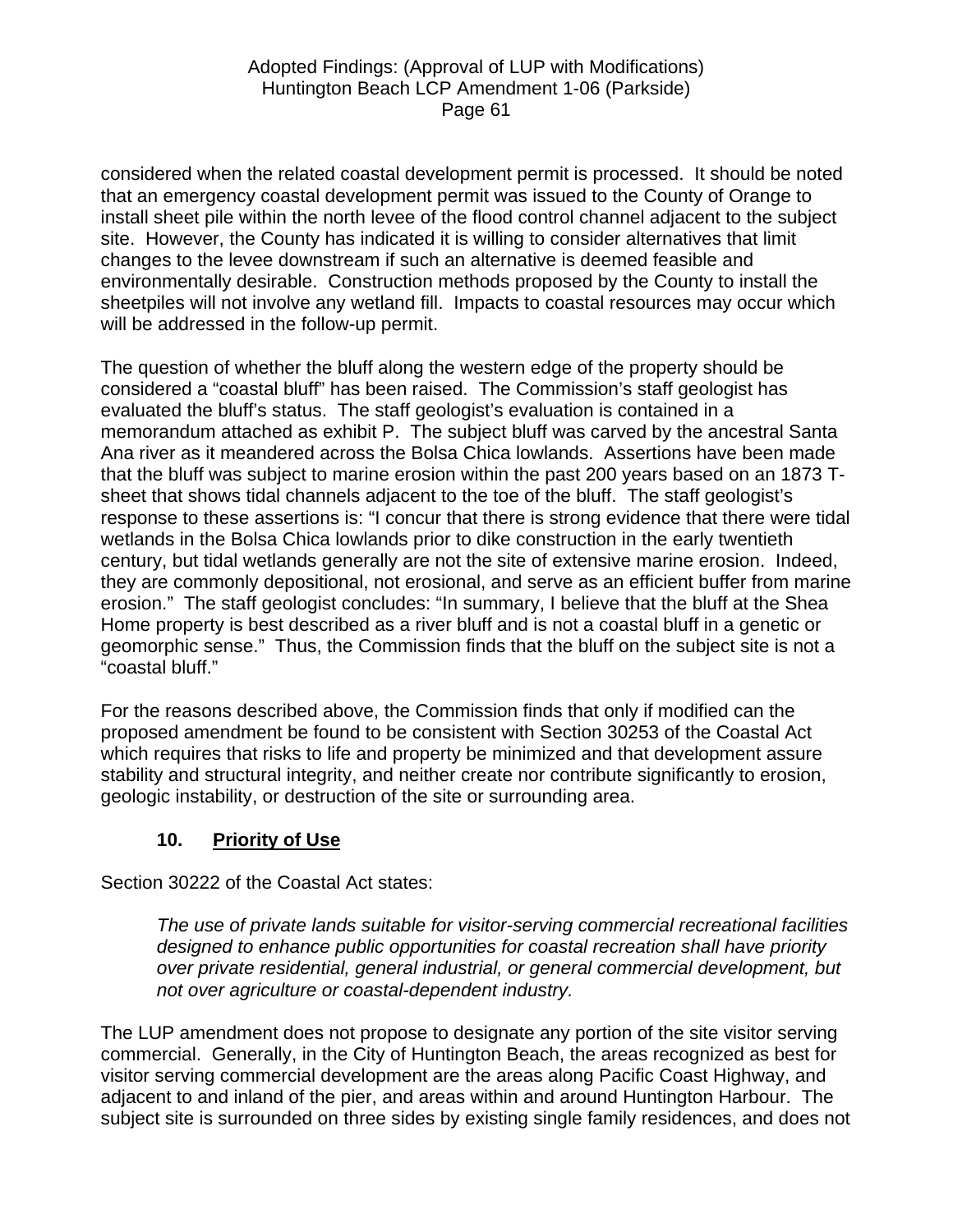considered when the related coastal development permit is processed. It should be noted that an emergency coastal development permit was issued to the County of Orange to install sheet pile within the north levee of the flood control channel adjacent to the subject site. However, the County has indicated it is willing to consider alternatives that limit changes to the levee downstream if such an alternative is deemed feasible and environmentally desirable. Construction methods proposed by the County to install the sheetpiles will not involve any wetland fill. Impacts to coastal resources may occur which will be addressed in the follow-up permit.

The question of whether the bluff along the western edge of the property should be considered a "coastal bluff" has been raised. The Commission's staff geologist has evaluated the bluff's status. The staff geologist's evaluation is contained in a memorandum attached as exhibit P. The subject bluff was carved by the ancestral Santa Ana river as it meandered across the Bolsa Chica lowlands. Assertions have been made that the bluff was subject to marine erosion within the past 200 years based on an 1873 Tsheet that shows tidal channels adjacent to the toe of the bluff. The staff geologist's response to these assertions is: "I concur that there is strong evidence that there were tidal wetlands in the Bolsa Chica lowlands prior to dike construction in the early twentieth century, but tidal wetlands generally are not the site of extensive marine erosion. Indeed, they are commonly depositional, not erosional, and serve as an efficient buffer from marine erosion." The staff geologist concludes: "In summary, I believe that the bluff at the Shea Home property is best described as a river bluff and is not a coastal bluff in a genetic or geomorphic sense." Thus, the Commission finds that the bluff on the subject site is not a "coastal bluff."

For the reasons described above, the Commission finds that only if modified can the proposed amendment be found to be consistent with Section 30253 of the Coastal Act which requires that risks to life and property be minimized and that development assure stability and structural integrity, and neither create nor contribute significantly to erosion, geologic instability, or destruction of the site or surrounding area.

# **10. Priority of Use**

Section 30222 of the Coastal Act states:

*The use of private lands suitable for visitor-serving commercial recreational facilities designed to enhance public opportunities for coastal recreation shall have priority over private residential, general industrial, or general commercial development, but not over agriculture or coastal-dependent industry.* 

The LUP amendment does not propose to designate any portion of the site visitor serving commercial. Generally, in the City of Huntington Beach, the areas recognized as best for visitor serving commercial development are the areas along Pacific Coast Highway, and adjacent to and inland of the pier, and areas within and around Huntington Harbour. The subject site is surrounded on three sides by existing single family residences, and does not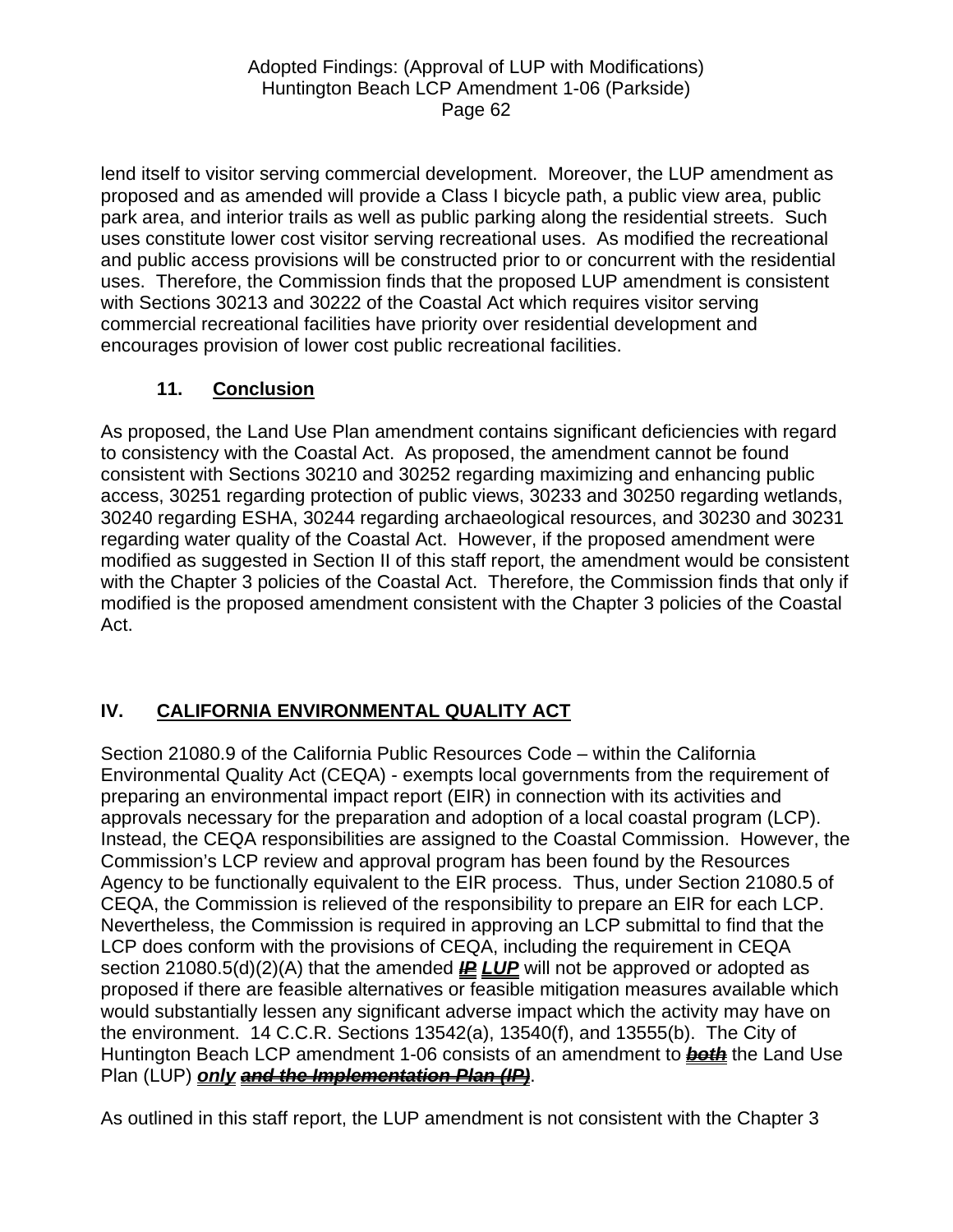lend itself to visitor serving commercial development. Moreover, the LUP amendment as proposed and as amended will provide a Class I bicycle path, a public view area, public park area, and interior trails as well as public parking along the residential streets. Such uses constitute lower cost visitor serving recreational uses. As modified the recreational and public access provisions will be constructed prior to or concurrent with the residential uses. Therefore, the Commission finds that the proposed LUP amendment is consistent with Sections 30213 and 30222 of the Coastal Act which requires visitor serving commercial recreational facilities have priority over residential development and encourages provision of lower cost public recreational facilities.

# **11. Conclusion**

As proposed, the Land Use Plan amendment contains significant deficiencies with regard to consistency with the Coastal Act. As proposed, the amendment cannot be found consistent with Sections 30210 and 30252 regarding maximizing and enhancing public access, 30251 regarding protection of public views, 30233 and 30250 regarding wetlands, 30240 regarding ESHA, 30244 regarding archaeological resources, and 30230 and 30231 regarding water quality of the Coastal Act. However, if the proposed amendment were modified as suggested in Section II of this staff report, the amendment would be consistent with the Chapter 3 policies of the Coastal Act. Therefore, the Commission finds that only if modified is the proposed amendment consistent with the Chapter 3 policies of the Coastal Act.

# **IV. CALIFORNIA ENVIRONMENTAL QUALITY ACT**

Section 21080.9 of the California Public Resources Code – within the California Environmental Quality Act (CEQA) - exempts local governments from the requirement of preparing an environmental impact report (EIR) in connection with its activities and approvals necessary for the preparation and adoption of a local coastal program (LCP). Instead, the CEQA responsibilities are assigned to the Coastal Commission. However, the Commission's LCP review and approval program has been found by the Resources Agency to be functionally equivalent to the EIR process. Thus, under Section 21080.5 of CEQA, the Commission is relieved of the responsibility to prepare an EIR for each LCP. Nevertheless, the Commission is required in approving an LCP submittal to find that the LCP does conform with the provisions of CEQA, including the requirement in CEQA section 21080.5(d)(2)(A) that the amended **IP LUP** will not be approved or adopted as proposed if there are feasible alternatives or feasible mitigation measures available which would substantially lessen any significant adverse impact which the activity may have on the environment. 14 C.C.R. Sections 13542(a), 13540(f), and 13555(b). The City of Huntington Beach LCP amendment 1-06 consists of an amendment to *both* the Land Use Plan (LUP) *only and the Implementation Plan (IP)*.

As outlined in this staff report, the LUP amendment is not consistent with the Chapter 3